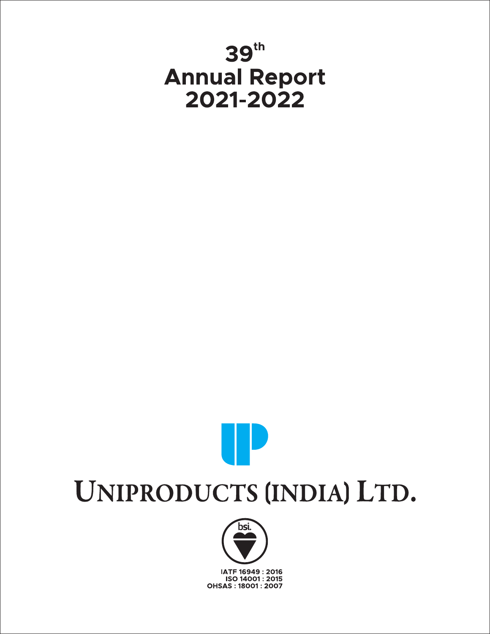# 39th **Annual Report** 2021-2022

# UNIPRODUCTS (INDIA) LTD.

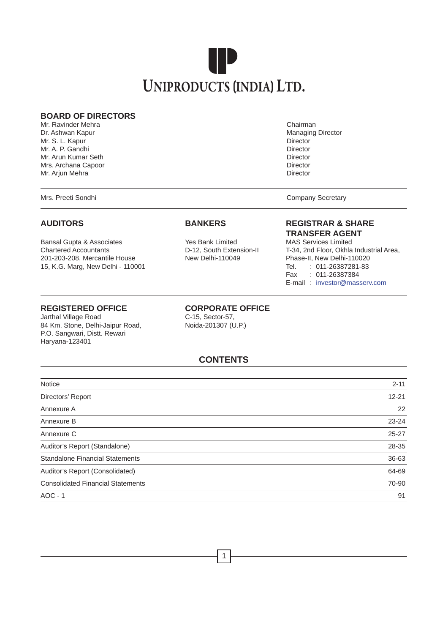

#### **BOARD OF DIRECTORS**

Mr. Ravinder Mehra Chairman Chairman Chairman Chairman Chairman Chairman Chairman Chairman Chairman Chairman Ch Dr. Ashwan Kapur Managing Director Controller Controller Controller Managing Director Mr. S. L. Kapur Director Communication of the Communication of the Communication of the Director Communication of the Director Mr. A. P. Gandhi Director<br>Mr. Arun Kumar Seth Director Communication of the Director Director Mr. Arun Kumar Seth Director (1999) and the United States of the Director (1999) and Director (1999) and Director (1999) and Director (1999) and Director (1999) and Director (1999) and Director (1999) and Director (1999) a Mrs. Archana Capoor Director Mr. Arjun Mehra

Mrs. Preeti Sondhi Company Secretary Company Secretary

Bansal Gupta & Associates Yes Bank Limited<br>Chartered Accountants The Mass Counter Limited Chartered Accountants 201-203-208, Mercantile House 15, K.G. Marg, New Delhi - 110001 Tel. : 011-26387281-83

### **REGISTERED OFFICE**<br> **CORPORATE OFFICE**<br>
C-15. Sector-57.

Jarthal Village Road<br>
84 Km. Stone, Delhi-Jaipur Road, 
C-15, Sector-57, 
C-15, Sector-57, 84 Km. Stone, Delhi-Jaipur Road, P.O. Sangwari, Distt. Rewari Haryana-123401

### **AUDITORS BANKERS REGISTRAR & SHARE TRANSFER AGENT**<br>Yes Bank Limited MAS Services Limited

D-12, South Extension-II T-34, 2nd Floor, Okhla Industrial Area,<br>New Delhi-110049 Phase-II, New Delhi-110020 Fax : 011-26387384 E-mail : investor@masserv.com

# **CONTENTS**

| <b>Notice</b>                            | $2 - 11$  |
|------------------------------------------|-----------|
| Directors' Report                        | $12 - 21$ |
| Annexure A                               | 22        |
| Annexure B                               | $23 - 24$ |
| Annexure C                               | $25 - 27$ |
| Auditor's Report (Standalone)            | 28-35     |
| <b>Standalone Financial Statements</b>   | 36-63     |
| Auditor's Report (Consolidated)          | 64-69     |
| <b>Consolidated Financial Statements</b> | 70-90     |
| $AOC - 1$                                | 91        |
|                                          |           |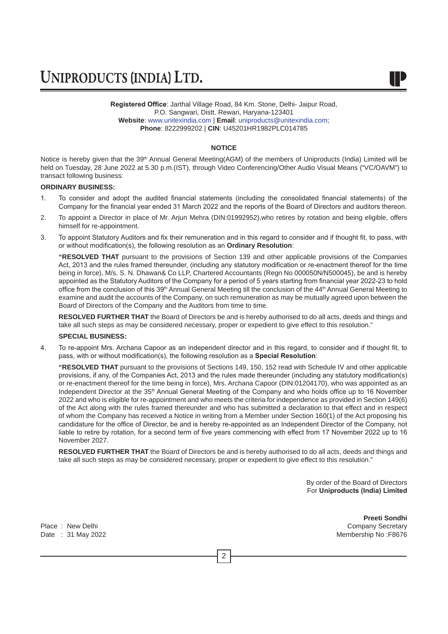**Registered Office**: Jarthal Village Road, 84 Km. Stone, Delhi- Jaipur Road, P.O. Sangwari, Distt. Rewari, Haryana-123401 **Website**: www.unitexindia.com | **Email**: uniproducts@unitexindia.com; **Phone**: 8222999202 | **CIN**: U45201HR1982PLC014785

#### **NOTICE**

Notice is hereby given that the 39<sup>th</sup> Annual General Meeting(AGM) of the members of Uniproducts (India) Limited will be held on Tuesday, 28 June 2022 at 5.30 p.m.(IST), through Video Conferencing/Other Audio Visual Means ("VC/OAVM") to transact following business:

#### **ORDINARY BUSINESS:**

- 1. To consider and adopt the audited financial statements (including the consolidated financial statements) of the Company for the financial year ended 31 March 2022 and the reports of the Board of Directors and auditors thereon.
- 2. To appoint a Director in place of Mr. Arjun Mehra (DIN:01992952),who retires by rotation and being eligible, offers himself for re-appointment.
- 3. To appoint Statutory Auditors and fix their remuneration and in this regard to consider and if thought fit, to pass, with or without modification(s), the following resolution as an **Ordinary Resolution**:

**"RESOLVED THAT** pursuant to the provisions of Section 139 and other applicable provisions of the Companies Act, 2013 and the rules framed thereunder, (including any statutory modification or re-enactment thereof for the time being in force), M/s. S. N. Dhawan& Co LLP, Chartered Accountants (Regn No 000050N/N500045), be and is hereby appointed as the Statutory Auditors of the Company for a period of 5 years starting from financial year 2022-23 to hold office from the conclusion of this 39<sup>th</sup> Annual General Meeting till the conclusion of the 44<sup>th</sup> Annual General Meeting to examine and audit the accounts of the Company, on such remuneration as may be mutually agreed upon between the Board of Directors of the Company and the Auditors from time to time.

**RESOLVED FURTHER THAT** the Board of Directors be and is hereby authorised to do all acts, deeds and things and take all such steps as may be considered necessary, proper or expedient to give effect to this resolution."

#### **SPECIAL BUSINESS:**

4. To re-appoint Mrs. Archana Capoor as an independent director and in this regard, to consider and if thought fit, to pass, with or without modification(s), the following resolution as a **Special Resolution**:

**"RESOLVED THAT** pursuant to the provisions of Sections 149, 150, 152 read with Schedule IV and other applicable provisions, if any, of the Companies Act, 2013 and the rules made thereunder (including any statutory modification(s) or re-enactment thereof for the time being in force), Mrs. Archana Capoor (DIN:01204170), who was appointed as an Independent Director at the 35th Annual General Meeting of the Company and who holds office up to 16 November 2022 and who is eligible for re-appointment and who meets the criteria for independence as provided in Section 149(6) of the Act along with the rules framed thereunder and who has submitted a declaration to that effect and in respect of whom the Company has received a Notice in writing from a Member under Section 160(1) of the Act proposing his candidature for the office of Director, be and is hereby re-appointed as an Independent Director of the Company, not liable to retire by rotation, for a second term of five years commencing with effect from 17 November 2022 up to 16 November 2027.

**RESOLVED FURTHER THAT** the Board of Directors be and is hereby authorised to do all acts, deeds and things and take all such steps as may be considered necessary, proper or expedient to give effect to this resolution."

2

By order of the Board of Directors For **Uniproducts (India) Limited**

**Preeti Sondhi** Place : New Delhi Company Secretary Company Secretary Company Secretary Date : 31 May 2022 **Membership No : F8676** Membership No : F8676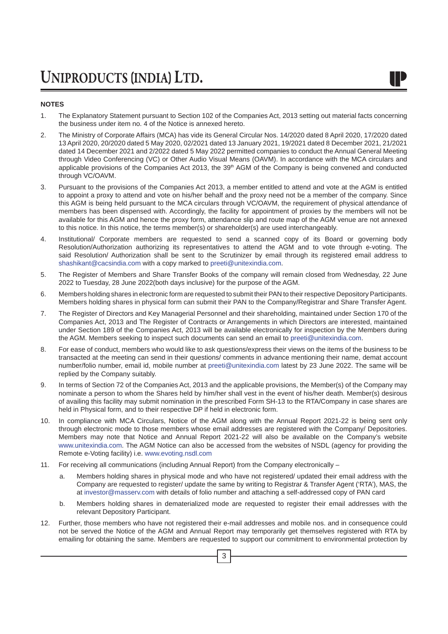#### **NOTES**

- 1. The Explanatory Statement pursuant to Section 102 of the Companies Act, 2013 setting out material facts concerning the business under item no. 4 of the Notice is annexed hereto.
- 2. The Ministry of Corporate Affairs (MCA) has vide its General Circular Nos. 14/2020 dated 8 April 2020, 17/2020 dated 13 April 2020, 20/2020 dated 5 May 2020, 02/2021 dated 13 January 2021, 19/2021 dated 8 December 2021, 21/2021 dated 14 December 2021 and 2/2022 dated 5 May 2022 permitted companies to conduct the Annual General Meeting through Video Conferencing (VC) or Other Audio Visual Means (OAVM). In accordance with the MCA circulars and applicable provisions of the Companies Act 2013, the 39<sup>th</sup> AGM of the Company is being convened and conducted through VC/OAVM.
- 3. Pursuant to the provisions of the Companies Act 2013, a member entitled to attend and vote at the AGM is entitled to appoint a proxy to attend and vote on his/her behalf and the proxy need not be a member of the company. Since this AGM is being held pursuant to the MCA circulars through VC/OAVM, the requirement of physical attendance of members has been dispensed with. Accordingly, the facility for appointment of proxies by the members will not be available for this AGM and hence the proxy form, attendance slip and route map of the AGM venue are not annexed to this notice. In this notice, the terms member(s) or shareholder(s) are used interchangeably.
- 4. Institutional/ Corporate members are requested to send a scanned copy of its Board or governing body Resolution/Authorization authorizing its representatives to attend the AGM and to vote through e-voting. The said Resolution/ Authorization shall be sent to the Scrutinizer by email through its registered email address to shashikant@cacsindia.com with a copy marked to preeti@unitexindia.com.
- 5. The Register of Members and Share Transfer Books of the company will remain closed from Wednesday, 22 June 2022 to Tuesday, 28 June 2022(both days inclusive) for the purpose of the AGM.
- 6. Members holding shares in electronic form are requested to submit their PAN to their respective Depository Participants. Members holding shares in physical form can submit their PAN to the Company/Registrar and Share Transfer Agent.
- 7. The Register of Directors and Key Managerial Personnel and their shareholding, maintained under Section 170 of the Companies Act, 2013 and The Register of Contracts or Arrangements in which Directors are interested, maintained under Section 189 of the Companies Act, 2013 will be available electronically for inspection by the Members during the AGM. Members seeking to inspect such documents can send an email to preeti@unitexindia.com.
- 8. For ease of conduct, members who would like to ask questions/express their views on the items of the business to be transacted at the meeting can send in their questions/ comments in advance mentioning their name, demat account number/folio number, email id, mobile number at preeti@unitexindia.com latest by 23 June 2022. The same will be replied by the Company suitably.
- 9. In terms of Section 72 of the Companies Act, 2013 and the applicable provisions, the Member(s) of the Company may nominate a person to whom the Shares held by him/her shall vest in the event of his/her death. Member(s) desirous of availing this facility may submit nomination in the prescribed Form SH-13 to the RTA/Company in case shares are held in Physical form, and to their respective DP if held in electronic form.
- 10. In compliance with MCA Circulars, Notice of the AGM along with the Annual Report 2021-22 is being sent only through electronic mode to those members whose email addresses are registered with the Company/ Depositories. Members may note that Notice and Annual Report 2021-22 will also be available on the Company's website www.unitexindia.com. The AGM Notice can also be accessed from the websites of NSDL (agency for providing the Remote e-Voting facility) i.e. www.evoting.nsdl.com
- 11. For receiving all communications (including Annual Report) from the Company electronically
	- a. Members holding shares in physical mode and who have not registered/ updated their email address with the Company are requested to register/ update the same by writing to Registrar & Transfer Agent ('RTA'), MAS, the at investor@masserv.com with details of folio number and attaching a self-addressed copy of PAN card
	- b. Members holding shares in dematerialized mode are requested to register their email addresses with the relevant Depository Participant.
- 12. Further, those members who have not registered their e-mail addresses and mobile nos. and in consequence could not be served the Notice of the AGM and Annual Report may temporarily get themselves registered with RTA by emailing for obtaining the same. Members are requested to support our commitment to environmental protection by

3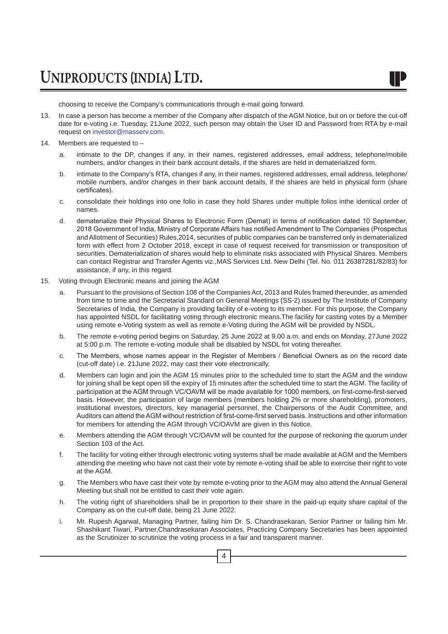choosing to receive the Company's communications through e-mail going forward.

- 13. In case a person has become a member of the Company after dispatch of the AGM Notice, but on or before the cut-off date for e-voting i.e. Tuesday, 21June 2022, such person may obtain the User ID and Password from RTA by e-mail request on investor@masserv.com.
- 14. Members are requested to
	- a. intimate to the DP, changes if any, in their names, registered addresses, email address, telephone/mobile numbers, and/or changes in their bank account details, if the shares are held in dematerialized form.
	- b. intimate to the Company's RTA, changes if any, in their names, registered addresses, email address, telephone/ mobile numbers, and/or changes in their bank account details, if the shares are held in physical form (share certificates).
	- c. consolidate their holdings into one folio in case they hold Shares under multiple folios inthe identical order of names.
	- d. dematerialize their Physical Shares to Electronic Form (Demat) in terms of notification dated 10 September, 2018 Government of India, Ministry of Corporate Affairs has notified Amendment to The Companies (Prospectus and Allotment of Securities) Rules,2014, securities of public companies can be transferred only in dematerialized form with effect from 2 October 2018, except in case of request received for transmission or transposition of securities. Dematerialization of shares would help to eliminate risks associated with Physical Shares. Members can contact Registrar and Transfer Agents viz.,MAS Services Ltd. New Delhi (Tel. No. 011 26387281/82/83) for assistance, if any, in this regard.
- 15. Voting through Electronic means and joining the AGM
	- a. Pursuant to the provisions of Section 108 of the Companies Act, 2013 and Rules framed thereunder, as amended from time to time and the Secretarial Standard on General Meetings (SS-2) issued by The Institute of Company Secretaries of India, the Company is providing facility of e-voting to its member. For this purpose, the Company has appointed NSDL for facilitating voting through electronic means.The facility for casting votes by a Member using remote e-Voting system as well as remote e-Voting during the AGM will be provided by NSDL.
	- b. The remote e-voting period begins on Saturday, 25 June 2022 at 9.00 a.m. and ends on Monday, 27June 2022 at 5:00 p.m. The remote e-voting module shall be disabled by NSDL for voting thereafter.
	- c. The Members, whose names appear in the Register of Members / Beneficial Owners as on the record date (cut-off date) i.e. 21June 2022, may cast their vote electronically.
	- d. Members can login and join the AGM 15 minutes prior to the scheduled time to start the AGM and the window for joining shall be kept open till the expiry of 15 minutes after the scheduled time to start the AGM. The facility of participation at the AGM through VC/OAVM will be made available for 1000 members, on first-come-first-served basis. However, the participation of large members (members holding 2% or more shareholding), promoters, institutional investors, directors, key managerial personnel, the Chairpersons of the Audit Committee, and Auditors can attend theAGM without restriction of first-come-first served basis. Instructions and other information for members for attending the AGM through VC/OAVM are given in this Notice.
	- e. Members attending the AGM through VC/OAVM will be counted for the purpose of reckoning the quorum under Section 103 of the Act.
	- f. The facility for voting either through electronic voting systems shall be made available at AGM and the Members attending the meeting who have not cast their vote by remote e-voting shall be able to exercise their right to vote at the AGM.
	- g. The Members who have cast their vote by remote e-voting prior to the AGM may also attend the Annual General Meeting but shall not be entitled to cast their vote again.
	- h. The voting right of shareholders shall be in proportion to their share in the paid-up equity share capital of the Company as on the cut-off date, being 21 June 2022.
	- i. Mr. Rupesh Agarwal, Managing Partner, failing him Dr. S. Chandrasekaran, Senior Partner or failing him Mr. Shashikant Tiwari, Partner,Chandrasekaran Associates, Practicing Company Secretaries has been appointed as the Scrutinizer to scrutinize the voting process in a fair and transparent manner.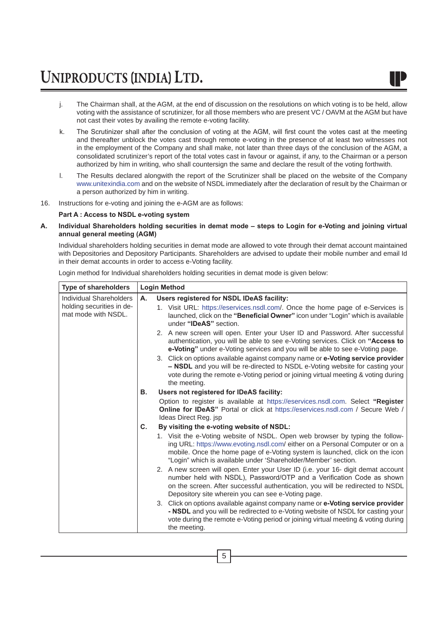- j. The Chairman shall, at the AGM, at the end of discussion on the resolutions on which voting is to be held, allow voting with the assistance of scrutinizer, for all those members who are present VC / OAVM at the AGM but have not cast their votes by availing the remote e-voting facility.
- k. The Scrutinizer shall after the conclusion of voting at the AGM, will first count the votes cast at the meeting and thereafter unblock the votes cast through remote e-voting in the presence of at least two witnesses not in the employment of the Company and shall make, not later than three days of the conclusion of the AGM, a consolidated scrutinizer's report of the total votes cast in favour or against, if any, to the Chairman or a person authorized by him in writing, who shall countersign the same and declare the result of the voting forthwith.
- l. The Results declared alongwith the report of the Scrutinizer shall be placed on the website of the Company www.unitexindia.com and on the website of NSDL immediately after the declaration of result by the Chairman or a person authorized by him in writing.
- 16. Instructions for e-voting and joining the e-AGM are as follows:

#### **Part A : Access to NSDL e-voting system**

**A. Individual Shareholders holding securities in demat mode – steps to Login for e-Voting and joining virtual annual general meeting (AGM)**

Individual shareholders holding securities in demat mode are allowed to vote through their demat account maintained with Depositories and Depository Participants. Shareholders are advised to update their mobile number and email Id in their demat accounts in order to access e-Voting facility.

Login method for Individual shareholders holding securities in demat mode is given below:

| <b>Type of shareholders</b>                                                        | <b>Login Method</b> |                                                                                                                                                                                                                                                                                                                                                                                                                                                                                                                        |  |
|------------------------------------------------------------------------------------|---------------------|------------------------------------------------------------------------------------------------------------------------------------------------------------------------------------------------------------------------------------------------------------------------------------------------------------------------------------------------------------------------------------------------------------------------------------------------------------------------------------------------------------------------|--|
| <b>Individual Shareholders</b><br>holding securities in de-<br>mat mode with NSDL. | А.                  | Users registered for NSDL IDeAS facility:<br>1. Visit URL: https://eservices.nsdl.com/. Once the home page of e-Services is<br>launched, click on the "Beneficial Owner" icon under "Login" which is available<br>under "IDeAS" section.                                                                                                                                                                                                                                                                               |  |
|                                                                                    |                     | 2. A new screen will open. Enter your User ID and Password. After successful<br>authentication, you will be able to see e-Voting services. Click on "Access to<br>e-Voting" under e-Voting services and you will be able to see e-Voting page.<br>3. Click on options available against company name or e-Voting service provider<br>- NSDL and you will be re-directed to NSDL e-Voting website for casting your<br>vote during the remote e-Voting period or joining virtual meeting & voting during<br>the meeting. |  |
|                                                                                    | В.                  | Users not registered for IDeAS facility:                                                                                                                                                                                                                                                                                                                                                                                                                                                                               |  |
|                                                                                    |                     | Option to register is available at https://eservices.nsdl.com. Select "Register<br><b>Online for IDeAS</b> " Portal or click at https://eservices.nsdl.com / Secure Web /<br>Ideas Direct Reg. isp                                                                                                                                                                                                                                                                                                                     |  |
|                                                                                    | C.                  | By visiting the e-voting website of NSDL:                                                                                                                                                                                                                                                                                                                                                                                                                                                                              |  |
|                                                                                    |                     | 1. Visit the e-Voting website of NSDL. Open web browser by typing the follow-<br>ing URL: https://www.evoting.nsdl.com/ either on a Personal Computer or on a<br>mobile. Once the home page of e-Voting system is launched, click on the icon<br>"Login" which is available under 'Shareholder/Member' section.                                                                                                                                                                                                        |  |
|                                                                                    |                     | 2. A new screen will open. Enter your User ID (i.e. your 16- digit demat account<br>number held with NSDL), Password/OTP and a Verification Code as shown<br>on the screen. After successful authentication, you will be redirected to NSDL<br>Depository site wherein you can see e-Voting page.                                                                                                                                                                                                                      |  |
|                                                                                    |                     | 3. Click on options available against company name or e-Voting service provider<br>- NSDL and you will be redirected to e-Voting website of NSDL for casting your<br>vote during the remote e-Voting period or joining virtual meeting & voting during<br>the meeting.                                                                                                                                                                                                                                                 |  |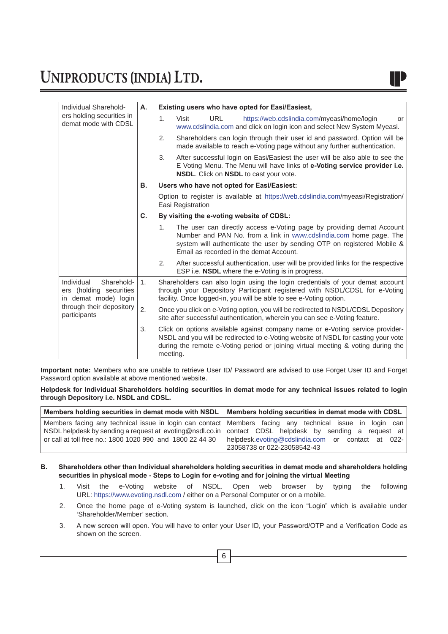| Individual Sharehold-<br>ers holding securities in<br>demat mode with CDSL                                              | Α.             |                                           | Existing users who have opted for Easi/Easiest,                                                                                                                                                                                                                   |  |
|-------------------------------------------------------------------------------------------------------------------------|----------------|-------------------------------------------|-------------------------------------------------------------------------------------------------------------------------------------------------------------------------------------------------------------------------------------------------------------------|--|
|                                                                                                                         |                | 1 <sub>1</sub>                            | <b>URL</b><br>https://web.cdslindia.com/myeasi/home/login<br>Visit<br>or<br>www.cdslindia.com and click on login icon and select New System Myeasi.                                                                                                               |  |
|                                                                                                                         |                | 2.                                        | Shareholders can login through their user id and password. Option will be<br>made available to reach e-Voting page without any further authentication.                                                                                                            |  |
|                                                                                                                         |                | 3.                                        | After successful login on Easi/Easiest the user will be also able to see the<br>E Voting Menu. The Menu will have links of e-Voting service provider i.e.<br>NSDL. Click on NSDL to cast your vote.                                                               |  |
|                                                                                                                         | В.             |                                           | Users who have not opted for Easi/Easiest:                                                                                                                                                                                                                        |  |
|                                                                                                                         |                |                                           | Option to register is available at https://web.cdslindia.com/myeasi/Registration/<br>Easi Registration                                                                                                                                                            |  |
|                                                                                                                         | C.             | By visiting the e-voting website of CDSL: |                                                                                                                                                                                                                                                                   |  |
|                                                                                                                         |                | 1.                                        | The user can directly access e-Voting page by providing demat Account<br>Number and PAN No. from a link in www.cdslindia.com home page. The<br>system will authenticate the user by sending OTP on registered Mobile &<br>Email as recorded in the demat Account. |  |
|                                                                                                                         |                | 2.                                        | After successful authentication, user will be provided links for the respective<br>ESP i.e. <b>NSDL</b> where the e-Voting is in progress.                                                                                                                        |  |
| Individual<br>Sharehold-<br>ers (holding securities<br>in demat mode) login<br>through their depository<br>participants | $\mathbf{1}$ . |                                           | Shareholders can also login using the login credentials of your demat account<br>through your Depository Participant registered with NSDL/CDSL for e-Voting<br>facility. Once logged-in, you will be able to see e-Voting option.                                 |  |
|                                                                                                                         | 2.             |                                           | Once you click on e-Voting option, you will be redirected to NSDL/CDSL Depository<br>site after successful authentication, wherein you can see e-Voting feature.                                                                                                  |  |
|                                                                                                                         | 3.             | meeting.                                  | Click on options available against company name or e-Voting service provider-<br>NSDL and you will be redirected to e-Voting website of NSDL for casting your vote<br>during the remote e-Voting period or joining virtual meeting & voting during the            |  |

**Important note:** Members who are unable to retrieve User ID/ Password are advised to use Forget User ID and Forget Password option available at above mentioned website.

**Helpdesk for Individual Shareholders holding securities in demat mode for any technical issues related to login through Depository i.e. NSDL and CDSL.**

| Members holding securities in demat mode with NSDL   Members holding securities in demat mode with CDSL       |
|---------------------------------------------------------------------------------------------------------------|
| Members facing any technical issue in login can contact Members facing any technical issue in login can       |
| NSDL helpdesk by sending a request at evoting@nsdl.co.in   contact CDSL helpdesk by sending a request at      |
| or call at toll free no.: 1800 1020 990 and 1800 22 44 30   helpdesk.evoting@cdslindia.com or contact at 022- |
| 23058738 or 022-23058542-43                                                                                   |

#### **B. Shareholders other than Individual shareholders holding securities in demat mode and shareholders holding securities in physical mode - Steps to Login for e-voting and for joining the virtual Meeting**

- 1. Visit the e-Voting website of NSDL. Open web browser by typing the following URL: https://www.evoting.nsdl.com / either on a Personal Computer or on a mobile.
- 2. Once the home page of e-Voting system is launched, click on the icon "Login" which is available under 'Shareholder/Member' section.
- 3. A new screen will open. You will have to enter your User ID, your Password/OTP and a Verification Code as shown on the screen.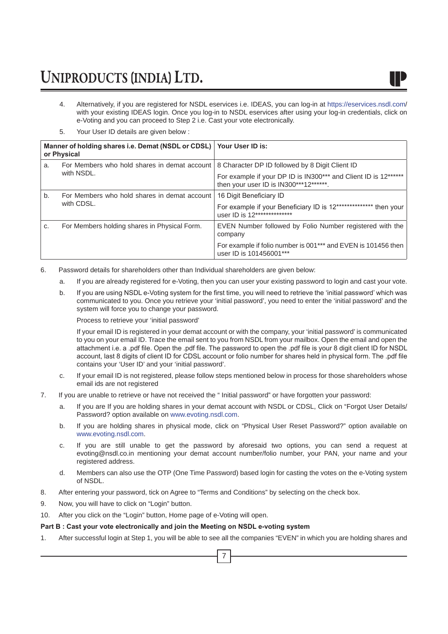

- 4. Alternatively, if you are registered for NSDL eservices i.e. IDEAS, you can log-in at https://eservices.nsdl.com/ with your existing IDEAS login. Once you log-in to NSDL eservices after using your log-in credentials, click on e-Voting and you can proceed to Step 2 i.e. Cast your vote electronically.
- 5. Your User ID details are given below :

|    | Manner of holding shares i.e. Demat (NSDL or CDSL)   Your User ID is:<br>or Physical |                                                                                                           |
|----|--------------------------------------------------------------------------------------|-----------------------------------------------------------------------------------------------------------|
| a. | For Members who hold shares in demat account                                         | 8 Character DP ID followed by 8 Digit Client ID                                                           |
|    | with NSDL.                                                                           | For example if your DP ID is IN300*** and Client ID is 12******<br>then your user ID is IN300***12******. |
| b. | For Members who hold shares in demat account                                         | 16 Digit Beneficiary ID                                                                                   |
|    | with CDSL.                                                                           | For example if your Beneficiary ID is 12*************** then your<br>user ID is 12**************          |
| C. | For Members holding shares in Physical Form.                                         | EVEN Number followed by Folio Number registered with the<br>company                                       |
|    |                                                                                      | For example if folio number is 001*** and EVEN is 101456 then<br>user ID is 101456001***                  |

- 6. Password details for shareholders other than Individual shareholders are given below:
	- a. If you are already registered for e-Voting, then you can user your existing password to login and cast your vote.
	- b. If you are using NSDL e-Voting system for the first time, you will need to retrieve the 'initial password' which was communicated to you. Once you retrieve your 'initial password', you need to enter the 'initial password' and the system will force you to change your password.

Process to retrieve your 'initial password'

 If your email ID is registered in your demat account or with the company, your 'initial password' is communicated to you on your email ID. Trace the email sent to you from NSDL from your mailbox. Open the email and open the attachment i.e. a .pdf file. Open the .pdf file. The password to open the .pdf file is your 8 digit client ID for NSDL account, last 8 digits of client ID for CDSL account or folio number for shares held in physical form. The .pdf file contains your 'User ID' and your 'initial password'.

- c. If your email ID is not registered, please follow steps mentioned below in process for those shareholders whose email ids are not registered
- 7. If you are unable to retrieve or have not received the " Initial password" or have forgotten your password:
	- a. If you are If you are holding shares in your demat account with NSDL or CDSL, Click on "Forgot User Details/ Password? option available on www.evoting.nsdl.com.
	- b. If you are holding shares in physical mode, click on "Physical User Reset Password?" option available on www.evoting.nsdl.com.
	- c. If you are still unable to get the password by aforesaid two options, you can send a request at evoting@nsdl.co.in mentioning your demat account number/folio number, your PAN, your name and your registered address.
	- d. Members can also use the OTP (One Time Password) based login for casting the votes on the e-Voting system of NSDL.
- 8. After entering your password, tick on Agree to "Terms and Conditions" by selecting on the check box.
- 9. Now, you will have to click on "Login" button.
- 10. After you click on the "Login" button, Home page of e-Voting will open.

#### **Part B : Cast your vote electronically and join the Meeting on NSDL e-voting system**

1. After successful login at Step 1, you will be able to see all the companies "EVEN" in which you are holding shares and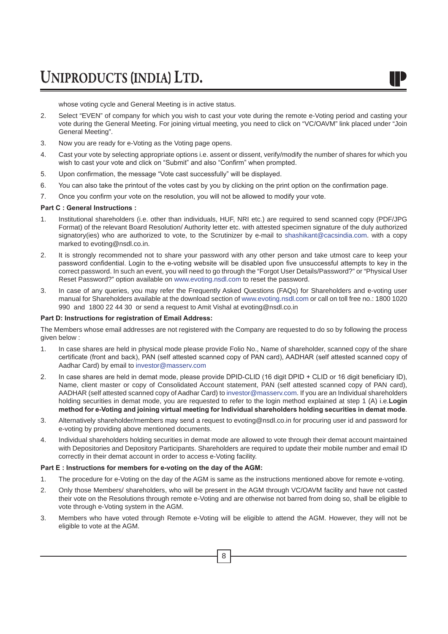whose voting cycle and General Meeting is in active status.

- 2. Select "EVEN" of company for which you wish to cast your vote during the remote e-Voting period and casting your vote during the General Meeting. For joining virtual meeting, you need to click on "VC/OAVM" link placed under "Join General Meeting".
- 3. Now you are ready for e-Voting as the Voting page opens.
- 4. Cast your vote by selecting appropriate options i.e. assent or dissent, verify/modify the number of shares for which you wish to cast your vote and click on "Submit" and also "Confirm" when prompted.
- 5. Upon confirmation, the message "Vote cast successfully" will be displayed.
- 6. You can also take the printout of the votes cast by you by clicking on the print option on the confirmation page.
- 7. Once you confirm your vote on the resolution, you will not be allowed to modify your vote.

#### **Part C : General Instructions :**

- 1. Institutional shareholders (i.e. other than individuals, HUF, NRI etc.) are required to send scanned copy (PDF/JPG Format) of the relevant Board Resolution/ Authority letter etc. with attested specimen signature of the duly authorized signatory(ies) who are authorized to vote, to the Scrutinizer by e-mail to shashikant@cacsindia.com. with a copy marked to evoting@nsdl.co.in.
- 2. It is strongly recommended not to share your password with any other person and take utmost care to keep your password confidential. Login to the e-voting website will be disabled upon five unsuccessful attempts to key in the correct password. In such an event, you will need to go through the "Forgot User Details/Password?" or "Physical User Reset Password?" option available on www.evoting.nsdl.com to reset the password.
- 3. In case of any queries, you may refer the Frequently Asked Questions (FAQs) for Shareholders and e-voting user manual for Shareholders available at the download section of www.evoting.nsdl.com or call on toll free no.: 1800 1020 990 and 1800 22 44 30 or send a request to Amit Vishal at evoting@nsdl.co.in

#### **Part D: Instructions for registration of Email Address:**

The Members whose email addresses are not registered with the Company are requested to do so by following the process given below :

- 1. In case shares are held in physical mode please provide Folio No., Name of shareholder, scanned copy of the share certificate (front and back), PAN (self attested scanned copy of PAN card), AADHAR (self attested scanned copy of Aadhar Card) by email to investor@masserv.com
- 2. In case shares are held in demat mode, please provide DPID-CLID (16 digit DPID + CLID or 16 digit beneficiary ID), Name, client master or copy of Consolidated Account statement, PAN (self attested scanned copy of PAN card), AADHAR (self attested scanned copy of Aadhar Card) to investor@masserv.com. If you are an Individual shareholders holding securities in demat mode, you are requested to refer to the login method explained at step 1 (A) i.e.**Login method for e-Voting and joining virtual meeting for Individual shareholders holding securities in demat mode**.
- 3. Alternatively shareholder/members may send a request to evoting@nsdl.co.in for procuring user id and password for e-voting by providing above mentioned documents.
- 4. Individual shareholders holding securities in demat mode are allowed to vote through their demat account maintained with Depositories and Depository Participants. Shareholders are required to update their mobile number and email ID correctly in their demat account in order to access e-Voting facility.

#### **Part E : Instructions for members for e-voting on the day of the AGM:**

- 1. The procedure for e-Voting on the day of the AGM is same as the instructions mentioned above for remote e-voting.
- 2. Only those Members/ shareholders, who will be present in the AGM through VC/OAVM facility and have not casted their vote on the Resolutions through remote e-Voting and are otherwise not barred from doing so, shall be eligible to vote through e-Voting system in the AGM.
- 3. Members who have voted through Remote e-Voting will be eligible to attend the AGM. However, they will not be eligible to vote at the AGM.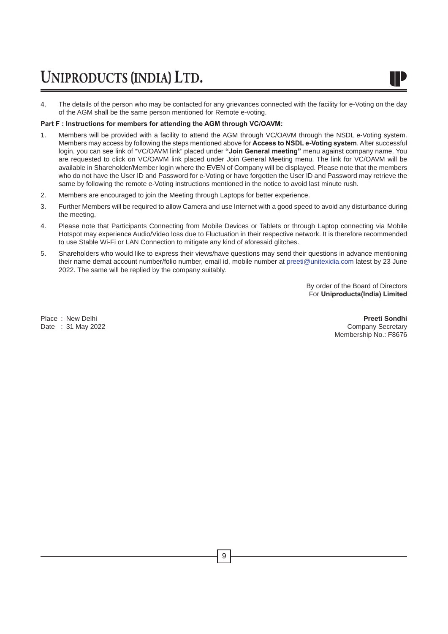4. The details of the person who may be contacted for any grievances connected with the facility for e-Voting on the day of the AGM shall be the same person mentioned for Remote e-voting.

#### **Part F : Instructions for members for attending the AGM through VC/OAVM:**

- 1. Members will be provided with a facility to attend the AGM through VC/OAVM through the NSDL e-Voting system. Members may access by following the steps mentioned above for **Access to NSDL e-Voting system**. After successful login, you can see link of "VC/OAVM link" placed under **"Join General meeting"** menu against company name. You are requested to click on VC/OAVM link placed under Join General Meeting menu. The link for VC/OAVM will be available in Shareholder/Member login where the EVEN of Company will be displayed. Please note that the members who do not have the User ID and Password for e-Voting or have forgotten the User ID and Password may retrieve the same by following the remote e-Voting instructions mentioned in the notice to avoid last minute rush.
- 2. Members are encouraged to join the Meeting through Laptops for better experience.
- 3. Further Members will be required to allow Camera and use Internet with a good speed to avoid any disturbance during the meeting.
- 4. Please note that Participants Connecting from Mobile Devices or Tablets or through Laptop connecting via Mobile Hotspot may experience Audio/Video loss due to Fluctuation in their respective network. It is therefore recommended to use Stable Wi-Fi or LAN Connection to mitigate any kind of aforesaid glitches.
- 5. Shareholders who would like to express their views/have questions may send their questions in advance mentioning their name demat account number/folio number, email id, mobile number at preeti@unitexidia.com latest by 23 June 2022. The same will be replied by the company suitably.

By order of the Board of Directors For **Uniproducts(India) Limited**

Date :  $31$  May 2022

Place : New Delhi **Preeti Sondhi Preeti Sondhi Preeti Sondhi Preeti Sondhi Preeti Sondhi Preeti Sondhi Preeti Sondhi Preeti Sondhi Preeti Sondhi Preeti Sondhi Preeti Sondhi Preeti Sondhi Preeti Sond** Membership No.: F8676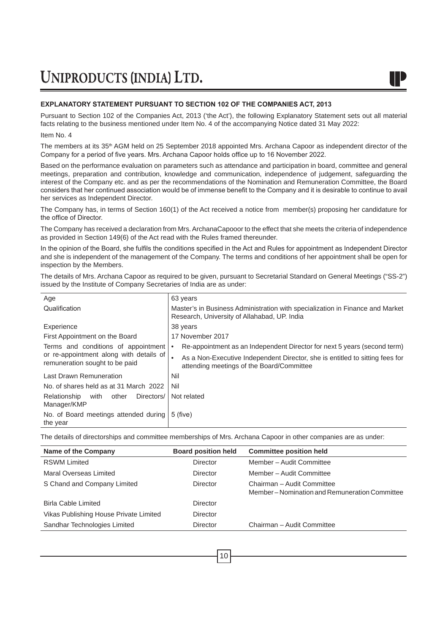#### **EXPLANATORY STATEMENT PURSUANT TO SECTION 102 OF THE COMPANIES ACT, 2013**

Pursuant to Section 102 of the Companies Act, 2013 ('the Act'), the following Explanatory Statement sets out all material facts relating to the business mentioned under Item No. 4 of the accompanying Notice dated 31 May 2022:

#### Item No. 4

The members at its 35<sup>th</sup> AGM held on 25 September 2018 appointed Mrs. Archana Capoor as independent director of the Company for a period of five years. Mrs. Archana Capoor holds office up to 16 November 2022.

Based on the performance evaluation on parameters such as attendance and participation in board, committee and general meetings, preparation and contribution, knowledge and communication, independence of judgement, safeguarding the interest of the Company etc. and as per the recommendations of the Nomination and Remuneration Committee, the Board considers that her continued association would be of immense benefit to the Company and it is desirable to continue to avail her services as Independent Director.

The Company has, in terms of Section 160(1) of the Act received a notice from member(s) proposing her candidature for the office of Director.

The Company has received a declaration from Mrs. ArchanaCapooor to the effect that she meets the criteria of independence as provided in Section 149(6) of the Act read with the Rules framed thereunder.

In the opinion of the Board, she fulfils the conditions specified in the Act and Rules for appointment as Independent Director and she is independent of the management of the Company. The terms and conditions of her appointment shall be open for inspection by the Members.

The details of Mrs. Archana Capoor as required to be given, pursuant to Secretarial Standard on General Meetings ("SS-2") issued by the Institute of Company Secretaries of India are as under:

| Age                                                                       | 63 years                                                                                                                      |  |
|---------------------------------------------------------------------------|-------------------------------------------------------------------------------------------------------------------------------|--|
| Qualification                                                             | Master's in Business Administration with specialization in Finance and Market<br>Research, University of Allahabad, UP. India |  |
| Experience                                                                | 38 years                                                                                                                      |  |
| First Appointment on the Board                                            | 17 November 2017                                                                                                              |  |
| Terms and conditions of appointment                                       | Re-appointment as an Independent Director for next 5 years (second term)                                                      |  |
| or re-appointment along with details of<br>remuneration sought to be paid | As a Non-Executive Independent Director, she is entitled to sitting fees for<br>attending meetings of the Board/Committee     |  |
| Last Drawn Remuneration                                                   | Nil                                                                                                                           |  |
| No. of shares held as at 31 March 2022                                    | Nil                                                                                                                           |  |
| Relationship<br>Directors/<br>other<br>with<br>Manager/KMP                | Not related                                                                                                                   |  |
| No. of Board meetings attended during<br>the year                         | $5$ (five)                                                                                                                    |  |

The details of directorships and committee memberships of Mrs. Archana Capoor in other companies are as under:

| <b>Board position held</b> | <b>Committee position held</b>                                             |
|----------------------------|----------------------------------------------------------------------------|
| Director                   | Member - Audit Committee                                                   |
| Director                   | Member - Audit Committee                                                   |
| Director                   | Chairman - Audit Committee<br>Member-Nomination and Remuneration Committee |
| Director                   |                                                                            |
| Director                   |                                                                            |
| Director                   | Chairman - Audit Committee                                                 |
|                            |                                                                            |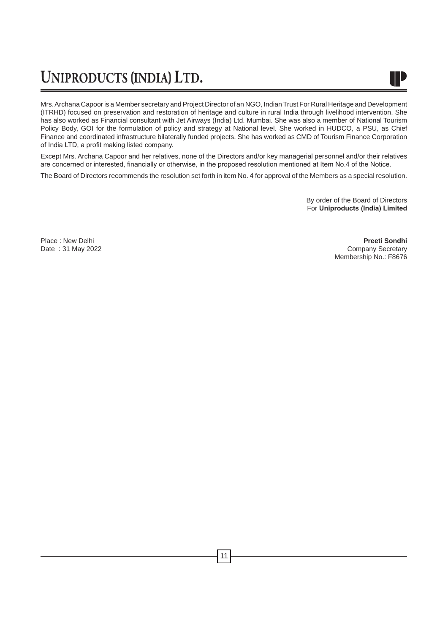

Mrs. Archana Capoor is a Member secretary and Project Director of an NGO, Indian Trust For Rural Heritage and Development (ITRHD) focused on preservation and restoration of heritage and culture in rural India through livelihood intervention. She has also worked as Financial consultant with Jet Airways (India) Ltd. Mumbai. She was also a member of National Tourism Policy Body, GOI for the formulation of policy and strategy at National level. She worked in HUDCO, a PSU, as Chief Finance and coordinated infrastructure bilaterally funded projects. She has worked as CMD of Tourism Finance Corporation of India LTD, a profit making listed company.

Except Mrs. Archana Capoor and her relatives, none of the Directors and/or key managerial personnel and/or their relatives are concerned or interested, financially or otherwise, in the proposed resolution mentioned at Item No.4 of the Notice.

The Board of Directors recommends the resolution set forth in item No. 4 for approval of the Members as a special resolution.

By order of the Board of Directors For **Uniproducts (India) Limited**

Place : New Delhi **Preeti Sondhi** Date : 31 May 2022 **Company Secretary** Membership No.: F8676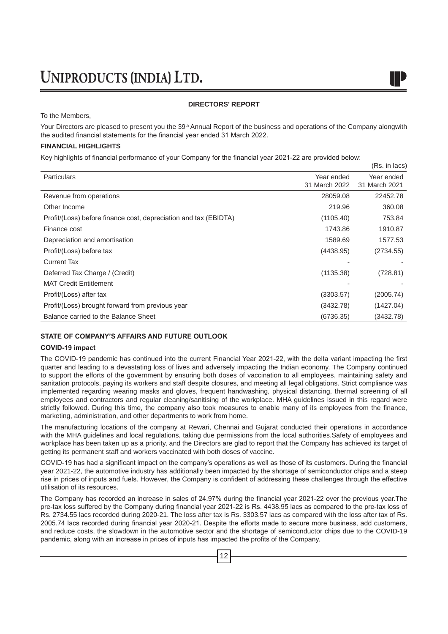#### **DIRECTORS' REPORT**

To the Members,

Your Directors are pleased to present you the 39<sup>th</sup> Annual Report of the business and operations of the Company alongwith the audited financial statements for the financial year ended 31 March 2022.

 $(De \text{ in } \text{lace})$ 

#### **FINANCIAL HIGHLIGHTS**

Key highlights of financial performance of your Company for the financial year 2021-22 are provided below:

|                                                                  |                             | (110.1111000)               |
|------------------------------------------------------------------|-----------------------------|-----------------------------|
| <b>Particulars</b>                                               | Year ended<br>31 March 2022 | Year ended<br>31 March 2021 |
| Revenue from operations                                          | 28059.08                    | 22452.78                    |
| Other Income                                                     | 219.96                      | 360.08                      |
| Profit/(Loss) before finance cost, depreciation and tax (EBIDTA) | (1105.40)                   | 753.84                      |
| Finance cost                                                     | 1743.86                     | 1910.87                     |
| Depreciation and amortisation                                    | 1589.69                     | 1577.53                     |
| Profit/(Loss) before tax                                         | (4438.95)                   | (2734.55)                   |
| <b>Current Tax</b>                                               |                             |                             |
| Deferred Tax Charge / (Credit)                                   | (1135.38)                   | (728.81)                    |
| <b>MAT Credit Entitlement</b>                                    |                             |                             |
| Profit/(Loss) after tax                                          | (3303.57)                   | (2005.74)                   |
| Profit/(Loss) brought forward from previous year                 | (3432.78)                   | (1427.04)                   |
| Balance carried to the Balance Sheet                             | (6736.35)                   | (3432.78)                   |

#### **STATE OF COMPANY'S AFFAIRS AND FUTURE OUTLOOK**

#### **COVID-19 impact**

The COVID-19 pandemic has continued into the current Financial Year 2021-22, with the delta variant impacting the first quarter and leading to a devastating loss of lives and adversely impacting the Indian economy. The Company continued to support the efforts of the government by ensuring both doses of vaccination to all employees, maintaining safety and sanitation protocols, paying its workers and staff despite closures, and meeting all legal obligations. Strict compliance was implemented regarding wearing masks and gloves, frequent handwashing, physical distancing, thermal screening of all employees and contractors and regular cleaning/sanitising of the workplace. MHA guidelines issued in this regard were strictly followed. During this time, the company also took measures to enable many of its employees from the finance, marketing, administration, and other departments to work from home.

The manufacturing locations of the company at Rewari, Chennai and Gujarat conducted their operations in accordance with the MHA guidelines and local regulations, taking due permissions from the local authorities.Safety of employees and workplace has been taken up as a priority, and the Directors are glad to report that the Company has achieved its target of getting its permanent staff and workers vaccinated with both doses of vaccine.

COVID-19 has had a significant impact on the company's operations as well as those of its customers. During the financial year 2021-22, the automotive industry has additionally been impacted by the shortage of semiconductor chips and a steep rise in prices of inputs and fuels. However, the Company is confident of addressing these challenges through the effective utilisation of its resources.

The Company has recorded an increase in sales of 24.97% during the financial year 2021-22 over the previous year.The pre-tax loss suffered by the Company during financial year 2021-22 is Rs. 4438.95 lacs as compared to the pre-tax loss of Rs. 2734.55 lacs recorded during 2020-21. The loss after tax is Rs. 3303.57 lacs as compared with the loss after tax of Rs. 2005.74 lacs recorded during financial year 2020-21. Despite the efforts made to secure more business, add customers, and reduce costs, the slowdown in the automotive sector and the shortage of semiconductor chips due to the COVID-19 pandemic, along with an increase in prices of inputs has impacted the profits of the Company.

12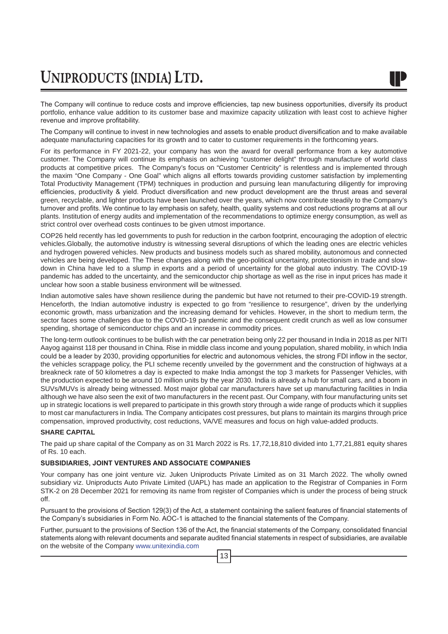The Company will continue to reduce costs and improve efficiencies, tap new business opportunities, diversify its product portfolio, enhance value addition to its customer base and maximize capacity utilization with least cost to achieve higher revenue and improve profitability.

The Company will continue to invest in new technologies and assets to enable product diversification and to make available adequate manufacturing capacities for its growth and to cater to customer requirements in the forthcoming years.

For its performance in FY 2021-22, your company has won the award for overall performance from a key automotive customer. The Company will continue its emphasis on achieving "customer delight" through manufacture of world class products at competitive prices. The Company's focus on "Customer Centricity" is relentless and is implemented through the maxim "One Company - One Goal" which aligns all efforts towards providing customer satisfaction by implementing Total Productivity Management (TPM) techniques in production and pursuing lean manufacturing diligently for improving efficiencies, productivity & yield. Product diversification and new product development are the thrust areas and several green, recyclable, and lighter products have been launched over the years, which now contribute steadily to the Company's turnover and profits. We continue to lay emphasis on safety, health, quality systems and cost reductions programs at all our plants. Institution of energy audits and implementation of the recommendations to optimize energy consumption, as well as strict control over overhead costs continues to be given utmost importance.

COP26 held recently has led governments to push for reduction in the carbon footprint, encouraging the adoption of electric vehicles.Globally, the automotive industry is witnessing several disruptions of which the leading ones are electric vehicles and hydrogen powered vehicles. New products and business models such as shared mobility, autonomous and connected vehicles are being developed. The These changes along with the geo-political uncertainty, protectionism in trade and slowdown in China have led to a slump in exports and a period of uncertainty for the global auto industry. The COVID-19 pandemic has added to the uncertainty, and the semiconductor chip shortage as well as the rise in input prices has made it unclear how soon a stable business environment will be witnessed.

Indian automotive sales have shown resilience during the pandemic but have not returned to their pre-COVID-19 strength. Henceforth, the Indian automotive industry is expected to go from "resilience to resurgence", driven by the underlying economic growth, mass urbanization and the increasing demand for vehicles. However, in the short to medium term, the sector faces some challenges due to the COVID-19 pandemic and the consequent credit crunch as well as low consumer spending, shortage of semiconductor chips and an increase in commodity prices.

The long-term outlook continues to be bullish with the car penetration being only 22 per thousand in India in 2018 as per NITI Aayog against 118 per thousand in China. Rise in middle class income and young population, shared mobility, in which India could be a leader by 2030, providing opportunities for electric and autonomous vehicles, the strong FDI inflow in the sector, the vehicles scrappage policy, the PLI scheme recently unveiled by the government and the construction of highways at a breakneck rate of 50 kilometres a day is expected to make India amongst the top 3 markets for Passenger Vehicles, with the production expected to be around 10 million units by the year 2030. India is already a hub for small cars, and a boom in SUVs/MUVs is already being witnessed. Most major global car manufacturers have set up manufacturing facilities in India although we have also seen the exit of two manufacturers in the recent past. Our Company, with four manufacturing units set up in strategic locations is well prepared to participate in this growth story through a wide range of products which it supplies to most car manufacturers in India. The Company anticipates cost pressures, but plans to maintain its margins through price compensation, improved productivity, cost reductions, VA/VE measures and focus on high value-added products.

#### **SHARE CAPITAL**

The paid up share capital of the Company as on 31 March 2022 is Rs. 17,72,18,810 divided into 1,77,21,881 equity shares of Rs. 10 each.

#### **SUBSIDIARIES, JOINT VENTURES AND ASSOCIATE COMPANIES**

Your company has one joint venture viz. Juken Uniproducts Private Limited as on 31 March 2022. The wholly owned subsidiary viz. Uniproducts Auto Private Limited (UAPL) has made an application to the Registrar of Companies in Form STK-2 on 28 December 2021 for removing its name from register of Companies which is under the process of being struck off.

Pursuant to the provisions of Section 129(3) of the Act, a statement containing the salient features of financial statements of the Company's subsidiaries in Form No. AOC-1 is attached to the financial statements of the Company.

Further, pursuant to the provisions of Section 136 of the Act, the financial statements of the Company, consolidated financial statements along with relevant documents and separate audited financial statements in respect of subsidiaries, are available on the website of the Company www.unitexindia.com

13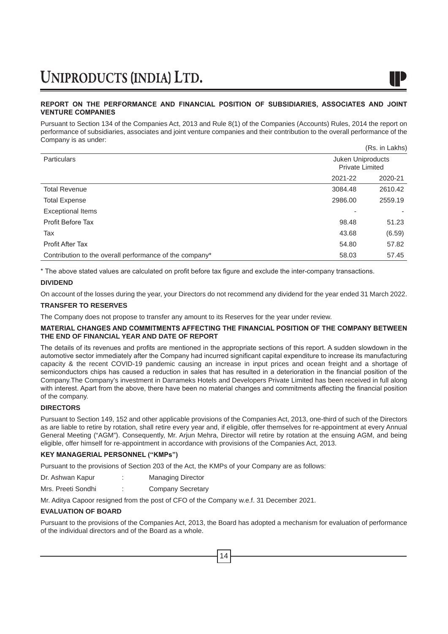#### **REPORT ON THE PERFORMANCE AND FINANCIAL POSITION OF SUBSIDIARIES, ASSOCIATES AND JOINT VENTURE COMPANIES**

Pursuant to Section 134 of the Companies Act, 2013 and Rule 8(1) of the Companies (Accounts) Rules, 2014 the report on performance of subsidiaries, associates and joint venture companies and their contribution to the overall performance of the Company is as under: (Rs. in Lakhs)

|                                                         |         | (Ns. III LANIS)                             |  |
|---------------------------------------------------------|---------|---------------------------------------------|--|
| <b>Particulars</b>                                      |         | Juken Uniproducts<br><b>Private Limited</b> |  |
|                                                         | 2021-22 | 2020-21                                     |  |
| <b>Total Revenue</b>                                    | 3084.48 | 2610.42                                     |  |
| <b>Total Expense</b>                                    | 2986.00 | 2559.19                                     |  |
| <b>Exceptional Items</b>                                |         |                                             |  |
| Profit Before Tax                                       | 98.48   | 51.23                                       |  |
| Tax                                                     | 43.68   | (6.59)                                      |  |
| <b>Profit After Tax</b>                                 | 54.80   | 57.82                                       |  |
| Contribution to the overall performance of the company* | 58.03   | 57.45                                       |  |

\* The above stated values are calculated on profit before tax figure and exclude the inter-company transactions.

#### **DIVIDEND**

On account of the losses during the year, your Directors do not recommend any dividend for the year ended 31 March 2022.

#### **TRANSFER TO RESERVES**

The Company does not propose to transfer any amount to its Reserves for the year under review.

#### **MATERIAL CHANGES AND COMMITMENTS AFFECTING THE FINANCIAL POSITION OF THE COMPANY BETWEEN THE END OF FINANCIAL YEAR AND DATE OF REPORT**

The details of its revenues and profits are mentioned in the appropriate sections of this report. A sudden slowdown in the automotive sector immediately after the Company had incurred significant capital expenditure to increase its manufacturing capacity & the recent COVID-19 pandemic causing an increase in input prices and ocean freight and a shortage of semiconductors chips has caused a reduction in sales that has resulted in a deterioration in the financial position of the Company.The Company's investment in Darrameks Hotels and Developers Private Limited has been received in full along with interest. Apart from the above, there have been no material changes and commitments affecting the financial position of the company.

#### **DIRECTORS**

Pursuant to Section 149, 152 and other applicable provisions of the Companies Act, 2013, one-third of such of the Directors as are liable to retire by rotation, shall retire every year and, if eligible, offer themselves for re-appointment at every Annual General Meeting ("AGM"). Consequently, Mr. Arjun Mehra, Director will retire by rotation at the ensuing AGM, and being eligible, offer himself for re-appointment in accordance with provisions of the Companies Act, 2013.

#### **KEY MANAGERIAL PERSONNEL ("KMPs")**

Pursuant to the provisions of Section 203 of the Act, the KMPs of your Company are as follows:

Dr. Ashwan Kapur : Managing Director

Mrs. Preeti Sondhi : Company Secretary

Mr. Aditya Capoor resigned from the post of CFO of the Company w.e.f. 31 December 2021.

#### **EVALUATION OF BOARD**

Pursuant to the provisions of the Companies Act, 2013, the Board has adopted a mechanism for evaluation of performance of the individual directors and of the Board as a whole.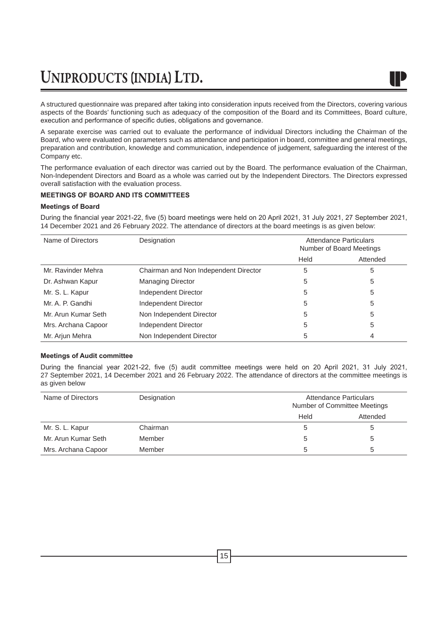

A structured questionnaire was prepared after taking into consideration inputs received from the Directors, covering various aspects of the Boards' functioning such as adequacy of the composition of the Board and its Committees, Board culture, execution and performance of specific duties, obligations and governance.

A separate exercise was carried out to evaluate the performance of individual Directors including the Chairman of the Board, who were evaluated on parameters such as attendance and participation in board, committee and general meetings, preparation and contribution, knowledge and communication, independence of judgement, safeguarding the interest of the Company etc.

The performance evaluation of each director was carried out by the Board. The performance evaluation of the Chairman, Non-Independent Directors and Board as a whole was carried out by the Independent Directors. The Directors expressed overall satisfaction with the evaluation process.

#### **MEETINGS OF BOARD AND ITS COMMITTEES**

#### **Meetings of Board**

During the financial year 2021-22, five (5) board meetings were held on 20 April 2021, 31 July 2021, 27 September 2021, 14 December 2021 and 26 February 2022. The attendance of directors at the board meetings is as given below:

| Name of Directors   | Designation                           | Attendance Particulars<br>Number of Board Meetings |          |
|---------------------|---------------------------------------|----------------------------------------------------|----------|
|                     |                                       | Held                                               | Attended |
| Mr. Ravinder Mehra  | Chairman and Non Independent Director | 5                                                  | 5        |
| Dr. Ashwan Kapur    | <b>Managing Director</b>              | 5                                                  | 5        |
| Mr. S. L. Kapur     | Independent Director                  | 5                                                  | 5        |
| Mr. A. P. Gandhi    | Independent Director                  | 5                                                  | 5        |
| Mr. Arun Kumar Seth | Non Independent Director              | 5                                                  | 5        |
| Mrs. Archana Capoor | Independent Director                  | 5                                                  | 5        |
| Mr. Arjun Mehra     | Non Independent Director              | 5                                                  | 4        |

#### **Meetings of Audit committee**

During the financial year 2021-22, five (5) audit committee meetings were held on 20 April 2021, 31 July 2021, 27 September 2021, 14 December 2021 and 26 February 2022. The attendance of directors at the committee meetings is as given below

| Name of Directors   | Designation | Attendance Particulars<br>Number of Committee Meetings |          |
|---------------------|-------------|--------------------------------------------------------|----------|
|                     |             | Held                                                   | Attended |
| Mr. S. L. Kapur     | Chairman    | 5                                                      | b        |
| Mr. Arun Kumar Seth | Member      | 5                                                      | b        |
| Mrs. Archana Capoor | Member      | 5                                                      | 5        |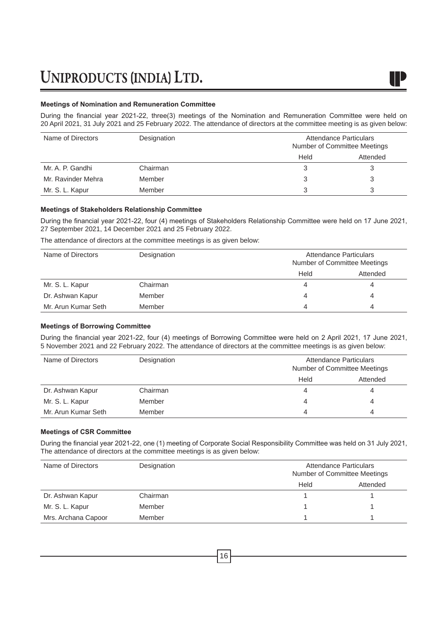#### **Meetings of Nomination and Remuneration Committee**

During the financial year 2021-22, three(3) meetings of the Nomination and Remuneration Committee were held on 20 April 2021, 31 July 2021 and 25 February 2022. The attendance of directors at the committee meeting is as given below:

| Name of Directors  | Designation | Attendance Particulars<br>Number of Committee Meetings |          |
|--------------------|-------------|--------------------------------------------------------|----------|
|                    |             | Held                                                   | Attended |
| Mr. A. P. Gandhi   | Chairman    | 3                                                      |          |
| Mr. Ravinder Mehra | Member      | 3                                                      | 3        |
| Mr. S. L. Kapur    | Member      | 3                                                      | 3        |

#### **Meetings of Stakeholders Relationship Committee**

During the financial year 2021-22, four (4) meetings of Stakeholders Relationship Committee were held on 17 June 2021, 27 September 2021, 14 December 2021 and 25 February 2022.

The attendance of directors at the committee meetings is as given below:

| Name of Directors   | Designation | Attendance Particulars<br>Number of Committee Meetings |          |
|---------------------|-------------|--------------------------------------------------------|----------|
|                     |             | Held                                                   | Attended |
| Mr. S. L. Kapur     | Chairman    | 4                                                      | 4        |
| Dr. Ashwan Kapur    | Member      | 4                                                      |          |
| Mr. Arun Kumar Seth | Member      | 4                                                      | 4        |

#### **Meetings of Borrowing Committee**

During the financial year 2021-22, four (4) meetings of Borrowing Committee were held on 2 April 2021, 17 June 2021, 5 November 2021 and 22 February 2022. The attendance of directors at the committee meetings is as given below:

| Name of Directors   | Designation | Attendance Particulars<br>Number of Committee Meetings |          |
|---------------------|-------------|--------------------------------------------------------|----------|
|                     |             | Held                                                   | Attended |
| Dr. Ashwan Kapur    | Chairman    | 4                                                      | 4        |
| Mr. S. L. Kapur     | Member      | 4                                                      | 4        |
| Mr. Arun Kumar Seth | Member      | 4                                                      | 4        |

#### **Meetings of CSR Committee**

During the financial year 2021-22, one (1) meeting of Corporate Social Responsibility Committee was held on 31 July 2021, The attendance of directors at the committee meetings is as given below:

| Name of Directors   | Designation | Attendance Particulars<br>Number of Committee Meetings |          |
|---------------------|-------------|--------------------------------------------------------|----------|
|                     |             | Held                                                   | Attended |
| Dr. Ashwan Kapur    | Chairman    |                                                        |          |
| Mr. S. L. Kapur     | Member      |                                                        |          |
| Mrs. Archana Capoor | Member      |                                                        |          |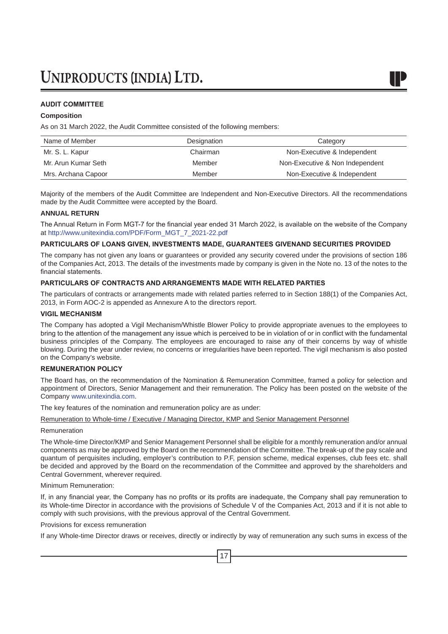#### **AUDIT COMMITTEE**

#### **Composition**

As on 31 March 2022, the Audit Committee consisted of the following members:

| Name of Member      | Designation | Category                        |
|---------------------|-------------|---------------------------------|
| Mr. S. L. Kapur     | Chairman    | Non-Executive & Independent     |
| Mr. Arun Kumar Seth | Member      | Non-Executive & Non Independent |
| Mrs. Archana Capoor | Member      | Non-Executive & Independent     |

Majority of the members of the Audit Committee are Independent and Non-Executive Directors. All the recommendations made by the Audit Committee were accepted by the Board.

#### **ANNUAL RETURN**

The Annual Return in Form MGT-7 for the financial year ended 31 March 2022, is available on the website of the Company at http://www.unitexindia.com/PDF/Form\_MGT\_7\_2021-22.pdf

#### **PARTICULARS OF LOANS GIVEN, INVESTMENTS MADE, GUARANTEES GIVENAND SECURITIES PROVIDED**

The company has not given any loans or guarantees or provided any security covered under the provisions of section 186 of the Companies Act, 2013. The details of the investments made by company is given in the Note no. 13 of the notes to the financial statements.

#### **PARTICULARS OF CONTRACTS AND ARRANGEMENTS MADE WITH RELATED PARTIES**

The particulars of contracts or arrangements made with related parties referred to in Section 188(1) of the Companies Act, 2013, in Form AOC-2 is appended as Annexure A to the directors report.

#### **VIGIL MECHANISM**

The Company has adopted a Vigil Mechanism/Whistle Blower Policy to provide appropriate avenues to the employees to bring to the attention of the management any issue which is perceived to be in violation of or in conflict with the fundamental business principles of the Company. The employees are encouraged to raise any of their concerns by way of whistle blowing. During the year under review, no concerns or irregularities have been reported. The vigil mechanism is also posted on the Company's website.

#### **REMUNERATION POLICY**

The Board has, on the recommendation of the Nomination & Remuneration Committee, framed a policy for selection and appointment of Directors, Senior Management and their remuneration. The Policy has been posted on the website of the Company www.unitexindia.com.

The key features of the nomination and remuneration policy are as under:

Remuneration to Whole-time / Executive / Managing Director, KMP and Senior Management Personnel

#### Remuneration

The Whole-time Director/KMP and Senior Management Personnel shall be eligible for a monthly remuneration and/or annual components as may be approved by the Board on the recommendation of the Committee. The break-up of the pay scale and quantum of perquisites including, employer's contribution to P.F, pension scheme, medical expenses, club fees etc. shall be decided and approved by the Board on the recommendation of the Committee and approved by the shareholders and Central Government, wherever required.

Minimum Remuneration:

If, in any financial year, the Company has no profits or its profits are inadequate, the Company shall pay remuneration to its Whole-time Director in accordance with the provisions of Schedule V of the Companies Act, 2013 and if it is not able to comply with such provisions, with the previous approval of the Central Government.

Provisions for excess remuneration

If any Whole-time Director draws or receives, directly or indirectly by way of remuneration any such sums in excess of the

17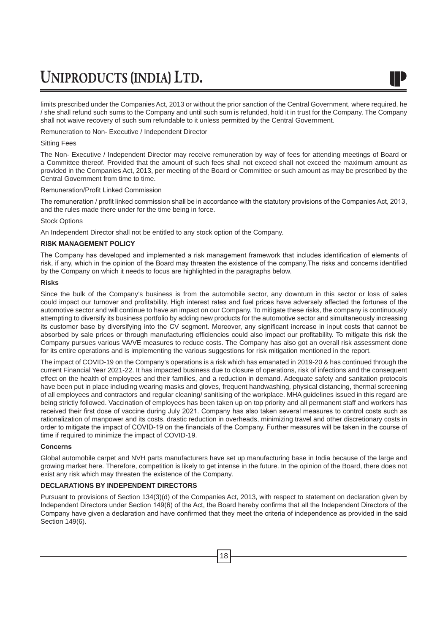limits prescribed under the Companies Act, 2013 or without the prior sanction of the Central Government, where required, he / she shall refund such sums to the Company and until such sum is refunded, hold it in trust for the Company. The Company shall not waive recovery of such sum refundable to it unless permitted by the Central Government.

Remuneration to Non- Executive / Independent Director

#### Sitting Fees

The Non- Executive / Independent Director may receive remuneration by way of fees for attending meetings of Board or a Committee thereof. Provided that the amount of such fees shall not exceed shall not exceed the maximum amount as provided in the Companies Act, 2013, per meeting of the Board or Committee or such amount as may be prescribed by the Central Government from time to time.

#### Remuneration/Profit Linked Commission

The remuneration / profit linked commission shall be in accordance with the statutory provisions of the Companies Act, 2013, and the rules made there under for the time being in force.

#### Stock Options

An Independent Director shall not be entitled to any stock option of the Company.

#### **RISK MANAGEMENT POLICY**

The Company has developed and implemented a risk management framework that includes identification of elements of risk, if any, which in the opinion of the Board may threaten the existence of the company.The risks and concerns identified by the Company on which it needs to focus are highlighted in the paragraphs below.

#### **Risks**

Since the bulk of the Company's business is from the automobile sector, any downturn in this sector or loss of sales could impact our turnover and profitability. High interest rates and fuel prices have adversely affected the fortunes of the automotive sector and will continue to have an impact on our Company. To mitigate these risks, the company is continuously attempting to diversify its business portfolio by adding new products for the automotive sector and simultaneously increasing its customer base by diversifying into the CV segment. Moreover, any significant increase in input costs that cannot be absorbed by sale prices or through manufacturing efficiencies could also impact our profitability. To mitigate this risk the Company pursues various VA/VE measures to reduce costs. The Company has also got an overall risk assessment done for its entire operations and is implementing the various suggestions for risk mitigation mentioned in the report.

The impact of COVID-19 on the Company's operations is a risk which has emanated in 2019-20 & has continued through the current Financial Year 2021-22. It has impacted business due to closure of operations, risk of infections and the consequent effect on the health of employees and their families, and a reduction in demand. Adequate safety and sanitation protocols have been put in place including wearing masks and gloves, frequent handwashing, physical distancing, thermal screening of all employees and contractors and regular cleaning/ sanitising of the workplace. MHA guidelines issued in this regard are being strictly followed. Vaccination of employees has been taken up on top priority and all permanent staff and workers has received their first dose of vaccine during July 2021. Company has also taken several measures to control costs such as rationalization of manpower and its costs, drastic reduction in overheads, minimizing travel and other discretionary costs in order to mitigate the impact of COVID-19 on the financials of the Company. Further measures will be taken in the course of time if required to minimize the impact of COVID-19.

#### **Concerns**

Global automobile carpet and NVH parts manufacturers have set up manufacturing base in India because of the large and growing market here. Therefore, competition is likely to get intense in the future. In the opinion of the Board, there does not exist any risk which may threaten the existence of the Company.

#### **DECLARATIONS BY INDEPENDENT DIRECTORS**

Pursuant to provisions of Section 134(3)(d) of the Companies Act, 2013, with respect to statement on declaration given by Independent Directors under Section 149(6) of the Act, the Board hereby confirms that all the Independent Directors of the Company have given a declaration and have confirmed that they meet the criteria of independence as provided in the said Section 149(6).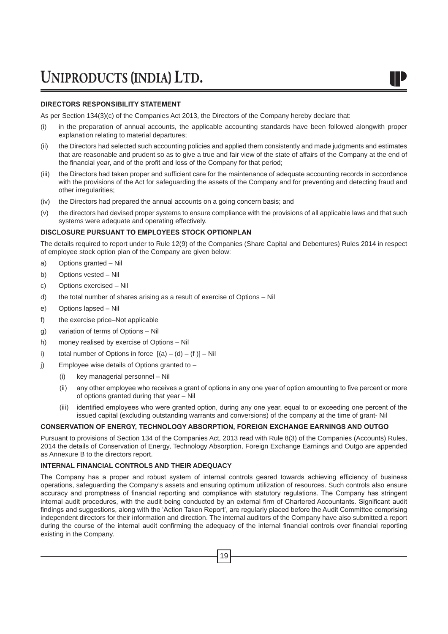#### **DIRECTORS RESPONSIBILITY STATEMENT**

As per Section 134(3)(c) of the Companies Act 2013, the Directors of the Company hereby declare that:

- (i) in the preparation of annual accounts, the applicable accounting standards have been followed alongwith proper explanation relating to material departures;
- (ii) the Directors had selected such accounting policies and applied them consistently and made judgments and estimates that are reasonable and prudent so as to give a true and fair view of the state of affairs of the Company at the end of the financial year, and of the profit and loss of the Company for that period;
- (iii) the Directors had taken proper and sufficient care for the maintenance of adequate accounting records in accordance with the provisions of the Act for safeguarding the assets of the Company and for preventing and detecting fraud and other irregularities;
- (iv) the Directors had prepared the annual accounts on a going concern basis; and
- (v) the directors had devised proper systems to ensure compliance with the provisions of all applicable laws and that such systems were adequate and operating effectively.

#### **DISCLOSURE PURSUANT TO EMPLOYEES STOCK OPTIONPLAN**

The details required to report under to Rule 12(9) of the Companies (Share Capital and Debentures) Rules 2014 in respect of employee stock option plan of the Company are given below:

- a) Options granted Nil
- b) Options vested Nil
- c) Options exercised Nil
- d) the total number of shares arising as a result of exercise of Options Nil
- e) Options lapsed Nil
- f) the exercise price–Not applicable
- g) variation of terms of Options Nil
- h) money realised by exercise of Options Nil
- i) total number of Options in force  $[(a) (d) (f)] Nil$
- j) Employee wise details of Options granted to  $-$ 
	- (i) key managerial personnel Nil
	- (ii) any other employee who receives a grant of options in any one year of option amounting to five percent or more of options granted during that year – Nil
	- (iii) identified employees who were granted option, during any one year, equal to or exceeding one percent of the issued capital (excluding outstanding warrants and conversions) of the company at the time of grant- Nil

#### **CONSERVATION OF ENERGY, TECHNOLOGY ABSORPTION, FOREIGN EXCHANGE EARNINGS AND OUTGO**

Pursuant to provisions of Section 134 of the Companies Act, 2013 read with Rule 8(3) of the Companies (Accounts) Rules, 2014 the details of Conservation of Energy, Technology Absorption, Foreign Exchange Earnings and Outgo are appended as Annexure B to the directors report.

#### **INTERNAL FINANCIAL CONTROLS AND THEIR ADEQUACY**

The Company has a proper and robust system of internal controls geared towards achieving efficiency of business operations, safeguarding the Company's assets and ensuring optimum utilization of resources. Such controls also ensure accuracy and promptness of financial reporting and compliance with statutory regulations. The Company has stringent internal audit procedures, with the audit being conducted by an external firm of Chartered Accountants. Significant audit findings and suggestions, along with the 'Action Taken Report', are regularly placed before the Audit Committee comprising independent directors for their information and direction. The internal auditors of the Company have also submitted a report during the course of the internal audit confirming the adequacy of the internal financial controls over financial reporting existing in the Company.

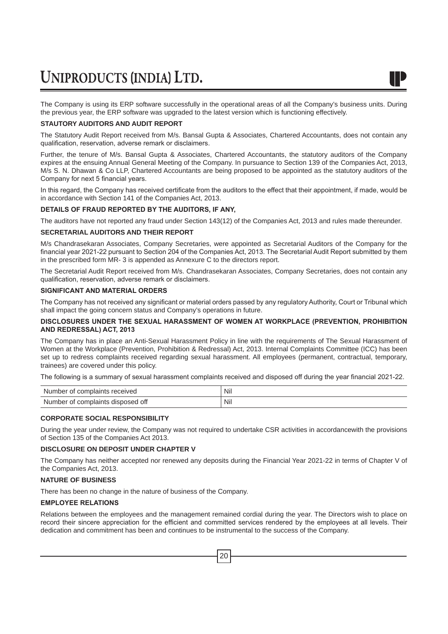The Company is using its ERP software successfully in the operational areas of all the Company's business units. During the previous year, the ERP software was upgraded to the latest version which is functioning effectively.

#### **STAUTORY AUDITORS AND AUDIT REPORT**

The Statutory Audit Report received from M/s. Bansal Gupta & Associates, Chartered Accountants, does not contain any qualification, reservation, adverse remark or disclaimers.

Further, the tenure of M/s. Bansal Gupta & Associates, Chartered Accountants, the statutory auditors of the Company expires at the ensuing Annual General Meeting of the Company. In pursuance to Section 139 of the Companies Act, 2013, M/s S. N. Dhawan & Co LLP, Chartered Accountants are being proposed to be appointed as the statutory auditors of the Company for next 5 financial years.

In this regard, the Company has received certificate from the auditors to the effect that their appointment, if made, would be in accordance with Section 141 of the Companies Act, 2013.

#### **DETAILS OF FRAUD REPORTED BY THE AUDITORS, IF ANY,**

The auditors have not reported any fraud under Section 143(12) of the Companies Act, 2013 and rules made thereunder.

#### **SECRETARIAL AUDITORS AND THEIR REPORT**

M/s Chandrasekaran Associates, Company Secretaries, were appointed as Secretarial Auditors of the Company for the financial year 2021-22 pursuant to Section 204 of the Companies Act, 2013. The Secretarial Audit Report submitted by them in the prescribed form MR- 3 is appended as Annexure C to the directors report.

The Secretarial Audit Report received from M/s. Chandrasekaran Associates, Company Secretaries, does not contain any qualification, reservation, adverse remark or disclaimers.

#### **SIGNIFICANT AND MATERIAL ORDERS**

The Company has not received any significant or material orders passed by any regulatory Authority, Court or Tribunal which shall impact the going concern status and Company's operations in future.

#### **DISCLOSURES UNDER THE SEXUAL HARASSMENT OF WOMEN AT WORKPLACE (PREVENTION, PROHIBITION AND REDRESSAL) ACT, 2013**

The Company has in place an Anti-Sexual Harassment Policy in line with the requirements of The Sexual Harassment of Women at the Workplace (Prevention, Prohibition & Redressal) Act, 2013. Internal Complaints Committee (ICC) has been set up to redress complaints received regarding sexual harassment. All employees (permanent, contractual, temporary, trainees) are covered under this policy.

The following is a summary of sexual harassment complaints received and disposed off during the year financial 2021-22.

| Number of complaints received     | Nil      |
|-----------------------------------|----------|
| Number of complaints disposed off | Nil<br>. |

#### **CORPORATE SOCIAL RESPONSIBILITY**

During the year under review, the Company was not required to undertake CSR activities in accordancewith the provisions of Section 135 of the Companies Act 2013.

#### **DISCLOSURE ON DEPOSIT UNDER CHAPTER V**

The Company has neither accepted nor renewed any deposits during the Financial Year 2021-22 in terms of Chapter V of the Companies Act, 2013.

#### **NATURE OF BUSINESS**

There has been no change in the nature of business of the Company.

#### **EMPLOYEE RELATIONS**

Relations between the employees and the management remained cordial during the year. The Directors wish to place on record their sincere appreciation for the efficient and committed services rendered by the employees at all levels. Their dedication and commitment has been and continues to be instrumental to the success of the Company.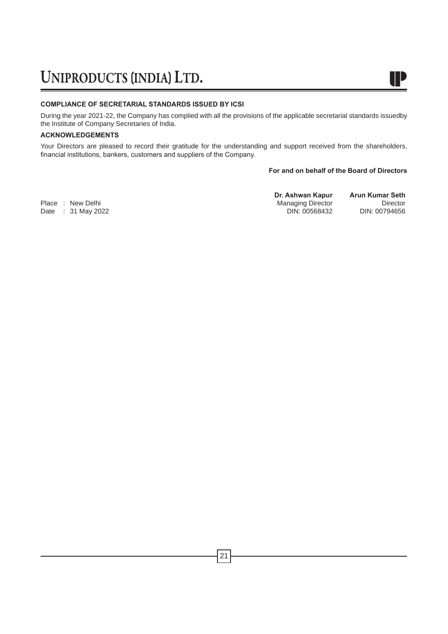#### **COMPLIANCE OF SECRETARIAL STANDARDS ISSUED BY ICSI**

During the year 2021-22, the Company has complied with all the provisions of the applicable secretarial standards issuedby the Institute of Company Secretaries of India.

#### **ACKNOWLEDGEMENTS**

Your Directors are pleased to record their gratitude for the understanding and support received from the shareholders, financial institutions, bankers, customers and suppliers of the Company.

#### **For and on behalf of the Board of Directors**

W

Date : 31 May 2022

**Dr. Ashwan Kapur Arun Kumar Seth** Place : New Delhi Director Director Director Director Director Director Director Director Director Director Di<br>Din: 00568432 DIN: 00794656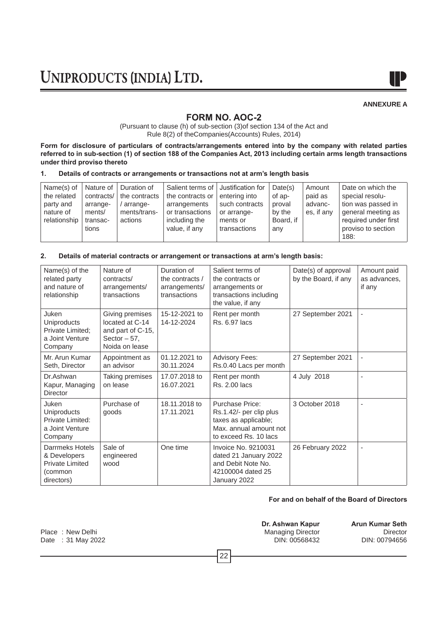

#### **ANNEXURE A**

### **FORM NO. AOC-2**

(Pursuant to clause (h) of sub-section (3)of section 134 of the Act and Rule 8(2) of theCompanies(Accounts) Rules, 2014)

**Form for disclosure of particulars of contracts/arrangements entered into by the company with related parties referred to in sub-section (1) of section 188 of the Companies Act, 2013 including certain arms length transactions under third proviso thereto**

#### **1. Details of contracts or arrangements or transactions not at arm's length basis**

| Name(s) of<br>the related<br>party and<br>nature of<br>relationship | Nature of<br>contracts/<br>arrange-<br>ments/<br>transac- | Duration of<br>the contracts<br>arrange-<br>ments/trans-<br>actions | Salient terms of   Justification for<br>the contracts or<br>arrangements<br>or transactions<br>including the | entering into<br>such contracts<br>or arrange-<br>ments or | Date(s)<br>of ap-<br>proval<br>by the<br>Board, if | Amount<br>paid as<br>advanc-<br>es, if any | Date on which the<br>special resolu-<br>tion was passed in<br>general meeting as<br>required under first |
|---------------------------------------------------------------------|-----------------------------------------------------------|---------------------------------------------------------------------|--------------------------------------------------------------------------------------------------------------|------------------------------------------------------------|----------------------------------------------------|--------------------------------------------|----------------------------------------------------------------------------------------------------------|
|                                                                     | tions                                                     |                                                                     | value, if any                                                                                                | transactions                                               | any                                                |                                            | proviso to section<br>188:                                                                               |

#### **2. Details of material contracts or arrangement or transactions at arm's length basis:**

| Name(s) of the<br>related party<br>and nature of<br>relationship                   | Nature of<br>contracts/<br>arrangements/<br>transactions                                    | Duration of<br>the contracts /<br>arrangements/<br>transactions | Salient terms of<br>the contracts or<br>arrangements or<br>transactions including<br>the value, if any                | Date(s) of approval<br>by the Board, if any | Amount paid<br>as advances.<br>if any |
|------------------------------------------------------------------------------------|---------------------------------------------------------------------------------------------|-----------------------------------------------------------------|-----------------------------------------------------------------------------------------------------------------------|---------------------------------------------|---------------------------------------|
| Juken<br><b>Uniproducts</b><br>Private Limited;<br>a Joint Venture<br>Company      | Giving premises<br>located at C-14<br>and part of C-15,<br>Sector $-57$ .<br>Noida on lease | 15-12-2021 to<br>14-12-2024                                     | Rent per month<br>Rs. 6.97 lacs                                                                                       | 27 September 2021                           | ٠                                     |
| Mr. Arun Kumar<br>Seth, Director                                                   | Appointment as<br>an advisor                                                                | 01.12.2021 to<br>30.11.2024                                     | <b>Advisory Fees:</b><br>Rs.0.40 Lacs per month                                                                       | 27 September 2021                           | $\qquad \qquad \blacksquare$          |
| Dr.Ashwan<br>Kapur, Managing<br><b>Director</b>                                    | Taking premises<br>on lease                                                                 | 17.07.2018 to<br>16.07.2021                                     | Rent per month<br><b>Rs. 2.00 lacs</b>                                                                                | 4 July 2018                                 | ٠                                     |
| Juken<br><b>Uniproducts</b><br>Private Limited:<br>a Joint Venture<br>Company      | Purchase of<br>goods                                                                        | 18.11.2018 to<br>17.11.2021                                     | Purchase Price:<br>Rs.1.42/- per clip plus<br>taxes as applicable;<br>Max. annual amount not<br>to exceed Rs. 10 lacs | 3 October 2018                              | ٠                                     |
| Darrmeks Hotels<br>& Developers<br><b>Private Limited</b><br>(common<br>directors) | Sale of<br>engineered<br>wood                                                               | One time                                                        | Invoice No. 9210031<br>dated 21 January 2022<br>and Debit Note No.<br>42100004 dated 25<br>January 2022               | 26 February 2022                            | $\overline{\phantom{a}}$              |

#### **For and on behalf of the Board of Directors**

22 **Dr. Ashwan Kapur Arun Kumar Seth** Place : New Delhi Director Director Director Director Director Director Director Director Director Director Director Director Director Director Director Director Director Director Director Director Director Director Direct Date : 31 May 2022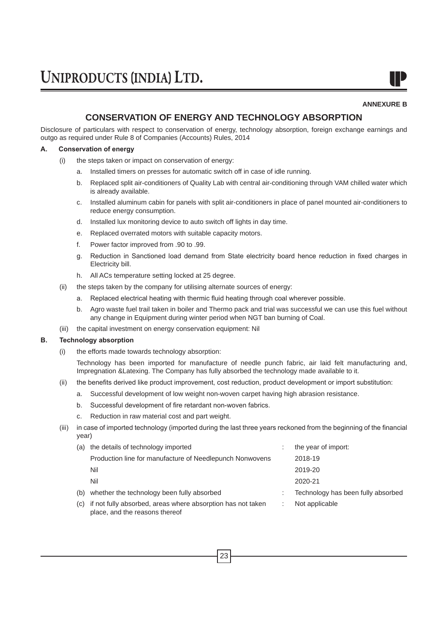**ANNEXURE B**

### **CONSERVATION OF ENERGY AND TECHNOLOGY ABSORPTION**

Disclosure of particulars with respect to conservation of energy, technology absorption, foreign exchange earnings and outgo as required under Rule 8 of Companies (Accounts) Rules, 2014

#### **A. Conservation of energy**

- (i) the steps taken or impact on conservation of energy:
	- a. Installed timers on presses for automatic switch off in case of idle running.
	- b. Replaced split air-conditioners of Quality Lab with central air-conditioning through VAM chilled water which is already available.
	- c. Installed aluminum cabin for panels with split air-conditioners in place of panel mounted air-conditioners to reduce energy consumption.
	- d. Installed lux monitoring device to auto switch off lights in day time.
	- e. Replaced overrated motors with suitable capacity motors.
	- f. Power factor improved from .90 to .99.
	- g. Reduction in Sanctioned load demand from State electricity board hence reduction in fixed charges in Electricity bill.
	- h. All ACs temperature setting locked at 25 degree.
- (ii) the steps taken by the company for utilising alternate sources of energy:
	- a. Replaced electrical heating with thermic fluid heating through coal wherever possible.
	- b. Agro waste fuel trail taken in boiler and Thermo pack and trial was successful we can use this fuel without any change in Equipment during winter period when NGT ban burning of Coal.
- (iii) the capital investment on energy conservation equipment: Nil

#### **B. Technology absorption**

(i) the efforts made towards technology absorption:

 Technology has been imported for manufacture of needle punch fabric, air laid felt manufacturing and, Impregnation &Latexing. The Company has fully absorbed the technology made available to it.

- (ii) the benefits derived like product improvement, cost reduction, product development or import substitution:
	- a. Successful development of low weight non-woven carpet having high abrasion resistance.
	- b. Successful development of fire retardant non-woven fabrics.
	- c. Reduction in raw material cost and part weight.
- (iii) in case of imported technology (imported during the last three years reckoned from the beginning of the financial year)

| (a) | the details of technology imported                                                            | the year of import:                |
|-----|-----------------------------------------------------------------------------------------------|------------------------------------|
|     | Production line for manufacture of Needlepunch Nonwovens                                      | 2018-19                            |
|     | Nil                                                                                           | 2019-20                            |
|     | Nil                                                                                           | 2020-21                            |
| (b) | whether the technology been fully absorbed                                                    | Technology has been fully absorbed |
| (C) | if not fully absorbed, areas where absorption has not taken<br>place, and the reasons thereof | Not applicable                     |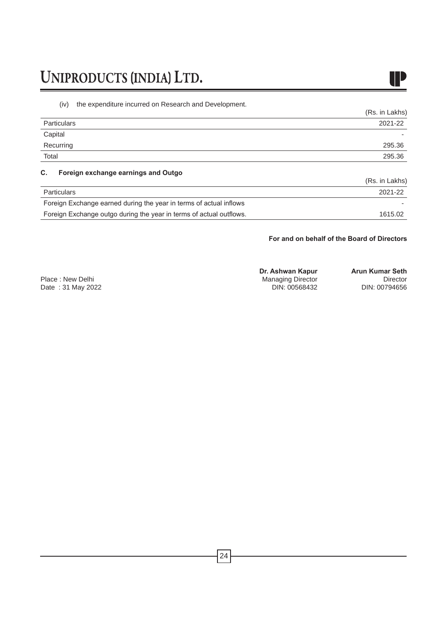

(iv) the expenditure incurred on Research and Development.

|                                                                     | (Rs. in Lakhs) |
|---------------------------------------------------------------------|----------------|
| <b>Particulars</b>                                                  | 2021-22        |
| Capital                                                             |                |
| Recurring                                                           | 295.36         |
| Total                                                               | 295.36         |
| Foreign exchange earnings and Outgo<br>C.                           |                |
|                                                                     | (Rs. in Lakhs) |
| <b>Particulars</b>                                                  | 2021-22        |
| Foreign Exchange earned during the year in terms of actual inflows  |                |
| Foreign Exchange outgo during the year in terms of actual outflows. | 1615.02        |

#### **For and on behalf of the Board of Directors**

|                   | Dr. Ashwan Kapur         | <b>Arun Kumar Seth</b> |
|-------------------|--------------------------|------------------------|
| Place: New Delhi  | <b>Managing Director</b> | Director               |
| Date: 31 May 2022 | DIN: 00568432            | DIN: 00794656          |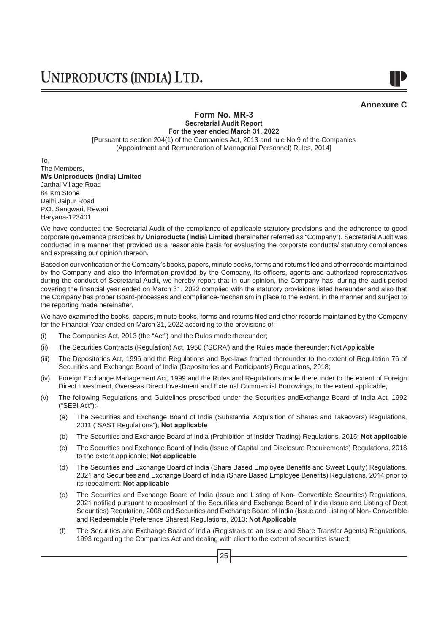

#### **Form No. MR-3 Secretarial Audit Report**

**For the year ended March 31, 2022** [Pursuant to section 204(1) of the Companies Act, 2013 and rule No.9 of the Companies (Appointment and Remuneration of Managerial Personnel) Rules, 2014]

To, The Members, **M/s Uniproducts (India) Limited** Jarthal Village Road 84 Km Stone Delhi Jaipur Road P.O. Sangwari, Rewari Haryana-123401

We have conducted the Secretarial Audit of the compliance of applicable statutory provisions and the adherence to good corporate governance practices by **Uniproducts (India) Limited** (hereinafter referred as "Company"). Secretarial Audit was conducted in a manner that provided us a reasonable basis for evaluating the corporate conducts/ statutory compliances and expressing our opinion thereon.

Based on our verification of the Company's books, papers, minute books, forms and returns filed and other records maintained by the Company and also the information provided by the Company, its officers, agents and authorized representatives during the conduct of Secretarial Audit, we hereby report that in our opinion, the Company has, during the audit period covering the financial year ended on March 31, 2022 complied with the statutory provisions listed hereunder and also that the Company has proper Board-processes and compliance-mechanism in place to the extent, in the manner and subject to the reporting made hereinafter.

We have examined the books, papers, minute books, forms and returns filed and other records maintained by the Company for the Financial Year ended on March 31, 2022 according to the provisions of:

- (i) The Companies Act, 2013 (the "Act") and the Rules made thereunder;
- (ii) The Securities Contracts (Regulation) Act, 1956 ("SCRA') and the Rules made thereunder; Not Applicable
- (iii) The Depositories Act, 1996 and the Regulations and Bye-laws framed thereunder to the extent of Regulation 76 of Securities and Exchange Board of India (Depositories and Participants) Regulations, 2018;
- (iv) Foreign Exchange Management Act, 1999 and the Rules and Regulations made thereunder to the extent of Foreign Direct Investment, Overseas Direct Investment and External Commercial Borrowings, to the extent applicable;
- (v) The following Regulations and Guidelines prescribed under the Securities andExchange Board of India Act, 1992 ("SEBI Act"):-
	- (a) The Securities and Exchange Board of India (Substantial Acquisition of Shares and Takeovers) Regulations, 2011 ("SAST Regulations"); **Not applicable**
	- (b) The Securities and Exchange Board of India (Prohibition of Insider Trading) Regulations, 2015; **Not applicable**
	- (c) The Securities and Exchange Board of India (Issue of Capital and Disclosure Requirements) Regulations, 2018 to the extent applicable; **Not applicable**
	- (d) The Securities and Exchange Board of India (Share Based Employee Benefits and Sweat Equity) Regulations, 2021 and Securities and Exchange Board of India (Share Based Employee Benefits) Regulations, 2014 prior to its repealment; **Not applicable**
	- (e) The Securities and Exchange Board of India (Issue and Listing of Non- Convertible Securities) Regulations, 2021 notified pursuant to repealment of the Securities and Exchange Board of India (Issue and Listing of Debt Securities) Regulation, 2008 and Securities and Exchange Board of India (Issue and Listing of Non- Convertible and Redeemable Preference Shares) Regulations, 2013; **Not Applicable**
	- (f) The Securities and Exchange Board of India (Registrars to an Issue and Share Transfer Agents) Regulations, 1993 regarding the Companies Act and dealing with client to the extent of securities issued;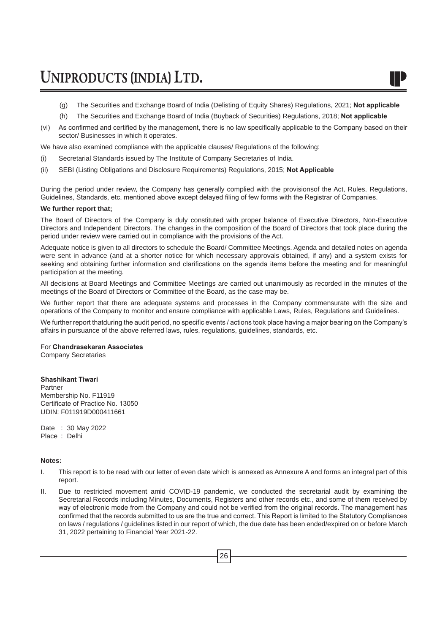- (g) The Securities and Exchange Board of India (Delisting of Equity Shares) Regulations, 2021; **Not applicable**
- (h) The Securities and Exchange Board of India (Buyback of Securities) Regulations, 2018; **Not applicable**
- (vi) As confirmed and certified by the management, there is no law specifically applicable to the Company based on their sector/ Businesses in which it operates.

We have also examined compliance with the applicable clauses/ Regulations of the following:

- (i) Secretarial Standards issued by The Institute of Company Secretaries of India.
- (ii) SEBI (Listing Obligations and Disclosure Requirements) Regulations, 2015; **Not Applicable**

During the period under review, the Company has generally complied with the provisionsof the Act, Rules, Regulations, Guidelines, Standards, etc. mentioned above except delayed filing of few forms with the Registrar of Companies.

#### **We further report that;**

The Board of Directors of the Company is duly constituted with proper balance of Executive Directors, Non-Executive Directors and Independent Directors. The changes in the composition of the Board of Directors that took place during the period under review were carried out in compliance with the provisions of the Act.

Adequate notice is given to all directors to schedule the Board/ Committee Meetings. Agenda and detailed notes on agenda were sent in advance (and at a shorter notice for which necessary approvals obtained, if any) and a system exists for seeking and obtaining further information and clarifications on the agenda items before the meeting and for meaningful participation at the meeting.

All decisions at Board Meetings and Committee Meetings are carried out unanimously as recorded in the minutes of the meetings of the Board of Directors or Committee of the Board, as the case may be.

We further report that there are adequate systems and processes in the Company commensurate with the size and operations of the Company to monitor and ensure compliance with applicable Laws, Rules, Regulations and Guidelines.

We further report thatduring the audit period, no specific events / actions took place having a major bearing on the Company's affairs in pursuance of the above referred laws, rules, regulations, guidelines, standards, etc.

#### For **Chandrasekaran Associates**

Company Secretaries

#### **Shashikant Tiwari**

Partner Membership No. F11919 Certificate of Practice No. 13050 UDIN: F011919D000411661

Date : 30 May 2022 Place : Delhi

#### **Notes:**

- I. This report is to be read with our letter of even date which is annexed as Annexure A and forms an integral part of this report.
- II. Due to restricted movement amid COVID-19 pandemic, we conducted the secretarial audit by examining the Secretarial Records including Minutes, Documents, Registers and other records etc., and some of them received by way of electronic mode from the Company and could not be verified from the original records. The management has confirmed that the records submitted to us are the true and correct. This Report is limited to the Statutory Compliances on laws / regulations / guidelines listed in our report of which, the due date has been ended/expired on or before March 31, 2022 pertaining to Financial Year 2021-22.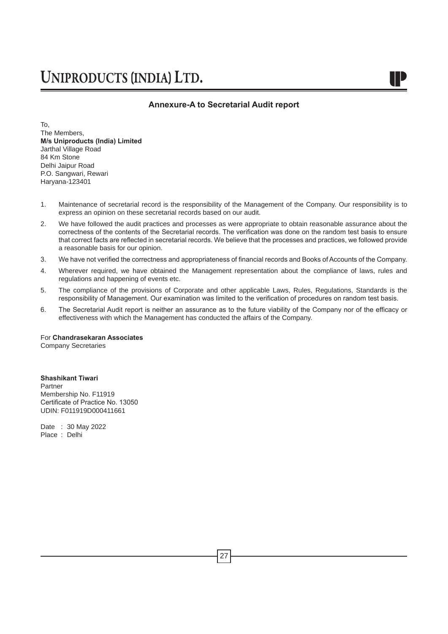#### **Annexure-A to Secretarial Audit report**

To, The Members, **M/s Uniproducts (India) Limited** Jarthal Village Road 84 Km Stone Delhi Jaipur Road P.O. Sangwari, Rewari Haryana-123401

- 1. Maintenance of secretarial record is the responsibility of the Management of the Company. Our responsibility is to express an opinion on these secretarial records based on our audit.
- 2. We have followed the audit practices and processes as were appropriate to obtain reasonable assurance about the correctness of the contents of the Secretarial records. The verification was done on the random test basis to ensure that correct facts are reflected in secretarial records. We believe that the processes and practices, we followed provide a reasonable basis for our opinion.
- 3. We have not verified the correctness and appropriateness of financial records and Books of Accounts of the Company.
- 4. Wherever required, we have obtained the Management representation about the compliance of laws, rules and regulations and happening of events etc.
- 5. The compliance of the provisions of Corporate and other applicable Laws, Rules, Regulations, Standards is the responsibility of Management. Our examination was limited to the verification of procedures on random test basis.
- 6. The Secretarial Audit report is neither an assurance as to the future viability of the Company nor of the efficacy or effectiveness with which the Management has conducted the affairs of the Company.

For **Chandrasekaran Associates**

Company Secretaries

**Shashikant Tiwari** Partner Membership No. F11919 Certificate of Practice No. 13050 UDIN: F011919D000411661

Date : 30 May 2022 Place : Delhi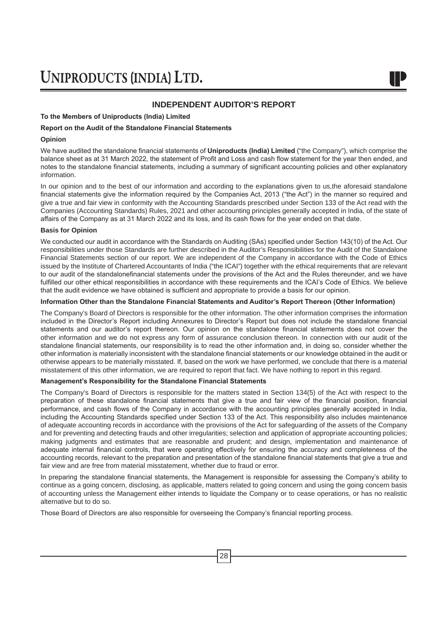#### **INDEPENDENT AUDITOR'S REPORT**

#### **To the Members of Uniproducts (India) Limited**

#### **Report on the Audit of the Standalone Financial Statements**

#### **Opinion**

We have audited the standalone financial statements of **Uniproducts (India) Limited** ("the Company"), which comprise the balance sheet as at 31 March 2022, the statement of Profit and Loss and cash flow statement for the year then ended, and notes to the standalone financial statements, including a summary of significant accounting policies and other explanatory information.

In our opinion and to the best of our information and according to the explanations given to us,the aforesaid standalone financial statements give the information required by the Companies Act, 2013 ("the Act") in the manner so required and give a true and fair view in conformity with the Accounting Standards prescribed under Section 133 of the Act read with the Companies (Accounting Standards) Rules, 2021 and other accounting principles generally accepted in India, of the state of affairs of the Company as at 31 March 2022 and its loss, and its cash flows for the year ended on that date.

#### **Basis for Opinion**

We conducted our audit in accordance with the Standards on Auditing (SAs) specified under Section 143(10) of the Act. Our responsibilities under those Standards are further described in the Auditor's Responsibilities for the Audit of the Standalone Financial Statements section of our report. We are independent of the Company in accordance with the Code of Ethics issued by the Institute of Chartered Accountants of India ("the ICAI") together with the ethical requirements that are relevant to our audit of the standalonefinancial statements under the provisions of the Act and the Rules thereunder, and we have fulfilled our other ethical responsibilities in accordance with these requirements and the ICAI's Code of Ethics. We believe that the audit evidence we have obtained is sufficient and appropriate to provide a basis for our opinion.

#### **Information Other than the Standalone Financial Statements and Auditor's Report Thereon (Other Information)**

The Company's Board of Directors is responsible for the other information. The other information comprises the information included in the Director's Report including Annexures to Director's Report but does not include the standalone financial statements and our auditor's report thereon. Our opinion on the standalone financial statements does not cover the other information and we do not express any form of assurance conclusion thereon. In connection with our audit of the standalone financial statements, our responsibility is to read the other information and, in doing so, consider whether the other information is materially inconsistent with the standalone financial statements or our knowledge obtained in the audit or otherwise appears to be materially misstated. If, based on the work we have performed, we conclude that there is a material misstatement of this other information, we are required to report that fact. We have nothing to report in this regard.

#### **Management's Responsibility for the Standalone Financial Statements**

The Company's Board of Directors is responsible for the matters stated in Section 134(5) of the Act with respect to the preparation of these standalone financial statements that give a true and fair view of the financial position, financial performance, and cash flows of the Company in accordance with the accounting principles generally accepted in India, including the Accounting Standards specified under Section 133 of the Act. This responsibility also includes maintenance of adequate accounting records in accordance with the provisions of the Act for safeguarding of the assets of the Company and for preventing and detecting frauds and other irregularities; selection and application of appropriate accounting policies; making judgments and estimates that are reasonable and prudent; and design, implementation and maintenance of adequate internal financial controls, that were operating effectively for ensuring the accuracy and completeness of the accounting records, relevant to the preparation and presentation of the standalone financial statements that give a true and fair view and are free from material misstatement, whether due to fraud or error.

In preparing the standalone financial statements, the Management is responsible for assessing the Company's ability to continue as a going concern, disclosing, as applicable, matters related to going concern and using the going concern basis of accounting unless the Management either intends to liquidate the Company or to cease operations, or has no realistic alternative but to do so.

Those Board of Directors are also responsible for overseeing the Company's financial reporting process.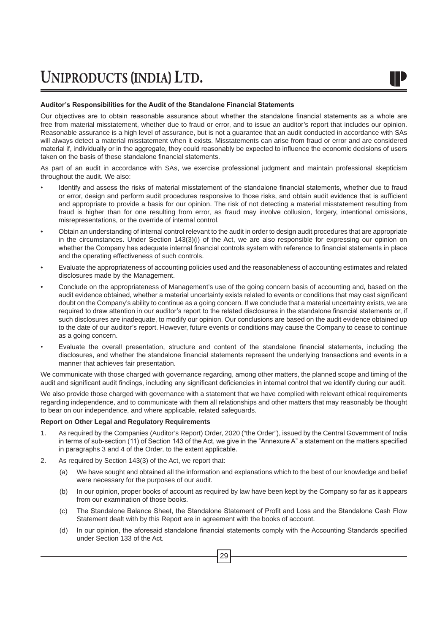#### **Auditor's Responsibilities for the Audit of the Standalone Financial Statements**

Our objectives are to obtain reasonable assurance about whether the standalone financial statements as a whole are free from material misstatement, whether due to fraud or error, and to issue an auditor's report that includes our opinion. Reasonable assurance is a high level of assurance, but is not a guarantee that an audit conducted in accordance with SAs will always detect a material misstatement when it exists. Misstatements can arise from fraud or error and are considered material if, individually or in the aggregate, they could reasonably be expected to influence the economic decisions of users taken on the basis of these standalone financial statements.

As part of an audit in accordance with SAs, we exercise professional judgment and maintain professional skepticism throughout the audit. We also:

- Identify and assess the risks of material misstatement of the standalone financial statements, whether due to fraud or error, design and perform audit procedures responsive to those risks, and obtain audit evidence that is sufficient and appropriate to provide a basis for our opinion. The risk of not detecting a material misstatement resulting from fraud is higher than for one resulting from error, as fraud may involve collusion, forgery, intentional omissions, misrepresentations, or the override of internal control.
- Obtain an understanding of internal control relevant to the audit in order to design audit procedures that are appropriate in the circumstances. Under Section 143(3)(i) of the Act, we are also responsible for expressing our opinion on whether the Company has adequate internal financial controls system with reference to financial statements in place and the operating effectiveness of such controls.
- Evaluate the appropriateness of accounting policies used and the reasonableness of accounting estimates and related disclosures made by the Management.
- Conclude on the appropriateness of Management's use of the going concern basis of accounting and, based on the audit evidence obtained, whether a material uncertainty exists related to events or conditions that may cast significant doubt on the Company's ability to continue as a going concern. If we conclude that a material uncertainty exists, we are required to draw attention in our auditor's report to the related disclosures in the standalone financial statements or, if such disclosures are inadequate, to modify our opinion. Our conclusions are based on the audit evidence obtained up to the date of our auditor's report. However, future events or conditions may cause the Company to cease to continue as a going concern.
- Evaluate the overall presentation, structure and content of the standalone financial statements, including the disclosures, and whether the standalone financial statements represent the underlying transactions and events in a manner that achieves fair presentation.

We communicate with those charged with governance regarding, among other matters, the planned scope and timing of the audit and significant audit findings, including any significant deficiencies in internal control that we identify during our audit.

We also provide those charged with governance with a statement that we have complied with relevant ethical requirements regarding independence, and to communicate with them all relationships and other matters that may reasonably be thought to bear on our independence, and where applicable, related safeguards.

#### **Report on Other Legal and Regulatory Requirements**

- 1. As required by the Companies (Auditor's Report) Order, 2020 ("the Order"), issued by the Central Government of India in terms of sub-section (11) of Section 143 of the Act, we give in the "Annexure A" a statement on the matters specified in paragraphs 3 and 4 of the Order, to the extent applicable.
- 2. As required by Section 143(3) of the Act, we report that:
	- (a) We have sought and obtained all the information and explanations which to the best of our knowledge and belief were necessary for the purposes of our audit.
	- (b) In our opinion, proper books of account as required by law have been kept by the Company so far as it appears from our examination of those books.
	- (c) The Standalone Balance Sheet, the Standalone Statement of Profit and Loss and the Standalone Cash Flow Statement dealt with by this Report are in agreement with the books of account.
	- (d) In our opinion, the aforesaid standalone financial statements comply with the Accounting Standards specified under Section 133 of the Act.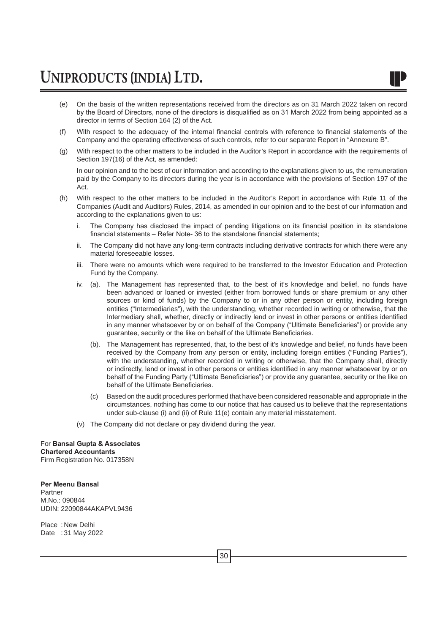- (e) On the basis of the written representations received from the directors as on 31 March 2022 taken on record by the Board of Directors, none of the directors is disqualified as on 31 March 2022 from being appointed as a director in terms of Section 164 (2) of the Act.
- (f) With respect to the adequacy of the internal financial controls with reference to financial statements of the Company and the operating effectiveness of such controls, refer to our separate Report in "Annexure B".
- (g) With respect to the other matters to be included in the Auditor's Report in accordance with the requirements of Section 197(16) of the Act, as amended:

In our opinion and to the best of our information and according to the explanations given to us, the remuneration paid by the Company to its directors during the year is in accordance with the provisions of Section 197 of the Act.

- (h) With respect to the other matters to be included in the Auditor's Report in accordance with Rule 11 of the Companies (Audit and Auditors) Rules, 2014, as amended in our opinion and to the best of our information and according to the explanations given to us:
	- i. The Company has disclosed the impact of pending litigations on its financial position in its standalone financial statements – Refer Note- 36 to the standalone financial statements;
	- ii. The Company did not have any long-term contracts including derivative contracts for which there were any material foreseeable losses.
	- iii. There were no amounts which were required to be transferred to the Investor Education and Protection Fund by the Company.
	- iv. (a). The Management has represented that, to the best of it's knowledge and belief, no funds have been advanced or loaned or invested (either from borrowed funds or share premium or any other sources or kind of funds) by the Company to or in any other person or entity, including foreign entities ("Intermediaries"), with the understanding, whether recorded in writing or otherwise, that the Intermediary shall, whether, directly or indirectly lend or invest in other persons or entities identified in any manner whatsoever by or on behalf of the Company ("Ultimate Beneficiaries") or provide any guarantee, security or the like on behalf of the Ultimate Beneficiaries.
		- (b). The Management has represented, that, to the best of it's knowledge and belief, no funds have been received by the Company from any person or entity, including foreign entities ("Funding Parties"), with the understanding, whether recorded in writing or otherwise, that the Company shall, directly or indirectly, lend or invest in other persons or entities identified in any manner whatsoever by or on behalf of the Funding Party ("Ultimate Beneficiaries") or provide any guarantee, security or the like on behalf of the Ultimate Beneficiaries.
		- (c) Based on the audit procedures performed that have been considered reasonable and appropriate in the circumstances, nothing has come to our notice that has caused us to believe that the representations under sub-clause (i) and (ii) of Rule 11(e) contain any material misstatement.
	- (v) The Company did not declare or pay dividend during the year.

#### For **Bansal Gupta & Associates Chartered Accountants**

Firm Registration No. 017358N

**Per Meenu Bansal** Partner M.No.: 090844 UDIN: 22090844AKAPVL9436

Place : New Delhi Date : 31 May 2022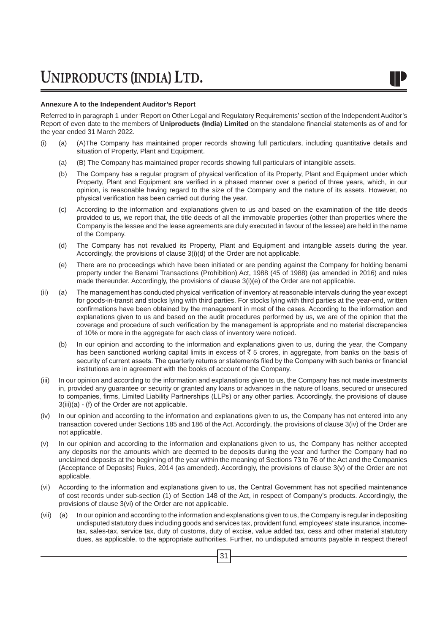#### **Annexure A to the Independent Auditor's Report**

Referred to in paragraph 1 under 'Report on Other Legal and Regulatory Requirements' section of the Independent Auditor's Report of even date to the members of **Uniproducts (India) Limited** on the standalone financial statements as of and for the year ended 31 March 2022.

- (i) (a) (A)The Company has maintained proper records showing full particulars, including quantitative details and situation of Property, Plant and Equipment.
	- (a) (B) The Company has maintained proper records showing full particulars of intangible assets.
	- (b) The Company has a regular program of physical verification of its Property, Plant and Equipment under which Property, Plant and Equipment are verified in a phased manner over a period of three years, which, in our opinion, is reasonable having regard to the size of the Company and the nature of its assets. However, no physical verification has been carried out during the year.
	- (c) According to the information and explanations given to us and based on the examination of the title deeds provided to us, we report that, the title deeds of all the immovable properties (other than properties where the Company is the lessee and the lease agreements are duly executed in favour of the lessee) are held in the name of the Company.
	- (d) The Company has not revalued its Property, Plant and Equipment and intangible assets during the year. Accordingly, the provisions of clause 3(i)(d) of the Order are not applicable.
	- (e) There are no proceedings which have been initiated or are pending against the Company for holding benami property under the Benami Transactions (Prohibition) Act, 1988 (45 of 1988) (as amended in 2016) and rules made thereunder. Accordingly, the provisions of clause 3(i)(e) of the Order are not applicable.
- (ii) (a) The management has conducted physical verification of inventory at reasonable intervals during the year except for goods-in-transit and stocks lying with third parties. For stocks lying with third parties at the year-end, written confirmations have been obtained by the management in most of the cases. According to the information and explanations given to us and based on the audit procedures performed by us, we are of the opinion that the coverage and procedure of such verification by the management is appropriate and no material discrepancies of 10% or more in the aggregate for each class of inventory were noticed.
	- (b) In our opinion and according to the information and explanations given to us, during the year, the Company has been sanctioned working capital limits in excess of  $\bar{z}$  5 crores, in aggregate, from banks on the basis of security of current assets. The quarterly returns or statements filed by the Company with such banks or financial institutions are in agreement with the books of account of the Company.
- (iii) In our opinion and according to the information and explanations given to us, the Company has not made investments in, provided any guarantee or security or granted any loans or advances in the nature of loans, secured or unsecured to companies, firms, Limited Liability Partnerships (LLPs) or any other parties. Accordingly, the provisions of clause 3(iii)(a) - (f) of the Order are not applicable.
- (iv) In our opinion and according to the information and explanations given to us, the Company has not entered into any transaction covered under Sections 185 and 186 of the Act. Accordingly, the provisions of clause 3(iv) of the Order are not applicable.
- (v) In our opinion and according to the information and explanations given to us, the Company has neither accepted any deposits nor the amounts which are deemed to be deposits during the year and further the Company had no unclaimed deposits at the beginning of the year within the meaning of Sections 73 to 76 of the Act and the Companies (Acceptance of Deposits) Rules, 2014 (as amended). Accordingly, the provisions of clause 3(v) of the Order are not applicable.
- (vi) According to the information and explanations given to us, the Central Government has not specified maintenance of cost records under sub-section (1) of Section 148 of the Act, in respect of Company's products. Accordingly, the provisions of clause 3(vi) of the Order are not applicable.
- (vii) (a) In our opinion and according to the information and explanations given to us, the Company is regular in depositing undisputed statutory dues including goods and services tax, provident fund, employees' state insurance, incometax, sales-tax, service tax, duty of customs, duty of excise, value added tax, cess and other material statutory dues, as applicable, to the appropriate authorities. Further, no undisputed amounts payable in respect thereof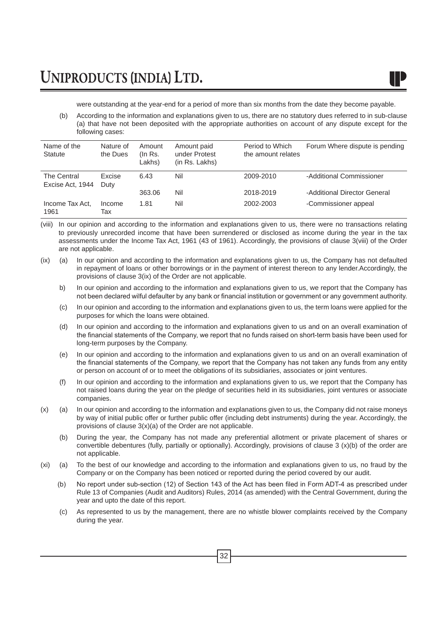were outstanding at the year-end for a period of more than six months from the date they become payable.

(b) According to the information and explanations given to us, there are no statutory dues referred to in sub-clause (a) that have not been deposited with the appropriate authorities on account of any dispute except for the following cases:

| Name of the<br>Statute          | Nature of<br>the Dues | Amount<br>(In Rs.<br>Lakhs) | Amount paid<br>under Protest<br>(in Rs. Lakhs) | Period to Which<br>the amount relates | Forum Where dispute is pending |
|---------------------------------|-----------------------|-----------------------------|------------------------------------------------|---------------------------------------|--------------------------------|
| The Central<br>Excise Act, 1944 | Excise<br>Duty        | 6.43                        | Nil                                            | 2009-2010                             | -Additional Commissioner       |
|                                 |                       | 363.06                      | Nil                                            | 2018-2019                             | -Additional Director General   |
| Income Tax Act.<br>1961         | Income<br>Тах         | 1.81                        | Nil                                            | 2002-2003                             | -Commissioner appeal           |

(viii) In our opinion and according to the information and explanations given to us, there were no transactions relating to previously unrecorded income that have been surrendered or disclosed as income during the year in the tax assessments under the Income Tax Act, 1961 (43 of 1961). Accordingly, the provisions of clause 3(viii) of the Order are not applicable.

- (ix) (a) In our opinion and according to the information and explanations given to us, the Company has not defaulted in repayment of loans or other borrowings or in the payment of interest thereon to any lender.Accordingly, the provisions of clause 3(ix) of the Order are not applicable.
	- b) In our opinion and according to the information and explanations given to us, we report that the Company has not been declared wilful defaulter by any bank or financial institution or government or any government authority.
	- (c) In our opinion and according to the information and explanations given to us, the term loans were applied for the purposes for which the loans were obtained.
	- (d) In our opinion and according to the information and explanations given to us and on an overall examination of the financial statements of the Company, we report that no funds raised on short-term basis have been used for long-term purposes by the Company.
	- (e) In our opinion and according to the information and explanations given to us and on an overall examination of the financial statements of the Company, we report that the Company has not taken any funds from any entity or person on account of or to meet the obligations of its subsidiaries, associates or joint ventures.
	- (f) In our opinion and according to the information and explanations given to us, we report that the Company has not raised loans during the year on the pledge of securities held in its subsidiaries, joint ventures or associate companies.
- (x) (a) In our opinion and according to the information and explanations given to us, the Company did not raise moneys by way of initial public offer or further public offer (including debt instruments) during the year. Accordingly, the provisions of clause 3(x)(a) of the Order are not applicable.
	- (b) During the year, the Company has not made any preferential allotment or private placement of shares or convertible debentures (fully, partially or optionally). Accordingly, provisions of clause 3 (x)(b) of the order are not applicable.
- (xi) (a) To the best of our knowledge and according to the information and explanations given to us, no fraud by the Company or on the Company has been noticed or reported during the period covered by our audit.
	- (b) No report under sub-section (12) of Section 143 of the Act has been filed in Form ADT-4 as prescribed under Rule 13 of Companies (Audit and Auditors) Rules, 2014 (as amended) with the Central Government, during the year and upto the date of this report.
	- (c) As represented to us by the management, there are no whistle blower complaints received by the Company during the year.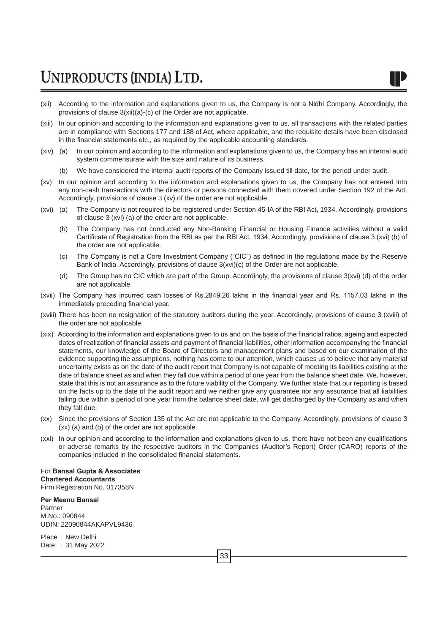- 
- (xii) According to the information and explanations given to us, the Company is not a Nidhi Company. Accordingly, the provisions of clause 3(xii)(a)-(c) of the Order are not applicable.
- (xiii) In our opinion and according to the information and explanations given to us, all transactions with the related parties are in compliance with Sections 177 and 188 of Act, where applicable, and the requisite details have been disclosed in the financial statements etc., as required by the applicable accounting standards.
- (xiv) (a) In our opinion and according to the information and explanations given to us, the Company has an internal audit system commensurate with the size and nature of its business.
	- (b) We have considered the internal audit reports of the Company issued till date, for the period under audit.
- (xv) In our opinion and according to the information and explanations given to us, the Company has not entered into any non-cash transactions with the directors or persons connected with them covered under Section 192 of the Act. Accordingly, provisions of clause 3 (xv) of the order are not applicable.
- (xvi) (a) The Company is not required to be registered under Section 45-IA of the RBI Act, 1934. Accordingly, provisions of clause 3 (xvi) (a) of the order are not applicable.
	- (b) The Company has not conducted any Non-Banking Financial or Housing Finance activities without a valid Certificate of Registration from the RBI as per the RBI Act, 1934. Accordingly, provisions of clause 3 (xvi) (b) of the order are not applicable.
	- (c) The Company is not a Core Investment Company ("CIC") as defined in the regulations made by the Reserve Bank of India. Accordingly, provisions of clause 3(xvi)(c) of the Order are not applicable.
	- (d) The Group has no CIC which are part of the Group. Accordingly, the provisions of clause 3(xvi) (d) of the order are not applicable.
- (xvii) The Company has incurred cash losses of Rs.2849.26 lakhs in the financial year and Rs. 1157.03 lakhs in the immediately preceding financial year.
- (xviii) There has been no resignation of the statutory auditors during the year. Accordingly, provisions of clause 3 (xviii) of the order are not applicable.
- (xix) According to the information and explanations given to us and on the basis of the financial ratios, ageing and expected dates of realization of financial assets and payment of financial liabilities, other information accompanying the financial statements, our knowledge of the Board of Directors and management plans and based on our examination of the evidence supporting the assumptions, nothing has come to our attention, which causes us to believe that any material uncertainty exists as on the date of the audit report that Company is not capable of meeting its liabilities existing at the date of balance sheet as and when they fall due within a period of one year from the balance sheet date. We, however, state that this is not an assurance as to the future viability of the Company. We further state that our reporting is based on the facts up to the date of the audit report and we neither give any guarantee nor any assurance that all liabilities falling due within a period of one year from the balance sheet date, will get discharged by the Company as and when they fall due.
- (xx) Since the provisions of Section 135 of the Act are not applicable to the Company. Accordingly, provisions of clause 3 (xx) (a) and (b) of the order are not applicable.
- (xxi) In our opinion and according to the information and explanations given to us, there have not been any qualifications or adverse remarks by the respective auditors in the Companies (Auditor's Report) Order (CARO) reports of the companies included in the consolidated financial statements.

For **Bansal Gupta & Associates Chartered Accountants** Firm Registration No. 017358N

**Per Meenu Bansal** Partner M.No.: 090844 UDIN: 22090844AKAPVL9436

Place : New Delhi Date : 31 May 2022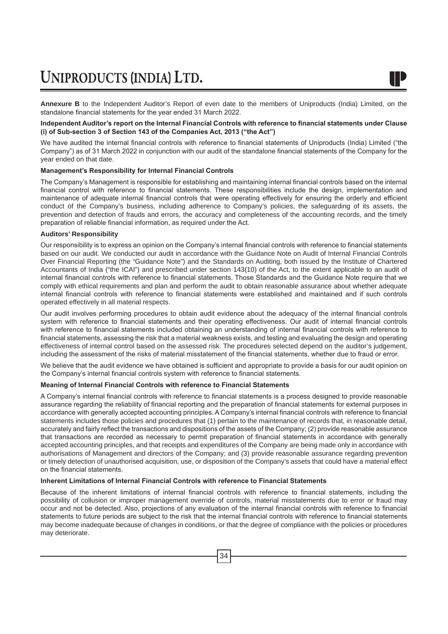**Annexure B** to the Independent Auditor's Report of even date to the members of Uniproducts (India) Limited, on the standalone financial statements for the year ended 31 March 2022.

#### **Independent Auditor's report on the Internal Financial Controls with reference to financial statements under Clause (i) of Sub-section 3 of Section 143 of the Companies Act, 2013 ("the Act")**

We have audited the internal financial controls with reference to financial statements of Uniproducts (India) Limited ("the Company") as of 31 March 2022 in conjunction with our audit of the standalone financial statements of the Company for the year ended on that date.

#### **Management's Responsibility for Internal Financial Controls**

The Company's Management is responsible for establishing and maintaining internal financial controls based on the internal financial control with reference to financial statements. These responsibilities include the design, implementation and maintenance of adequate internal financial controls that were operating effectively for ensuring the orderly and efficient conduct of the Company's business, including adherence to Company's policies, the safeguarding of its assets, the prevention and detection of frauds and errors, the accuracy and completeness of the accounting records, and the timely preparation of reliable financial information, as required under the Act.

#### **Auditors' Responsibility**

Our responsibility is to express an opinion on the Company's internal financial controls with reference to financial statements based on our audit. We conducted our audit in accordance with the Guidance Note on Audit of Internal Financial Controls Over Financial Reporting (the "Guidance Note") and the Standards on Auditing, both issued by the Institute of Chartered Accountants of India ("the ICAI") and prescribed under section 143(10) of the Act, to the extent applicable to an audit of internal financial controls with reference to financial statements. Those Standards and the Guidance Note require that we comply with ethical requirements and plan and perform the audit to obtain reasonable assurance about whether adequate internal financial controls with reference to financial statements were established and maintained and if such controls operated effectively in all material respects.

Our audit involves performing procedures to obtain audit evidence about the adequacy of the internal financial controls system with reference to financial statements and their operating effectiveness. Our audit of internal financial controls with reference to financial statements included obtaining an understanding of internal financial controls with reference to financial statements, assessing the risk that a material weakness exists, and testing and evaluating the design and operating effectiveness of internal control based on the assessed risk. The procedures selected depend on the auditor's judgement, including the assessment of the risks of material misstatement of the financial statements, whether due to fraud or error.

We believe that the audit evidence we have obtained is sufficient and appropriate to provide a basis for our audit opinion on the Company's internal financial controls system with reference to financial statements.

#### **Meaning of Internal Financial Controls with reference to Financial Statements**

A Company's internal financial controls with reference to financial statements is a process designed to provide reasonable assurance regarding the reliability of financial reporting and the preparation of financial statements for external purposes in accordance with generally accepted accounting principles. A Company's internal financial controls with reference to financial statements includes those policies and procedures that (1) pertain to the maintenance of records that, in reasonable detail, accurately and fairly reflect the transactions and dispositions of the assets of the Company; (2) provide reasonable assurance that transactions are recorded as necessary to permit preparation of financial statements in accordance with generally accepted accounting principles, and that receipts and expenditures of the Company are being made only in accordance with authorisations of Management and directors of the Company; and (3) provide reasonable assurance regarding prevention or timely detection of unauthorised acquisition, use, or disposition of the Company's assets that could have a material effect on the financial statements.

#### **Inherent Limitations of Internal Financial Controls with reference to Financial Statements**

Because of the inherent limitations of internal financial controls with reference to financial statements, including the possibility of collusion or improper management override of controls, material misstatements due to error or fraud may occur and not be detected. Also, projections of any evaluation of the internal financial controls with reference to financial statements to future periods are subject to the risk that the internal financial controls with reference to financial statements may become inadequate because of changes in conditions, or that the degree of compliance with the policies or procedures may deteriorate.

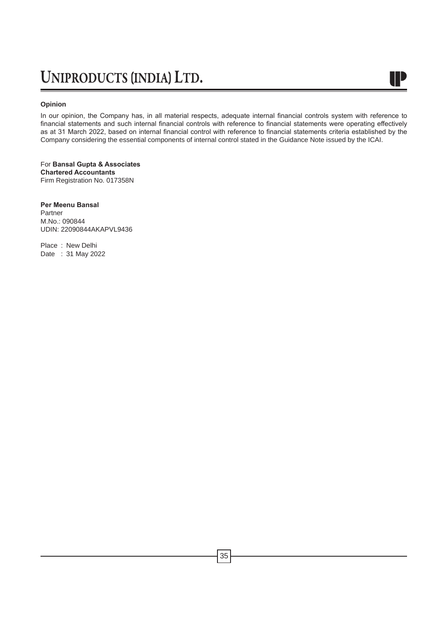#### **Opinion**

In our opinion, the Company has, in all material respects, adequate internal financial controls system with reference to financial statements and such internal financial controls with reference to financial statements were operating effectively as at 31 March 2022, based on internal financial control with reference to financial statements criteria established by the Company considering the essential components of internal control stated in the Guidance Note issued by the ICAI.

W

For **Bansal Gupta & Associates Chartered Accountants** Firm Registration No. 017358N

**Per Meenu Bansal**

Partner M.No.: 090844 UDIN: 22090844AKAPVL9436

Place : New Delhi Date : 31 May 2022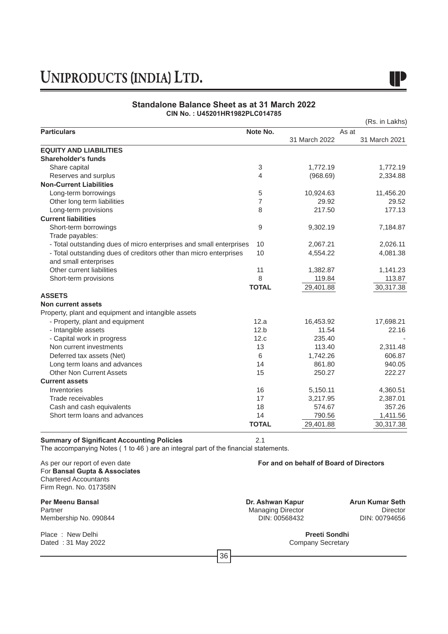### **Standalone Balance Sheet as at 31 March 2022 CIN No. : U45201HR1982PLC014785**

|                                                                     |              |               | (Rs. in Lakhs) |
|---------------------------------------------------------------------|--------------|---------------|----------------|
| <b>Particulars</b>                                                  | Note No.     |               | As at          |
|                                                                     |              | 31 March 2022 | 31 March 2021  |
| <b>EQUITY AND LIABILITIES</b>                                       |              |               |                |
| Shareholder's funds                                                 |              |               |                |
| Share capital                                                       | 3            | 1,772.19      | 1,772.19       |
| Reserves and surplus                                                | 4            | (968.69)      | 2,334.88       |
| <b>Non-Current Liabilities</b>                                      |              |               |                |
| Long-term borrowings                                                | 5            | 10,924.63     | 11,456.20      |
| Other long term liabilities                                         | 7            | 29.92         | 29.52          |
| Long-term provisions                                                | 8            | 217.50        | 177.13         |
| <b>Current liabilities</b>                                          |              |               |                |
| Short-term borrowings                                               | 9            | 9,302.19      | 7,184.87       |
| Trade payables:                                                     |              |               |                |
| - Total outstanding dues of micro enterprises and small enterprises | 10           | 2,067.21      | 2,026.11       |
| - Total outstanding dues of creditors other than micro enterprises  | 10           | 4,554.22      | 4,081.38       |
| and small enterprises                                               |              |               |                |
| Other current liabilities                                           | 11           | 1,382.87      | 1,141.23       |
| Short-term provisions                                               | 8            | 119.84        | 113.87         |
|                                                                     | <b>TOTAL</b> | 29,401.88     | 30,317.38      |
| <b>ASSETS</b>                                                       |              |               |                |
| <b>Non current assets</b>                                           |              |               |                |
| Property, plant and equipment and intangible assets                 |              |               |                |
| - Property, plant and equipment                                     | 12.a         | 16,453.92     | 17,698.21      |
| - Intangible assets                                                 | 12.b         | 11.54         | 22.16          |
| - Capital work in progress                                          | 12.c         | 235.40        |                |
| Non current investments                                             | 13           | 113.40        | 2,311.48       |
| Deferred tax assets (Net)                                           | 6            | 1,742.26      | 606.87         |
| Long term loans and advances                                        | 14           | 861.80        | 940.05         |
| <b>Other Non Current Assets</b>                                     | 15           | 250.27        | 222.27         |
| <b>Current assets</b>                                               |              |               |                |
| Inventories                                                         | 16           | 5,150.11      | 4,360.51       |
| Trade receivables                                                   | 17           | 3,217.95      | 2,387.01       |
| Cash and cash equivalents                                           | 18           | 574.67        | 357.26         |
| Short term loans and advances                                       | 14           | 790.56        | 1,411.56       |
|                                                                     | <b>TOTAL</b> | 29,401.88     | 30,317.38      |

### **Summary of Significant Accounting Policies** 2.1

The accompanying Notes ( 1 to 46 ) are an integral part of the financial statements.

For **Bansal Gupta & Associates** Chartered Accountants Firm Regn. No. 017358N

**Per Meenu Bansal Dr. Ashwan Kapur Arun Kumar Seth** Membership No. 090844

Place : New Delhi **Preeti Sondhi Preeti Sondhi Preeti Sondhi Preeti Sondhi Preeti Sondhi Preeti Sondhi Preeti Sondhi Preeti Sondhi Preeti Sondhi Preeti Sondhi Preeti Sondhi Preeti Sondhi Preeti Sond** Dated : 31 May 2022

As per our report of even date **For and on behalf of Board of Directors**

Managing Director Director<br>DIN: 00568432 DIN: 00794656

36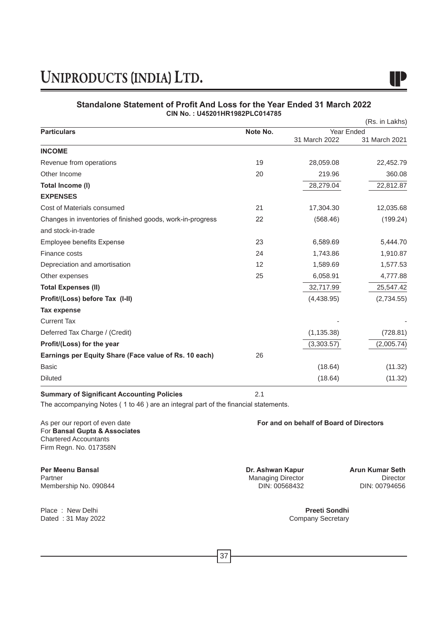

### **Standalone Statement of Profit And Loss for the Year Ended 31 March 2022 CIN No. : U45201HR1982PLC014785**  $(D<sub>1</sub> + b<sub>1</sub> + b<sub>2</sub>)$

| <b>Particulars</b>                                         | Note No. | Year Ended    | (RS. IN LAKNS) |
|------------------------------------------------------------|----------|---------------|----------------|
|                                                            |          | 31 March 2022 | 31 March 2021  |
| <b>INCOME</b>                                              |          |               |                |
| Revenue from operations                                    | 19       | 28,059.08     | 22,452.79      |
| Other Income                                               | 20       | 219.96        | 360.08         |
| Total Income (I)                                           |          | 28,279.04     | 22,812.87      |
| <b>EXPENSES</b>                                            |          |               |                |
| Cost of Materials consumed                                 | 21       | 17,304.30     | 12,035.68      |
| Changes in inventories of finished goods, work-in-progress | 22       | (568.46)      | (199.24)       |
| and stock-in-trade                                         |          |               |                |
| <b>Employee benefits Expense</b>                           | 23       | 6,589.69      | 5,444.70       |
| Finance costs                                              | 24       | 1,743.86      | 1,910.87       |
| Depreciation and amortisation                              | 12       | 1,589.69      | 1,577.53       |
| Other expenses                                             | 25       | 6,058.91      | 4,777.88       |
| <b>Total Expenses (II)</b>                                 |          | 32,717.99     | 25,547.42      |
| Profit/(Loss) before Tax (I-II)                            |          | (4,438.95)    | (2,734.55)     |
| <b>Tax expense</b>                                         |          |               |                |
| <b>Current Tax</b>                                         |          |               |                |
| Deferred Tax Charge / (Credit)                             |          | (1, 135.38)   | (728.81)       |
| Profit/(Loss) for the year                                 |          | (3,303.57)    | (2,005.74)     |
| Earnings per Equity Share (Face value of Rs. 10 each)      | 26       |               |                |
| <b>Basic</b>                                               |          | (18.64)       | (11.32)        |
| <b>Diluted</b>                                             |          | (18.64)       | (11.32)        |

### **Summary of Significant Accounting Policies** 2.1

The accompanying Notes ( 1 to 46 ) are an integral part of the financial statements.

As per our report of even date **For and on behalf of Board of Directors** For **Bansal Gupta & Associates** Chartered Accountants Firm Regn. No. 017358N

**Per Meenu Bansal Dr. Ashwan Kapur Arun Kumar Seth** Membership No. 090844

Place : New Delhi **Preeti Sondhi Preeti Sondhi Preeti Sondhi Preeti Sondhi Preeti Sondhi Preeti Sondhi Preeti Sondhi Preeti Sondhi Preeti Sondhi Preeti Sondhi Preeti Sondhi Preeti Sondhi Preeti Sond** Dated : 31 May 2022

Managing Director Director Director<br>DIN: 00568432 DIN: 00794656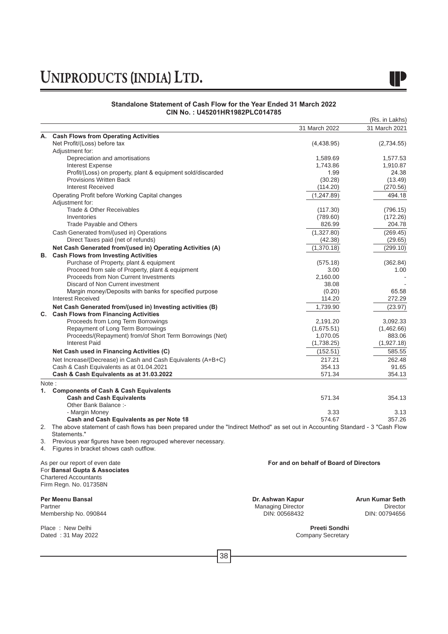### **Standalone Statement of Cash Flow for the Year Ended 31 March 2022 CIN No. : U45201HR1982PLC014785**

|    |                                                                                                                                  |                                         | (Rs. in Lakhs)       |
|----|----------------------------------------------------------------------------------------------------------------------------------|-----------------------------------------|----------------------|
|    |                                                                                                                                  | 31 March 2022                           | 31 March 2021        |
| А. | <b>Cash Flows from Operating Activities</b>                                                                                      |                                         |                      |
|    | Net Profit/(Loss) before tax                                                                                                     | (4,438.95)                              | (2,734.55)           |
|    | Adjustment for:                                                                                                                  |                                         |                      |
|    | Depreciation and amortisations                                                                                                   | 1,589.69                                | 1,577.53             |
|    | <b>Interest Expense</b>                                                                                                          | 1,743.86                                | 1,910.87             |
|    | Profit/(Loss) on property, plant & equipment sold/discarded<br><b>Provisions Written Back</b>                                    | 1.99                                    | 24.38                |
|    | <b>Interest Received</b>                                                                                                         | (30.28)<br>(114.20)                     | (13.49)<br>(270.56)  |
|    | Operating Profit before Working Capital changes                                                                                  | (1, 247.89)                             | 494.18               |
|    | Adjustment for:                                                                                                                  |                                         |                      |
|    | Trade & Other Receivables                                                                                                        | (117.30)                                | (796.15)             |
|    | Inventories                                                                                                                      | (789.60)                                | (172.26)             |
|    | Trade Payable and Others                                                                                                         | 826.99                                  | 204.78               |
|    | Cash Generated from/(used in) Operations                                                                                         | (1,327.80)                              | (269.45)             |
|    | Direct Taxes paid (net of refunds)                                                                                               | (42.38)                                 | (29.65)              |
|    | Net Cash Generated from/(used in) Operating Activities (A)                                                                       | (1,370.18)                              | (299.10)             |
| В. | <b>Cash Flows from Investing Activities</b>                                                                                      |                                         |                      |
|    | Purchase of Property, plant & equipment                                                                                          | (575.18)                                | (362.84)             |
|    | Proceed from sale of Property, plant & equipment                                                                                 | 3.00                                    | 1.00                 |
|    | Proceeds from Non Current Investments                                                                                            | 2,160.00                                |                      |
|    | Discard of Non Current investment                                                                                                | 38.08                                   |                      |
|    | Margin money/Deposits with banks for specified purpose                                                                           | (0.20)                                  | 65.58                |
|    | <b>Interest Received</b>                                                                                                         | 114.20                                  | 272.29               |
|    | Net Cash Generated from/(used in) Investing activities (B)                                                                       | 1,739.90                                | (23.97)              |
| С. | <b>Cash Flows from Financing Activities</b>                                                                                      |                                         |                      |
|    | Proceeds from Long Term Borrowings                                                                                               | 2,191.20                                | 3,092.33             |
|    | Repayment of Long Term Borrowings                                                                                                | (1,675.51)<br>1,070.05                  | (1,462.66)<br>883.06 |
|    | Proceeds/(Repayment) from/of Short Term Borrowings (Net)<br><b>Interest Paid</b>                                                 | (1,738.25)                              | (1,927.18)           |
|    | Net Cash used in Financing Activities (C)                                                                                        | (152.51)                                | 585.55               |
|    |                                                                                                                                  |                                         |                      |
|    | Net Increase/(Decrease) in Cash and Cash Equivalents (A+B+C)<br>Cash & Cash Equivalents as at 01.04.2021                         | 217.21<br>354.13                        | 262.48<br>91.65      |
|    | Cash & Cash Equivalents as at 31.03.2022                                                                                         | 571.34                                  | 354.13               |
|    |                                                                                                                                  |                                         |                      |
| 1. | Note:<br><b>Components of Cash &amp; Cash Equivalents</b>                                                                        |                                         |                      |
|    | <b>Cash and Cash Equivalents</b>                                                                                                 | 571.34                                  | 354.13               |
|    | Other Bank Balance :-                                                                                                            |                                         |                      |
|    | - Margin Money                                                                                                                   | 3.33                                    | 3.13                 |
|    | Cash and Cash Equivalents as per Note 18                                                                                         | 574.67                                  | 357.26               |
| 2. | The above statement of cash flows has been prepared under the "Indirect Method" as set out in Accounting Standard - 3 "Cash Flow |                                         |                      |
|    | Statements."                                                                                                                     |                                         |                      |
| 3. | Previous year figures have been regrouped wherever necessary.                                                                    |                                         |                      |
| 4. | Figures in bracket shows cash outflow.                                                                                           |                                         |                      |
|    |                                                                                                                                  |                                         |                      |
|    | As per our report of even date<br>For Bansal Gupta & Associates                                                                  | For and on behalf of Board of Directors |                      |
|    | <b>Chartered Accountants</b>                                                                                                     |                                         |                      |
|    | Firm Regn. No. 017358N                                                                                                           |                                         |                      |
|    | Per Meenu Bansal                                                                                                                 | Dr. Ashwan Kapur                        | Arun Kumar Seth      |
|    | Partner                                                                                                                          | <b>Managing Director</b>                | <b>Director</b>      |
|    | Membership No. 090844                                                                                                            | DIN: 00568432                           | DIN: 00794656        |
|    |                                                                                                                                  |                                         |                      |
|    | Place: New Delhi                                                                                                                 | Preeti Sondhi                           |                      |
|    | Dated: 31 May 2022                                                                                                               | <b>Company Secretary</b>                |                      |

38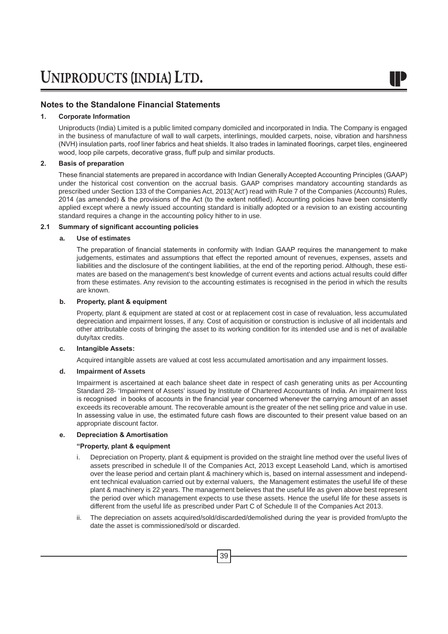### **1. Corporate Information**

Uniproducts (India) Limited is a public limited company domiciled and incorporated in India. The Company is engaged in the business of manufacture of wall to wall carpets, interlinings, moulded carpets, noise, vibration and harshness (NVH) insulation parts, roof liner fabrics and heat shields. It also trades in laminated floorings, carpet tiles, engineered wood, loop pile carpets, decorative grass, fluff pulp and similar products.

### **2. Basis of preparation**

 These financial statements are prepared in accordance with Indian Generally Accepted Accounting Principles (GAAP) under the historical cost convention on the accrual basis. GAAP comprises mandatory accounting standards as prescribed under Section 133 of the Companies Act, 2013('Act') read with Rule 7 of the Companies (Accounts) Rules, 2014 (as amended) & the provisions of the Act (to the extent notified). Accounting policies have been consistently applied except where a newly issued accounting standard is initially adopted or a revision to an existing accounting standard requires a change in the accounting policy hither to in use.

### **2.1 Summary of significant accounting policies**

### **a. Use of estimates**

 The preparation of financial statements in conformity with Indian GAAP requires the manangement to make judgements, estimates and assumptions that effect the reported amount of revenues, expenses, assets and liabilities and the disclosure of the contingent liabilities, at the end of the reporting period. Although, these estimates are based on the management's best knowledge of current events and actions actual results could differ from these estimates. Any revision to the accounting estimates is recognised in the period in which the results are known.

### **b. Property, plant & equipment**

 Property, plant & equipment are stated at cost or at replacement cost in case of revaluation, less accumulated depreciation and impairment losses, if any. Cost of acquisition or construction is inclusive of all incidentals and other attributable costs of bringing the asset to its working condition for its intended use and is net of available duty/tax credits.

### **c. Intangible Assets:**

Acquired intangible assets are valued at cost less accumulated amortisation and any impairment losses.

### **d. Impairment of Assets**

 Impairment is ascertained at each balance sheet date in respect of cash generating units as per Accounting Standard 28- 'Impairment of Assets' issued by Institute of Chartered Accountants of India. An impairment loss is recognised in books of accounts in the financial year concerned whenever the carrying amount of an asset exceeds its recoverable amount. The recoverable amount is the greater of the net selling price and value in use. In assessing value in use, the estimated future cash flows are discounted to their present value based on an appropriate discount factor.

### **e. Depreciation & Amortisation**

### **"Property, plant & equipment**

- i. Depreciation on Property, plant & equipment is provided on the straight line method over the useful lives of assets prescribed in schedule II of the Companies Act, 2013 except Leasehold Land, which is amortised over the lease period and certain plant & machinery which is, based on internal assessment and independent technical evaluation carried out by external valuers, the Management estimates the useful life of these plant & machinery is 22 years. The management believes that the useful life as given above best represent the period over which management expects to use these assets. Hence the useful life for these assets is different from the useful life as prescribed under Part C of Schedule II of the Companies Act 2013.
- ii. The depreciation on assets acquired/sold/discarded/demolished during the year is provided from/upto the date the asset is commissioned/sold or discarded.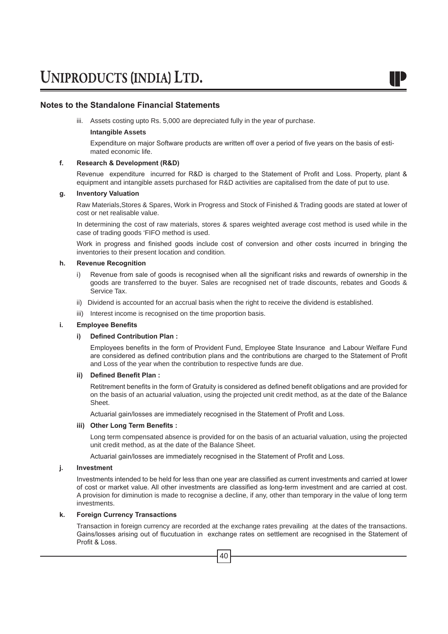iii. Assets costing upto Rs. 5,000 are depreciated fully in the year of purchase.

### **Intangible Assets**

 Expenditure on major Software products are written off over a period of five years on the basis of estimated economic life.

### **f. Research & Development (R&D)**

 Revenue expenditure incurred for R&D is charged to the Statement of Profit and Loss. Property, plant & equipment and intangible assets purchased for R&D activities are capitalised from the date of put to use.

### **g. Inventory Valuation**

 Raw Materials,Stores & Spares, Work in Progress and Stock of Finished & Trading goods are stated at lower of cost or net realisable value.

 In determining the cost of raw materials, stores & spares weighted average cost method is used while in the case of trading goods 'FIFO method is used.

 Work in progress and finished goods include cost of conversion and other costs incurred in bringing the inventories to their present location and condition.

### **h. Revenue Recognition**

- i) Revenue from sale of goods is recognised when all the significant risks and rewards of ownership in the goods are transferred to the buyer. Sales are recognised net of trade discounts, rebates and Goods & Service Tax.
- ii) Dividend is accounted for an accrual basis when the right to receive the dividend is established.
- iii) Interest income is recognised on the time proportion basis.

### **i. Employee Benefits**

### **i) Defined Contribution Plan :**

 Employees benefits in the form of Provident Fund, Employee State Insurance and Labour Welfare Fund are considered as defined contribution plans and the contributions are charged to the Statement of Profit and Loss of the year when the contribution to respective funds are due.

### **ii) Defined Benefit Plan :**

 Retitrement benefits in the form of Gratuity is considered as defined benefit obligations and are provided for on the basis of an actuarial valuation, using the projected unit credit method, as at the date of the Balance Sheet.

 Actuarial gain/losses are immediately recognised in the Statement of Profit and Loss.

### **iii) Other Long Term Benefits :**

Long term compensated absence is provided for on the basis of an actuarial valuation, using the projected unit credit method, as at the date of the Balance Sheet.

 Actuarial gain/losses are immediately recognised in the Statement of Profit and Loss.

### **j. Investment**

 Investments intended to be held for less than one year are classified as current investments and carried at lower of cost or market value. All other investments are classified as long-term investment and are carried at cost. A provision for diminution is made to recognise a decline, if any, other than temporary in the value of long term investments.

### **k. Foreign Currency Transactions**

 Transaction in foreign currency are recorded at the exchange rates prevailing at the dates of the transactions. Gains/losses arising out of flucutuation in exchange rates on settlement are recognised in the Statement of Profit & Loss.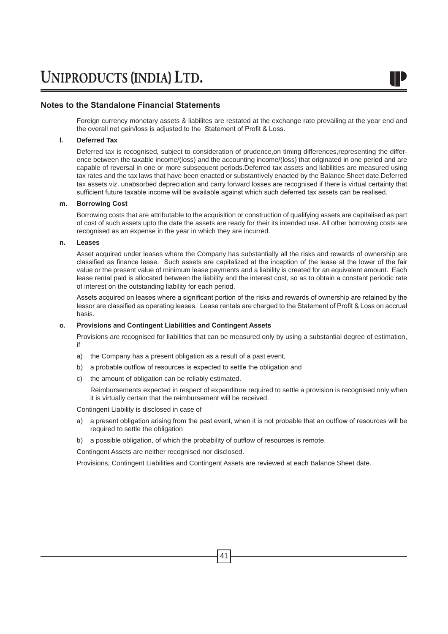Foreign currency monetary assets & liabilites are restated at the exchange rate prevailing at the year end and the overall net gain/loss is adjusted to the Statement of Profit & Loss.

### **l. Deferred Tax**

 Deferred tax is recognised, subject to consideration of prudence,on timing differences,representing the difference between the taxable income/(loss) and the accounting income/(loss) that originated in one period and are capable of reversal in one or more subsequent periods.Deferred tax assets and liabilities are measured using tax rates and the tax laws that have been enacted or substantively enacted by the Balance Sheet date.Deferred tax assets viz. unabsorbed depreciation and carry forward losses are recognised if there is virtual certainty that sufficient future taxable income will be available against which such deferred tax assets can be realised.

### **m. Borrowing Cost**

 Borrowing costs that are attributable to the acquisition or construction of qualifying assets are capitalised as part of cost of such assets upto the date the assets are ready for their its intended use. All other borrowing costs are recognised as an expense in the year in which they are incurred.

### **n. Leases**

 Asset acquired under leases where the Company has substantially all the risks and rewards of ownership are classified as finance lease. Such assets are capitalized at the inception of the lease at the lower of the fair value or the present value of minimum lease payments and a liability is created for an equivalent amount. Each lease rental paid is allocated between the liability and the interest cost, so as to obtain a constant periodic rate of interest on the outstanding liability for each period.

 Assets acquired on leases where a significant portion of the risks and rewards of ownership are retained by the lessor are classified as operating leases. Lease rentals are charged to the Statement of Profit & Loss on accrual basis.

### **o. Provisions and Contingent Liabilities and Contingent Assets**

 Provisions are recognised for liabilities that can be measured only by using a substantial degree of estimation, if

- a) the Company has a present obligation as a result of a past event,
- b) a probable outflow of resources is expected to settle the obligation and
- c) the amount of obligation can be reliably estimated.

Reimbursements expected in respect of expenditure required to settle a provision is recognised only when it is virtually certain that the reimbursement will be received.

Contingent Liability is disclosed in case of

- a) a present obligation arising from the past event, when it is not probable that an outflow of resources will be required to settle the obligation
- b) a possible obligation, of which the probability of outflow of resources is remote.

Contingent Assets are neither recognised nor disclosed.

Provisions, Contingent Liabilities and Contingent Assets are reviewed at each Balance Sheet date.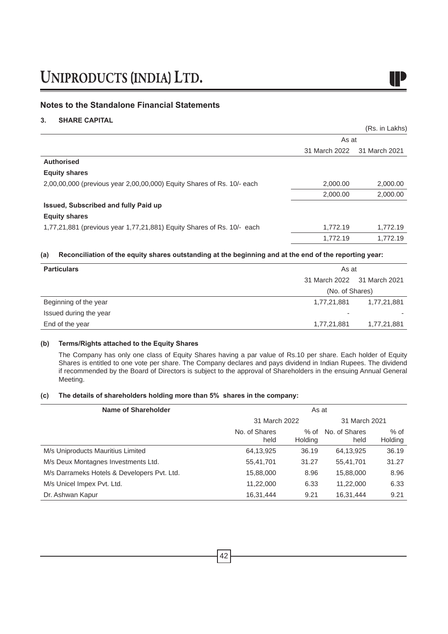### **Notes to the Standalone Financial Statements**

### **3. SHARE CAPITAL**

|                                                                        |               | (Rs. in Lakhs) |
|------------------------------------------------------------------------|---------------|----------------|
|                                                                        | As at         |                |
|                                                                        | 31 March 2022 | 31 March 2021  |
| <b>Authorised</b>                                                      |               |                |
| <b>Equity shares</b>                                                   |               |                |
| 2,00,00,000 (previous year 2,00,00,000) Equity Shares of Rs. 10/- each | 2,000.00      | 2,000.00       |
|                                                                        | 2,000.00      | 2,000.00       |
| Issued, Subscribed and fully Paid up                                   |               |                |
| <b>Equity shares</b>                                                   |               |                |
| 1,77,21,881 (previous year 1,77,21,881) Equity Shares of Rs. 10/- each | 1,772.19      | 1,772.19       |
|                                                                        | 1.772.19      | 1,772.19       |

### **(a) Reconciliation of the equity shares outstanding at the beginning and at the end of the reporting year:**

| <b>Particulars</b>     | As at                       |             |
|------------------------|-----------------------------|-------------|
|                        | 31 March 2022 31 March 2021 |             |
|                        | (No. of Shares)             |             |
| Beginning of the year  | 1,77,21,881                 | 1,77,21,881 |
| Issued during the year | -                           |             |
| End of the year        | 1,77,21,881                 | 1,77,21,881 |
|                        |                             |             |

### **(b) Terms/Rights attached to the Equity Shares**

The Company has only one class of Equity Shares having a par value of Rs.10 per share. Each holder of Equity Shares is entitled to one vote per share. The Company declares and pays dividend in Indian Rupees. The dividend if recommended by the Board of Directors is subject to the approval of Shareholders in the ensuing Annual General Meeting.

### **(c) The details of shareholders holding more than 5% shares in the company:**

| Name of Shareholder                         |                       | As at           |                       |                   |
|---------------------------------------------|-----------------------|-----------------|-----------------------|-------------------|
|                                             | 31 March 2022         |                 | 31 March 2021         |                   |
|                                             | No. of Shares<br>held | % of<br>Holding | No. of Shares<br>held | $%$ of<br>Holding |
| M/s Uniproducts Mauritius Limited           | 64,13,925             | 36.19           | 64,13,925             | 36.19             |
| M/s Deux Montagnes Investments Ltd.         | 55,41,701             | 31.27           | 55,41,701             | 31.27             |
| M/s Darrameks Hotels & Developers Pvt. Ltd. | 15,88,000             | 8.96            | 15,88,000             | 8.96              |
| M/s Unicel Impex Pvt. Ltd.                  | 11,22,000             | 6.33            | 11.22.000             | 6.33              |
| Dr. Ashwan Kapur                            | 16,31,444             | 9.21            | 16,31,444             | 9.21              |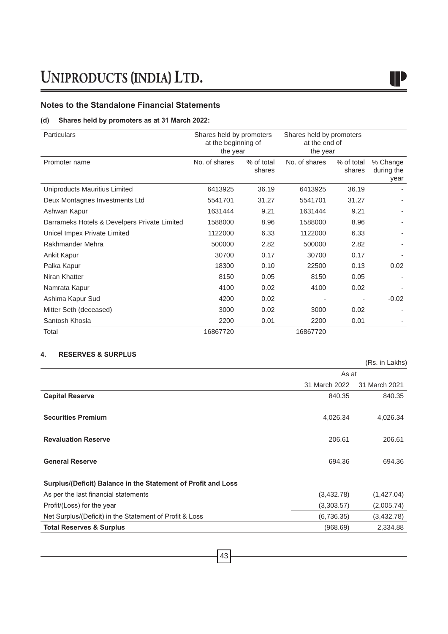### **(d) Shares held by promoters as at 31 March 2022:**

| <b>Particulars</b>                           | Shares held by promoters<br>at the beginning of<br>the year |                      | Shares held by promoters<br>at the end of<br>the year |                      |                                |
|----------------------------------------------|-------------------------------------------------------------|----------------------|-------------------------------------------------------|----------------------|--------------------------------|
| Promoter name                                | No. of shares                                               | % of total<br>shares | No. of shares                                         | % of total<br>shares | % Change<br>during the<br>year |
| Uniproducts Mauritius Limited                | 6413925                                                     | 36.19                | 6413925                                               | 36.19                |                                |
| Deux Montagnes Investments Ltd               | 5541701                                                     | 31.27                | 5541701                                               | 31.27                |                                |
| Ashwan Kapur                                 | 1631444                                                     | 9.21                 | 1631444                                               | 9.21                 |                                |
| Darrameks Hotels & Develpers Private Limited | 1588000                                                     | 8.96                 | 1588000                                               | 8.96                 |                                |
| Unicel Impex Private Limited                 | 1122000                                                     | 6.33                 | 1122000                                               | 6.33                 |                                |
| Rakhmander Mehra                             | 500000                                                      | 2.82                 | 500000                                                | 2.82                 |                                |
| Ankit Kapur                                  | 30700                                                       | 0.17                 | 30700                                                 | 0.17                 |                                |
| Palka Kapur                                  | 18300                                                       | 0.10                 | 22500                                                 | 0.13                 | 0.02                           |
| Niran Khatter                                | 8150                                                        | 0.05                 | 8150                                                  | 0.05                 |                                |
| Namrata Kapur                                | 4100                                                        | 0.02                 | 4100                                                  | 0.02                 |                                |
| Ashima Kapur Sud                             | 4200                                                        | 0.02                 |                                                       |                      | $-0.02$                        |
| Mitter Seth (deceased)                       | 3000                                                        | 0.02                 | 3000                                                  | 0.02                 |                                |
| Santosh Khosla                               | 2200                                                        | 0.01                 | 2200                                                  | 0.01                 |                                |
| Total                                        | 16867720                                                    |                      | 16867720                                              |                      |                                |

### **4. RESERVES & SURPLUS**

| As at<br>31 March 2022<br>31 March 2021<br>840.35<br>840.35<br><b>Capital Reserve</b><br><b>Securities Premium</b><br>4,026.34<br>4,026.34<br><b>Revaluation Reserve</b><br>206.61<br>206.61<br><b>General Reserve</b><br>694.36<br>694.36<br>Surplus/(Deficit) Balance in the Statement of Profit and Loss<br>(3,432.78)<br>(1,427.04)<br>As per the last financial statements<br>(2,005.74)<br>Profit/(Loss) for the year<br>(3,303.57)<br>Net Surplus/(Deficit) in the Statement of Profit & Loss<br>(6,736.35)<br>(3,432.78)<br>(968.69)<br><b>Total Reserves &amp; Surplus</b><br>2,334.88 |  | (Rs. in Lakhs) |
|-------------------------------------------------------------------------------------------------------------------------------------------------------------------------------------------------------------------------------------------------------------------------------------------------------------------------------------------------------------------------------------------------------------------------------------------------------------------------------------------------------------------------------------------------------------------------------------------------|--|----------------|
|                                                                                                                                                                                                                                                                                                                                                                                                                                                                                                                                                                                                 |  |                |
|                                                                                                                                                                                                                                                                                                                                                                                                                                                                                                                                                                                                 |  |                |
|                                                                                                                                                                                                                                                                                                                                                                                                                                                                                                                                                                                                 |  |                |
|                                                                                                                                                                                                                                                                                                                                                                                                                                                                                                                                                                                                 |  |                |
|                                                                                                                                                                                                                                                                                                                                                                                                                                                                                                                                                                                                 |  |                |
|                                                                                                                                                                                                                                                                                                                                                                                                                                                                                                                                                                                                 |  |                |
|                                                                                                                                                                                                                                                                                                                                                                                                                                                                                                                                                                                                 |  |                |
|                                                                                                                                                                                                                                                                                                                                                                                                                                                                                                                                                                                                 |  |                |
|                                                                                                                                                                                                                                                                                                                                                                                                                                                                                                                                                                                                 |  |                |
|                                                                                                                                                                                                                                                                                                                                                                                                                                                                                                                                                                                                 |  |                |
|                                                                                                                                                                                                                                                                                                                                                                                                                                                                                                                                                                                                 |  |                |
|                                                                                                                                                                                                                                                                                                                                                                                                                                                                                                                                                                                                 |  |                |
|                                                                                                                                                                                                                                                                                                                                                                                                                                                                                                                                                                                                 |  |                |
|                                                                                                                                                                                                                                                                                                                                                                                                                                                                                                                                                                                                 |  |                |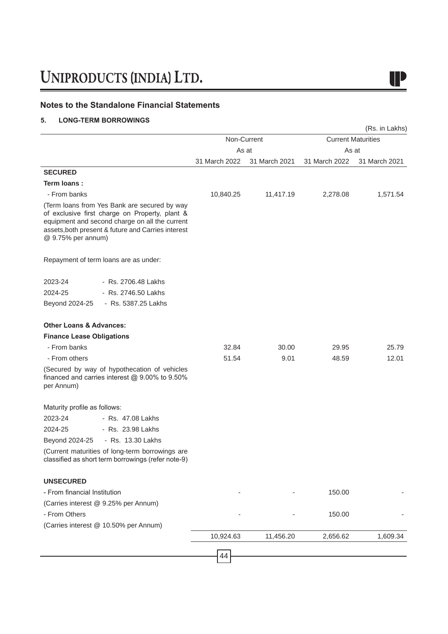### **Notes to the Standalone Financial Statements**

### **5. LONG-TERM BORROWINGS**

|                                    |                                                                                                                                                                                                        |               |               |               | (Rs. in Lakhs)            |
|------------------------------------|--------------------------------------------------------------------------------------------------------------------------------------------------------------------------------------------------------|---------------|---------------|---------------|---------------------------|
|                                    |                                                                                                                                                                                                        |               | Non-Current   |               | <b>Current Maturities</b> |
|                                    |                                                                                                                                                                                                        | As at         |               | As at         |                           |
|                                    |                                                                                                                                                                                                        | 31 March 2022 | 31 March 2021 | 31 March 2022 | 31 March 2021             |
| <b>SECURED</b>                     |                                                                                                                                                                                                        |               |               |               |                           |
| Term loans:                        |                                                                                                                                                                                                        |               |               |               |                           |
| - From banks                       |                                                                                                                                                                                                        | 10,840.25     | 11,417.19     | 2,278.08      | 1,571.54                  |
| @ 9.75% per annum)                 | (Term loans from Yes Bank are secured by way<br>of exclusive first charge on Property, plant &<br>equipment and second charge on all the current<br>assets, both present & future and Carries interest |               |               |               |                           |
|                                    | Repayment of term loans are as under:                                                                                                                                                                  |               |               |               |                           |
| 2023-24                            | - Rs. 2706.48 Lakhs                                                                                                                                                                                    |               |               |               |                           |
| 2024-25                            | - Rs. 2746.50 Lakhs                                                                                                                                                                                    |               |               |               |                           |
| Beyond 2024-25                     | - Rs. 5387.25 Lakhs                                                                                                                                                                                    |               |               |               |                           |
| <b>Other Loans &amp; Advances:</b> |                                                                                                                                                                                                        |               |               |               |                           |
| <b>Finance Lease Obligations</b>   |                                                                                                                                                                                                        |               |               |               |                           |
| - From banks                       |                                                                                                                                                                                                        | 32.84         | 30.00         | 29.95         | 25.79                     |
| - From others                      |                                                                                                                                                                                                        | 51.54         | 9.01          | 48.59         | 12.01                     |
| per Annum)                         | (Secured by way of hypothecation of vehicles<br>financed and carries interest @ 9.00% to 9.50%                                                                                                         |               |               |               |                           |
| Maturity profile as follows:       |                                                                                                                                                                                                        |               |               |               |                           |
| 2023-24                            | - Rs. 47.08 Lakhs                                                                                                                                                                                      |               |               |               |                           |
| 2024-25                            | - Rs. 23.98 Lakhs                                                                                                                                                                                      |               |               |               |                           |
| Beyond 2024-25                     | - Rs. 13.30 Lakhs                                                                                                                                                                                      |               |               |               |                           |
|                                    | (Current maturities of long-term borrowings are<br>classified as short term borrowings (refer note-9)                                                                                                  |               |               |               |                           |
| <b>UNSECURED</b>                   |                                                                                                                                                                                                        |               |               |               |                           |
| - From financial Institution       |                                                                                                                                                                                                        |               |               | 150.00        |                           |
|                                    | (Carries interest @ 9.25% per Annum)                                                                                                                                                                   |               |               |               |                           |
| - From Others                      |                                                                                                                                                                                                        |               |               | 150.00        |                           |
|                                    | (Carries interest @ 10.50% per Annum)                                                                                                                                                                  |               |               |               |                           |
|                                    |                                                                                                                                                                                                        | 10,924.63     | 11,456.20     | 2,656.62      | 1,609.34                  |
|                                    |                                                                                                                                                                                                        | 44            |               |               |                           |
|                                    |                                                                                                                                                                                                        |               |               |               |                           |

## I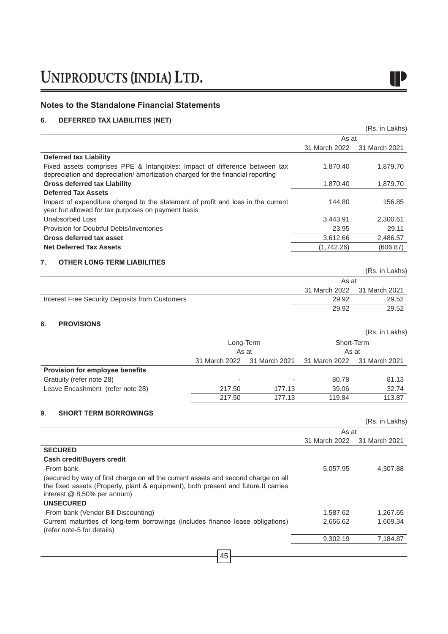### **Notes to the Standalone Financial Statements**

### **6. DEFERRED TAX LIABILITIES (NET)**

|                                                                                                                                                                                                                              |               |               |               | (Rs. in Lakhs) |
|------------------------------------------------------------------------------------------------------------------------------------------------------------------------------------------------------------------------------|---------------|---------------|---------------|----------------|
|                                                                                                                                                                                                                              |               |               | As at         |                |
|                                                                                                                                                                                                                              |               |               | 31 March 2022 | 31 March 2021  |
| <b>Deferred tax Liability</b>                                                                                                                                                                                                |               |               |               |                |
| Fixed assets comprises PPE & Intangibles: Impact of difference between tax<br>depreciation and depreciation/ amortization charged for the financial reporting                                                                |               |               | 1,870.40      | 1,879.70       |
| <b>Gross deferred tax Liability</b>                                                                                                                                                                                          |               |               | 1,870.40      | 1,879.70       |
| <b>Deferred Tax Assets</b>                                                                                                                                                                                                   |               |               |               |                |
| Impact of expenditure charged to the statement of profit and loss in the current<br>year but allowed for tax purposes on payment basis                                                                                       |               |               | 144.80        | 156.85         |
| <b>Unabsorbed Loss</b>                                                                                                                                                                                                       |               |               | 3,443.91      | 2,300.61       |
| Provision for Doubtful Debts/Inventories                                                                                                                                                                                     |               |               | 23.95         | 29.11          |
| Gross deferred tax asset                                                                                                                                                                                                     |               |               | 3,612.66      | 2,486.57       |
| <b>Net Deferred Tax Assets</b>                                                                                                                                                                                               |               |               | (1,742.26)    | (606.87)       |
| 7.<br><b>OTHER LONG TERM LIABILITIES</b>                                                                                                                                                                                     |               |               |               |                |
|                                                                                                                                                                                                                              |               |               |               | (Rs. in Lakhs) |
|                                                                                                                                                                                                                              |               |               | As at         |                |
|                                                                                                                                                                                                                              |               |               | 31 March 2022 | 31 March 2021  |
| Interest Free Security Deposits from Customers                                                                                                                                                                               |               |               | 29.92         | 29.52          |
|                                                                                                                                                                                                                              |               |               | 29.92         | 29.52          |
| 8.<br><b>PROVISIONS</b>                                                                                                                                                                                                      |               |               |               |                |
|                                                                                                                                                                                                                              |               |               |               | (Rs. in Lakhs) |
|                                                                                                                                                                                                                              | Long-Term     |               | Short-Term    |                |
|                                                                                                                                                                                                                              | As at         |               | As at         |                |
|                                                                                                                                                                                                                              | 31 March 2022 | 31 March 2021 | 31 March 2022 | 31 March 2021  |
| Provision for employee benefits                                                                                                                                                                                              |               |               |               |                |
| Gratiuity (refer note 28)                                                                                                                                                                                                    |               |               | 80.78         | 81.13          |
| Leave Encashment (refer note 28)                                                                                                                                                                                             | 217.50        | 177.13        | 39.06         | 32.74          |
|                                                                                                                                                                                                                              | 217.50        | 177.13        | 119.84        | 113.87         |
| 9.<br><b>SHORT TERM BORROWINGS</b>                                                                                                                                                                                           |               |               |               |                |
|                                                                                                                                                                                                                              |               |               |               | (Rs. in Lakhs) |
|                                                                                                                                                                                                                              |               |               | As at         |                |
|                                                                                                                                                                                                                              |               |               | 31 March 2022 | 31 March 2021  |
| <b>SECURED</b>                                                                                                                                                                                                               |               |               |               |                |
| Cash credit/Buyers credit                                                                                                                                                                                                    |               |               |               |                |
| -From bank                                                                                                                                                                                                                   |               |               | 5,057.95      | 4,307.88       |
| (secured by way of first charge on all the current assets and second charge on all<br>the fixed assets (Property, plant & equipment), both present and future. It carries<br>interest @ 8.50% per annum)<br><b>UNSECURED</b> |               |               |               |                |
| -From bank (Vendor Bill Discounting)                                                                                                                                                                                         |               |               | 1,587.62      | 1,267.65       |
| Current maturities of long-term borrowings (includes finance lease obligations)                                                                                                                                              |               |               | 2,656.62      | 1,609.34       |
| (refer note-5 for details)                                                                                                                                                                                                   |               |               | 9,302.19      | 7,184.87       |
|                                                                                                                                                                                                                              |               |               |               |                |
|                                                                                                                                                                                                                              | 45            |               |               |                |

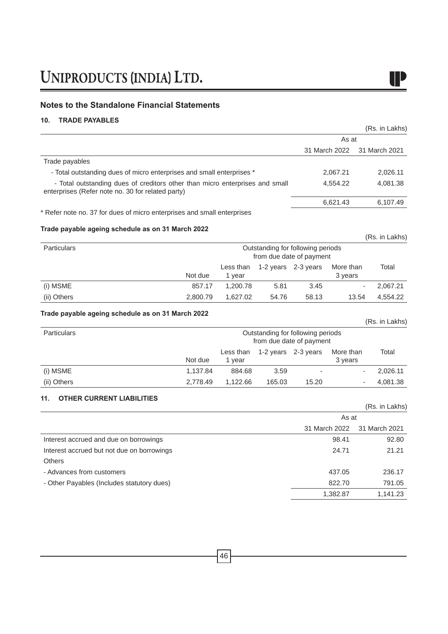### **Notes to the Standalone Financial Statements**

### **10. TRADE PAYABLES**

|                                                                                                                                   |          |                     |                                                               |                     |                      |       | (Rs. in Lakhs) |
|-----------------------------------------------------------------------------------------------------------------------------------|----------|---------------------|---------------------------------------------------------------|---------------------|----------------------|-------|----------------|
|                                                                                                                                   |          |                     |                                                               |                     | As at                |       |                |
|                                                                                                                                   |          |                     |                                                               |                     | 31 March 2022        |       | 31 March 2021  |
| Trade payables                                                                                                                    |          |                     |                                                               |                     |                      |       |                |
| - Total outstanding dues of micro enterprises and small enterprises *                                                             |          |                     |                                                               |                     | 2,067.21             |       | 2,026.11       |
| - Total outstanding dues of creditors other than micro enterprises and small<br>enterprises (Refer note no. 30 for related party) |          |                     |                                                               |                     | 4,554.22             |       | 4,081.38       |
|                                                                                                                                   |          |                     |                                                               |                     | 6,621.43             |       | 6,107.49       |
| * Refer note no. 37 for dues of micro enterprises and small enterprises                                                           |          |                     |                                                               |                     |                      |       |                |
| Trade payable ageing schedule as on 31 March 2022                                                                                 |          |                     |                                                               |                     |                      |       |                |
|                                                                                                                                   |          |                     |                                                               |                     |                      |       | (Rs. in Lakhs) |
| Particulars                                                                                                                       |          |                     | Outstanding for following periods<br>from due date of payment |                     |                      |       |                |
|                                                                                                                                   | Not due  | Less than<br>1 year |                                                               | 1-2 years 2-3 years | More than<br>3 years |       | Total          |
| (i) MSME                                                                                                                          | 857.17   | 1,200.78            | 5.81                                                          | 3.45                |                      |       | 2,067.21       |
| (ii) Others                                                                                                                       | 2,800.79 | 1,627.02            | 54.76                                                         | 58.13               |                      | 13.54 | 4,554.22       |
| Trade payable ageing schedule as on 31 March 2022                                                                                 |          |                     |                                                               |                     |                      |       |                |
|                                                                                                                                   |          |                     |                                                               |                     |                      |       | (Rs. in Lakhs) |
| Particulars                                                                                                                       |          |                     | Outstanding for following periods<br>from due date of payment |                     |                      |       |                |
|                                                                                                                                   | Not due  | Less than<br>1 year |                                                               | 1-2 years 2-3 years | More than<br>3 years |       | Total          |
| (i) MSME                                                                                                                          | 1,137.84 | 884.68              | 3.59                                                          |                     |                      |       | 2,026.11       |
| (ii) Others                                                                                                                       | 2,778.49 | 1,122.66            | 165.03                                                        | 15.20               |                      |       | 4,081.38       |
| <b>OTHER CURRENT LIABILITIES</b><br>11.                                                                                           |          |                     |                                                               |                     |                      |       | (Rs. in Lakhs) |
|                                                                                                                                   |          |                     |                                                               |                     | As at                |       |                |
|                                                                                                                                   |          |                     |                                                               |                     | 31 March 2022        |       | 31 March 2021  |
| Interest accrued and due on borrowings                                                                                            |          |                     |                                                               |                     | 98.41                |       | 92.80          |
| Interest accrued but not due on borrowings                                                                                        |          |                     |                                                               |                     | 24.71                |       | 21.21          |
| Others                                                                                                                            |          |                     |                                                               |                     |                      |       |                |
|                                                                                                                                   |          |                     |                                                               |                     | 437.05               |       | 236.17         |
| - Advances from customers                                                                                                         |          |                     |                                                               |                     |                      |       |                |
| - Other Payables (Includes statutory dues)                                                                                        |          |                     |                                                               |                     | 822.70               |       | 791.05         |

I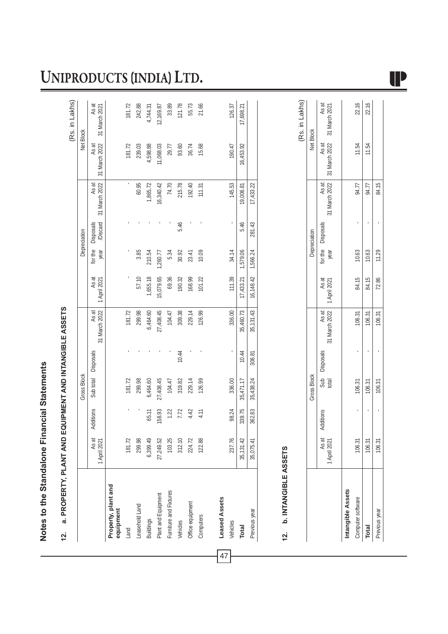# Notes to the Standalone Financial Statements **Notes to the Standalone Financial Statements**

# 12. a. PROPERTY, PLANT AND EQUIPMENT AND INTANGIBLE ASSETS **12. a. PROPERTY, PLANT AND EQUIPMENT AND INTANGIBLE ASSETS**

|                                  |                       |           |                    |                     |                        |                       |                 |                                     |                        |                        | (Rs. in Lakhs)         |
|----------------------------------|-----------------------|-----------|--------------------|---------------------|------------------------|-----------------------|-----------------|-------------------------------------|------------------------|------------------------|------------------------|
|                                  |                       |           | <b>Gross Block</b> |                     |                        |                       |                 | Depreciation                        |                        | Net Block              |                        |
|                                  | As at<br>1 April 2021 | Additions |                    | Sub total Disposals | 31 March 2022<br>As at | As at<br>1 April 2021 | for the<br>year | <b>/Discard</b><br><b>Disposals</b> | 31 March 2022<br>As at | 31 March 2022<br>As at | As at<br>31 March 2021 |
| Property, plant and<br>equipment |                       |           |                    |                     |                        |                       |                 |                                     |                        |                        |                        |
| Land                             | 181.72                |           | 181.72             |                     | 181.72                 |                       |                 |                                     |                        | 181.72                 | 181.72                 |
| Leasehold Land                   | 299.98                |           | 299.98             |                     | 299.98                 | 57.10                 | 3.85            |                                     | 60.95                  | 239.03                 | 242.88                 |
| <b>Buildings</b>                 | 6,399.49              | 65.11     | 6,464.60           |                     | 6,464.60               | 1,655.18              | 210.54          |                                     | 1,865.72               | 4,598.88               | 4,744.31               |
| Plant and Equipment              | 27,249.52             | 158.93    | 27,408.45          |                     | 27,408.45              | 15,079.65             | 1,260.77        |                                     | 16,340.42              | 11,068.03              | 12,169.87              |
| Furniture and Fixtures           | 103.25                | 1.22      | 104.47             |                     | 104.47                 | 69.36                 | 5.34            |                                     | 74.70                  | 29.77                  | 33.89                  |
| Vehicles                         | 312.10                | 7.72      | 319.82             | 10.44               | 309.38                 | 190.32                | 30.92           | 5.46                                | 215.78                 | 93.60                  | 121.78                 |
| Office equipment                 | 224.72                | 4.42      | 229.14             |                     | 229.14                 | 168.99                | 23.41           |                                     | 192.40                 | 36.74                  | 55.73                  |
| Computers                        | 122.88                | 4.11      | 126.99             |                     | 126.99                 | 101.22                | 10.09           |                                     | 111.31                 | 15.68                  | 21.66                  |
|                                  |                       |           |                    |                     |                        |                       |                 |                                     |                        |                        |                        |
| <b>Leased Assets</b>             |                       |           |                    |                     |                        |                       |                 |                                     |                        |                        |                        |
| Vehicles                         | 237.76                | 98.24     | 336.00             |                     | 336.00                 | 111.39                | 34.14           |                                     | 145.53                 | 190.47                 | 126.37                 |
| <b>Total</b>                     | 35,131.42             | 339.75    | 35,471.17          | 10.44               | 35,460.73              | 17,433.21             | 1,579.06        | 5.46                                | 19,006.81              | 16,453.92              | 17,698.21              |
| Previous year                    | 35,075.41             | 362.83    | 35,438.24          | 306.81              | 35,131.43              | 16,148.42             | 1,566.24        | 281.43                              | 17,433.22              |                        |                        |

# **b. INTANGIBLE ASSETS 12. b. INTANGIBLE ASSETS**  $12.$

47

(Rs. in Lakhs) (Rs. in Lakhs)

|                   |                     |           | <b>Gross Block</b> |           |                                            |       |             | Depreciation      |       | Net Block                                          |       |
|-------------------|---------------------|-----------|--------------------|-----------|--------------------------------------------|-------|-------------|-------------------|-------|----------------------------------------------------|-------|
|                   | As at<br>April 2021 | Additions | Sub<br>total       | Disposals | 31 March 2022   1 April 2021<br>As at $_1$ | As at | year        | for the Disposals | As at | 31 March 2022 31 March 2022 31 March 2021<br>As at | As at |
| Intangible Assets |                     |           |                    |           |                                            |       |             |                   |       |                                                    |       |
| Computer software | 106.31              |           | 106.31             |           | 106.31                                     | 84.15 | 10.63       |                   | 94.77 | 11.54                                              | 22.16 |
| <b>Total</b>      | 106.31              |           | 106.31             |           | 106.31                                     | 84.15 | 10.63       |                   | 94.77 | 11.54                                              | 22.16 |
| Previous year     | 106.31              |           | 106.31             |           | 106.31                                     |       | 72.86 11.29 |                   | 84.15 |                                                    |       |
|                   |                     |           |                    |           |                                            |       |             |                   |       |                                                    |       |

# UNIPRODUCTS (INDIA) LTD.

IP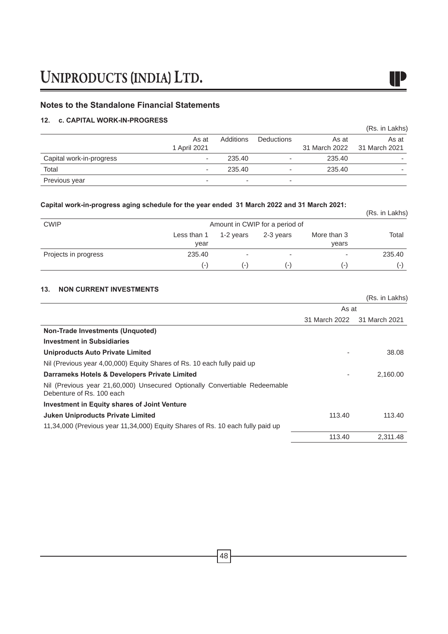### **Notes to the Standalone Financial Statements**

### **12. c. CAPITAL WORK-IN-PROGRESS**

|                          |              |                          |                   |                                      | (Rs. in Lakhs) |
|--------------------------|--------------|--------------------------|-------------------|--------------------------------------|----------------|
|                          | As at        | Additions                | <b>Deductions</b> | As at<br>31 March 2022 31 March 2021 | As at          |
|                          | 1 April 2021 |                          |                   |                                      |                |
| Capital work-in-progress | ۰            | 235.40                   | ۰                 | 235.40                               |                |
| Total                    |              | 235.40                   | ۰                 | 235.40                               | -              |
| Previous year            | -            | $\overline{\phantom{a}}$ | -                 |                                      |                |

IP

### **Capital work-in-progress aging schedule for the year ended 31 March 2022 and 31 March 2021:**

| Gaphai work-m-progress aging schedule for the year ended to march zuzz and of march zuz i. |                     |           |                                |                          | (Rs. in Lakhs) |
|--------------------------------------------------------------------------------------------|---------------------|-----------|--------------------------------|--------------------------|----------------|
| <b>CWIP</b>                                                                                |                     |           | Amount in CWIP for a period of |                          |                |
|                                                                                            | Less than 1<br>year | 1-2 vears | 2-3 years                      | More than 3<br>years     | Total          |
| Projects in progress                                                                       | 235.40              | ۰         | ۰                              | $\overline{\phantom{a}}$ | 235.40         |
|                                                                                            | $(-)$               | ( – )     | ( – )                          | $(-)$                    | ( – )          |

### **13. NON CURRENT INVESTMENTS**

|                                                                                                         |               | (Rs. in Lakhs) |
|---------------------------------------------------------------------------------------------------------|---------------|----------------|
|                                                                                                         | As at         |                |
|                                                                                                         | 31 March 2022 | 31 March 2021  |
| Non-Trade Investments (Unquoted)                                                                        |               |                |
| <b>Investment in Subsidiaries</b>                                                                       |               |                |
| Uniproducts Auto Private Limited                                                                        |               | 38.08          |
| Nil (Previous year 4,00,000) Equity Shares of Rs. 10 each fully paid up                                 |               |                |
| Darrameks Hotels & Developers Private Limited                                                           |               | 2,160.00       |
| Nil (Previous year 21,60,000) Unsecured Optionally Convertiable Redeemable<br>Debenture of Rs. 100 each |               |                |
| <b>Investment in Equity shares of Joint Venture</b>                                                     |               |                |
| <b>Juken Uniproducts Private Limited</b>                                                                | 113.40        | 113.40         |
| 11,34,000 (Previous year 11,34,000) Equity Shares of Rs. 10 each fully paid up                          |               |                |
|                                                                                                         | 113.40        | 2.311.48       |

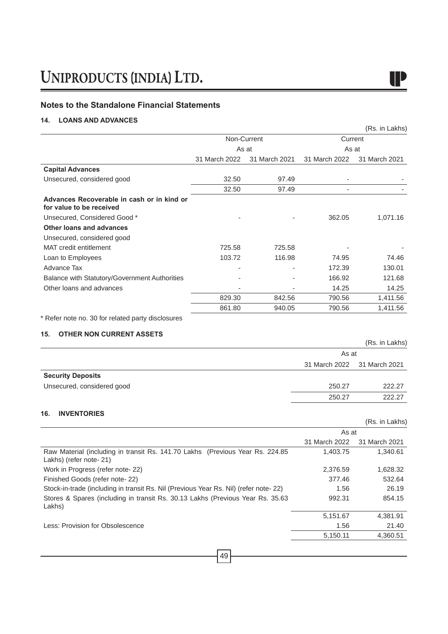### **Notes to the Standalone Financial Statements**

### **14. LOANS AND ADVANCES**

|                                                                        |               |               |               | (Rs. in Lakhs) |
|------------------------------------------------------------------------|---------------|---------------|---------------|----------------|
|                                                                        |               | Non-Current   | Current       |                |
|                                                                        | As at         |               | As at         |                |
|                                                                        | 31 March 2022 | 31 March 2021 | 31 March 2022 | 31 March 2021  |
| <b>Capital Advances</b>                                                |               |               |               |                |
| Unsecured, considered good                                             | 32.50         | 97.49         |               |                |
|                                                                        | 32.50         | 97.49         |               |                |
| Advances Recoverable in cash or in kind or<br>for value to be received |               |               |               |                |
| Unsecured, Considered Good *                                           |               |               | 362.05        | 1,071.16       |
| Other loans and advances                                               |               |               |               |                |
| Unsecured, considered good                                             |               |               |               |                |
| MAT credit entitlement                                                 | 725.58        | 725.58        |               |                |
| Loan to Employees                                                      | 103.72        | 116.98        | 74.95         | 74.46          |
| Advance Tax                                                            |               |               | 172.39        | 130.01         |
| Balance with Statutory/Government Authorities                          |               |               | 166.92        | 121.68         |
| Other loans and advances                                               |               |               | 14.25         | 14.25          |
|                                                                        | 829.30        | 842.56        | 790.56        | 1,411.56       |
|                                                                        | 861.80        | 940.05        | 790.56        | 1,411.56       |
|                                                                        |               |               |               |                |

IP

\* Refer note no. 30 for related party disclosures

### **15. OTHER NON CURRENT ASSETS**

|                            |                             | (Rs. in Lakhs) |
|----------------------------|-----------------------------|----------------|
|                            | As at                       |                |
|                            | 31 March 2022 31 March 2021 |                |
| <b>Security Deposits</b>   |                             |                |
| Unsecured, considered good | 250.27                      | 222.27         |
|                            | 250.27                      | 222.27         |
|                            |                             |                |

### **16. INVENTORIES**

|                                                                                                           |               | (Rs. in Lakhs) |
|-----------------------------------------------------------------------------------------------------------|---------------|----------------|
|                                                                                                           | As at         |                |
|                                                                                                           | 31 March 2022 | 31 March 2021  |
| Raw Material (including in transit Rs. 141.70 Lakhs (Previous Year Rs. 224.85)<br>Lakhs) (refer note- 21) | 1,403.75      | 1.340.61       |
| Work in Progress (refer note-22)                                                                          | 2,376.59      | 1,628.32       |
| Finished Goods (refer note-22)                                                                            | 377.46        | 532.64         |
| Stock-in-trade (including in transit Rs. Nil (Previous Year Rs. Nil) (refer note-22)                      | 1.56          | 26.19          |
| Stores & Spares (including in transit Rs. 30.13 Lakhs (Previous Year Rs. 35.63)<br>Lakhs)                 | 992.31        | 854.15         |
|                                                                                                           | 5,151.67      | 4,381.91       |
| Less: Provision for Obsolescence                                                                          | 1.56          | 21.40          |
|                                                                                                           | 5,150.11      | 4,360.51       |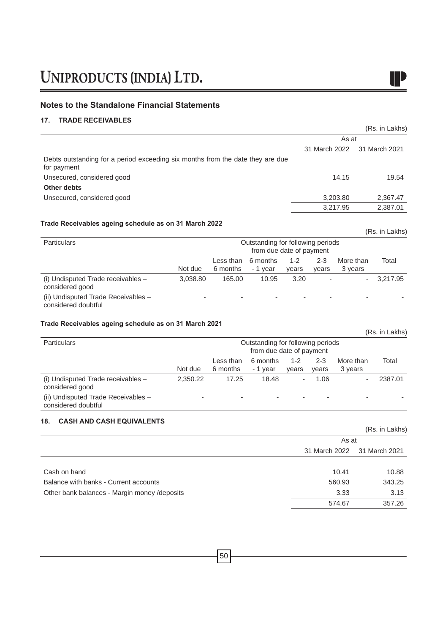### **Notes to the Standalone Financial Statements**

### **17. TRADE RECEIVABLES**

|                                                                                               |               | (Rs. in Lakhs) |
|-----------------------------------------------------------------------------------------------|---------------|----------------|
|                                                                                               | As at         |                |
|                                                                                               | 31 March 2022 | 31 March 2021  |
| Debts outstanding for a period exceeding six months from the date they are due<br>for payment |               |                |
| Unsecured, considered good                                                                    | 14.15         | 19.54          |
| Other debts                                                                                   |               |                |
| Unsecured, considered good                                                                    | 3,203.80      | 2,367.47       |
|                                                                                               | 3,217.95      | 2,387.01       |
|                                                                                               |               |                |

### **Trade Receivables ageing schedule as on 31 March 2022**

| <b>Particulars</b>                                         |          |                       | Outstanding for following periods<br>from due date of payment |                  |                  |                      |          |
|------------------------------------------------------------|----------|-----------------------|---------------------------------------------------------------|------------------|------------------|----------------------|----------|
|                                                            | Not due  | Less than<br>6 months | 6 months<br>- 1 year                                          | $1 - 2$<br>vears | $2 - 3$<br>vears | More than<br>3 years | Total    |
| (i) Undisputed Trade receivables -<br>considered good      | 3.038.80 | 165.00                | 10.95                                                         | 3.20             |                  | $\sim$               | 3.217.95 |
| (ii) Undisputed Trade Receivables -<br>considered doubtful | -        |                       |                                                               |                  |                  |                      |          |

### **Trade Receivables ageing schedule as on 31 March 2021**

|                                                            |          |                       |                                                               |                  |                  |                      | (Rs. in Lakhs) |
|------------------------------------------------------------|----------|-----------------------|---------------------------------------------------------------|------------------|------------------|----------------------|----------------|
| <b>Particulars</b>                                         |          |                       | Outstanding for following periods<br>from due date of payment |                  |                  |                      |                |
|                                                            | Not due  | Less than<br>6 months | 6 months<br>- 1 year                                          | $1 - 2$<br>vears | $2 - 3$<br>vears | More than<br>3 years | Total          |
| (i) Undisputed Trade receivables -<br>considered good      | 2.350.22 | 17.25                 | 18.48                                                         | ۰                | 1.06             | ٠                    | 2387.01        |
| (ii) Undisputed Trade Receivables -<br>considered doubtful |          |                       | ۰                                                             |                  | ۰                | -                    |                |

### **18. CASH AND CASH EQUIVALENTS**

|                                              |                             | (Rs. in Lakhs) |
|----------------------------------------------|-----------------------------|----------------|
|                                              | As at                       |                |
|                                              | 31 March 2022 31 March 2021 |                |
|                                              |                             |                |
| Cash on hand                                 | 10.41                       | 10.88          |
| Balance with banks - Current accounts        | 560.93                      | 343.25         |
| Other bank balances - Margin money /deposits | 3.33                        | 3.13           |
|                                              | 574.67                      | 357.26         |
|                                              |                             |                |

 $\blacksquare$ 

(Rs. in Lakhs)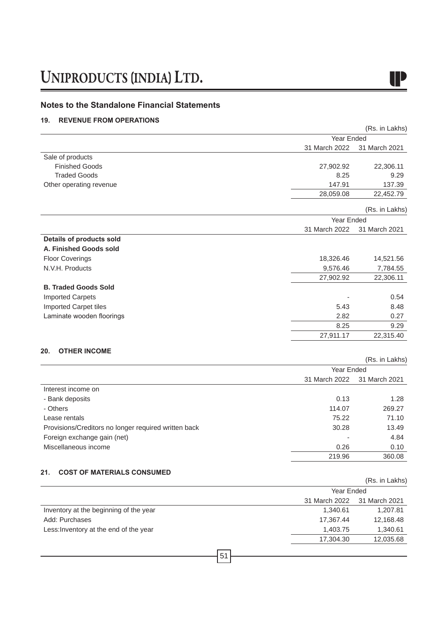### **Notes to the Standalone Financial Statements**

### **19. REVENUE FROM OPERATIONS**

|                                                      |               | (Rs. in Lakhs) |
|------------------------------------------------------|---------------|----------------|
|                                                      | Year Ended    |                |
|                                                      | 31 March 2022 | 31 March 2021  |
| Sale of products                                     |               |                |
| <b>Finished Goods</b>                                | 27,902.92     | 22,306.11      |
| <b>Traded Goods</b>                                  | 8.25          | 9.29           |
| Other operating revenue                              | 147.91        | 137.39         |
|                                                      | 28,059.08     | 22,452.79      |
|                                                      |               | (Rs. in Lakhs) |
|                                                      | Year Ended    |                |
|                                                      | 31 March 2022 | 31 March 2021  |
| <b>Details of products sold</b>                      |               |                |
| A. Finished Goods sold                               |               |                |
| <b>Floor Coverings</b>                               | 18,326.46     | 14,521.56      |
| N.V.H. Products                                      | 9,576.46      | 7,784.55       |
|                                                      | 27,902.92     | 22,306.11      |
| <b>B. Traded Goods Sold</b>                          |               |                |
| <b>Imported Carpets</b>                              |               | 0.54           |
| <b>Imported Carpet tiles</b>                         | 5.43          | 8.48           |
| Laminate wooden floorings                            | 2.82          | 0.27           |
|                                                      | 8.25          | 9.29           |
|                                                      | 27,911.17     | 22,315.40      |
| 20.<br><b>OTHER INCOME</b>                           |               |                |
|                                                      |               | (Rs. in Lakhs) |
|                                                      | Year Ended    |                |
|                                                      | 31 March 2022 | 31 March 2021  |
| Interest income on                                   |               |                |
| - Bank deposits                                      | 0.13          | 1.28           |
| - Others                                             | 114.07        | 269.27         |
| Lease rentals                                        | 75.22         | 71.10          |
| Provisions/Creditors no longer required written back | 30.28         | 13.49          |
| Foreign exchange gain (net)                          |               | 4.84           |
| Miscellaneous income                                 | 0.26          | 0.10           |
|                                                      | 219.96        | 360.08         |
| 21.<br><b>COST OF MATERIALS CONSUMED</b>             |               |                |
|                                                      |               | (Rs. in Lakhs) |
|                                                      | Year Ended    |                |
|                                                      | 31 March 2022 | 31 March 2021  |
| Inventory at the beginning of the year               | 1,340.61      | 1,207.81       |
| Add: Purchases                                       | 17,367.44     | 12,168.48      |

51

Less:Inventory at the end of the year 1,403.75 1,340.61

17,304.30 12,035.68

IP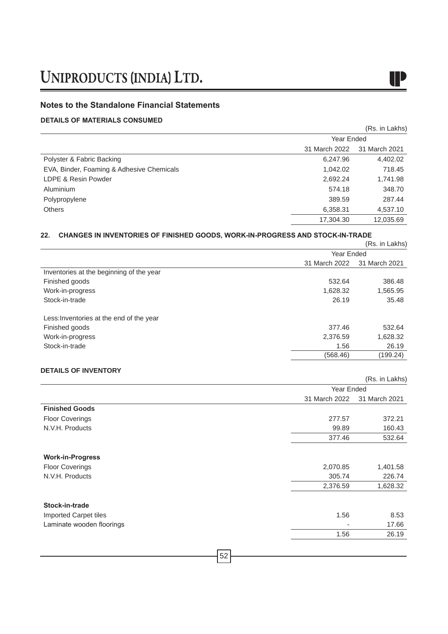### **Notes to the Standalone Financial Statements**

### **DETAILS OF MATERIALS CONSUMED**

|                                           |           | (Rs. in Lakhs) |  |
|-------------------------------------------|-----------|----------------|--|
|                                           |           | Year Ended     |  |
| 31 March 2022                             |           | 31 March 2021  |  |
| Polyster & Fabric Backing                 | 6,247.96  | 4,402.02       |  |
| EVA, Binder, Foaming & Adhesive Chemicals | 1,042.02  | 718.45         |  |
| LDPE & Resin Powder                       | 2,692.24  | 1,741.98       |  |
| Aluminium                                 | 574.18    | 348.70         |  |
| Polypropylene                             | 389.59    | 287.44         |  |
| <b>Others</b>                             | 6,358.31  | 4,537.10       |  |
|                                           | 17,304.30 | 12,035.69      |  |

### **22. CHANGES IN INVENTORIES OF FINISHED GOODS, WORK-IN-PROGRESS AND STOCK-IN-TRADE**

|                                          |               | (Rs. in Lakhs) |  |
|------------------------------------------|---------------|----------------|--|
|                                          |               | Year Ended     |  |
|                                          | 31 March 2022 | 31 March 2021  |  |
| Inventories at the beginning of the year |               |                |  |
| Finished goods                           | 532.64        | 386.48         |  |
| Work-in-progress                         | 1,628.32      | 1,565.95       |  |
| Stock-in-trade                           | 26.19         | 35.48          |  |
| Less: Inventories at the end of the year |               |                |  |
| Finished goods                           | 377.46        | 532.64         |  |
| Work-in-progress                         | 2,376.59      | 1,628.32       |  |
| Stock-in-trade                           | 1.56          | 26.19          |  |
|                                          | (568.46)      | (199.24)       |  |
|                                          |               |                |  |

### **DETAILS OF INVENTORY**

|                           |               | $(0.5.$ III LANIS |  |
|---------------------------|---------------|-------------------|--|
|                           | Year Ended    |                   |  |
|                           | 31 March 2022 | 31 March 2021     |  |
| <b>Finished Goods</b>     |               |                   |  |
| <b>Floor Coverings</b>    | 277.57        | 372.21            |  |
| N.V.H. Products           | 99.89         | 160.43            |  |
|                           | 377.46        | 532.64            |  |
| <b>Work-in-Progress</b>   |               |                   |  |
| <b>Floor Coverings</b>    | 2,070.85      | 1,401.58          |  |
| N.V.H. Products           | 305.74        | 226.74            |  |
|                           | 2,376.59      | 1,628.32          |  |
| Stock-in-trade            |               |                   |  |
| Imported Carpet tiles     | 1.56          | 8.53              |  |
| Laminate wooden floorings | ۰             | 17.66             |  |
|                           | 1.56          | 26.19             |  |
|                           |               |                   |  |



 $(D_0 \in [n]$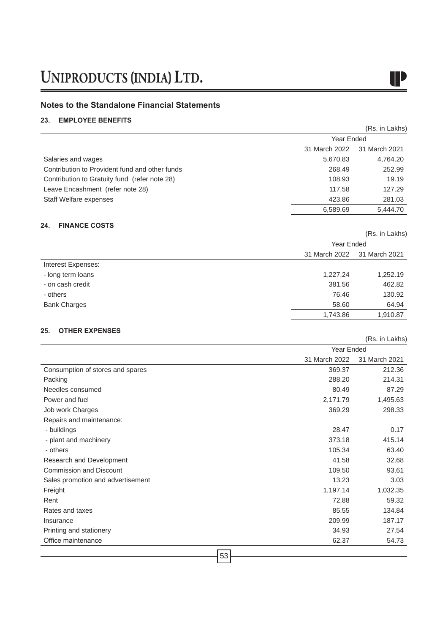### **Notes to the Standalone Financial Statements**

### **23. EMPLOYEE BENEFITS**

|                                                |               | 1101112011107 |  |
|------------------------------------------------|---------------|---------------|--|
|                                                | Year Ended    |               |  |
|                                                | 31 March 2022 | 31 March 2021 |  |
| Salaries and wages                             | 5,670.83      | 4,764.20      |  |
| Contribution to Provident fund and other funds | 268.49        | 252.99        |  |
| Contribution to Gratuity fund (refer note 28)  | 108.93        | 19.19         |  |
| Leave Encashment (refer note 28)               | 117.58        | 127.29        |  |
| Staff Welfare expenses                         | 423.86        | 281.03        |  |
|                                                | 6,589.69      | 5.444.70      |  |

### **24. FINANCE COSTS**

|                     |                             | (Rs. in Lakhs) |  |
|---------------------|-----------------------------|----------------|--|
|                     |                             | Year Ended     |  |
|                     | 31 March 2022 31 March 2021 |                |  |
| Interest Expenses:  |                             |                |  |
| - long term loans   | 1,227.24                    | 1,252.19       |  |
| - on cash credit    | 381.56                      | 462.82         |  |
| - others            | 76.46                       | 130.92         |  |
| <b>Bank Charges</b> | 58.60                       | 64.94          |  |
|                     | 1,743.86                    | 1,910.87       |  |

### **25. OTHER EXPENSES**

|                                   | Year Ended    |               |
|-----------------------------------|---------------|---------------|
|                                   | 31 March 2022 | 31 March 2021 |
| Consumption of stores and spares  | 369.37        | 212.36        |
| Packing                           | 288.20        | 214.31        |
| Needles consumed                  | 80.49         | 87.29         |
| Power and fuel                    | 2,171.79      | 1,495.63      |
| Job work Charges                  | 369.29        | 298.33        |
| Repairs and maintenance:          |               |               |
| - buildings                       | 28.47         | 0.17          |
| - plant and machinery             | 373.18        | 415.14        |
| - others                          | 105.34        | 63.40         |
| Research and Development          | 41.58         | 32.68         |
| <b>Commission and Discount</b>    | 109.50        | 93.61         |
| Sales promotion and advertisement | 13.23         | 3.03          |
| Freight                           | 1,197.14      | 1,032.35      |
| Rent                              | 72.88         | 59.32         |
| Rates and taxes                   | 85.55         | 134.84        |
| Insurance                         | 209.99        | 187.17        |
| Printing and stationery           | 34.93         | 27.54         |
| Office maintenance                | 62.37         | 54.73         |
|                                   |               |               |

(Rs. in Lakhs)

IP

(Rs. in Lakhs)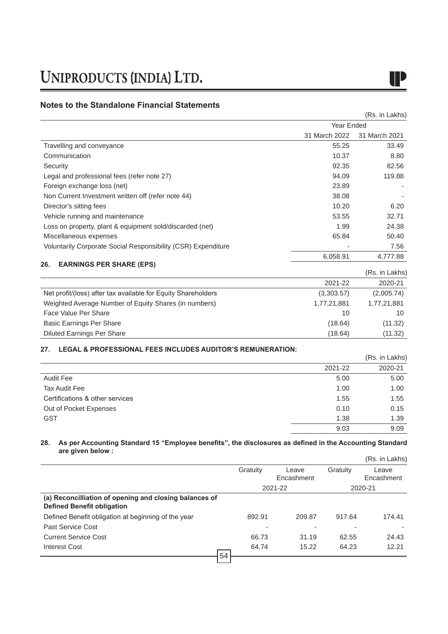### **Notes to the Standalone Financial Statements**

|                                                               |               | (Rs. in Lakhs) |  |
|---------------------------------------------------------------|---------------|----------------|--|
|                                                               | Year Ended    |                |  |
|                                                               | 31 March 2022 | 31 March 2021  |  |
| Travelling and conveyance                                     | 55.25         | 33.49          |  |
| Communication                                                 | 10.37         | 8.80           |  |
| Security                                                      | 92.35         | 82.56          |  |
| Legal and professional fees (refer note 27)                   | 94.09         | 119.88         |  |
| Foreign exchange loss (net)                                   | 23.89         |                |  |
| Non Current Investment written off (refer note 44)            | 38.08         |                |  |
| Director's sitting fees                                       | 10.20         | 6.20           |  |
| Vehicle running and maintenance                               | 53.55         | 32.71          |  |
| Loss on property, plant & equipment sold/discarded (net)      | 1.99          | 24.38          |  |
| Miscellaneous expenses                                        | 65.84         | 50.40          |  |
| Voluntarily Corporate Social Responsibility (CSR) Expenditure |               | 7.56           |  |
|                                                               | 6,058.91      | 4,777.88       |  |
| 26.<br><b>EARNINGS PER SHARE (EPS)</b>                        |               |                |  |

|                                                               |             | (Rs. in Lakhs) |
|---------------------------------------------------------------|-------------|----------------|
|                                                               | 2021-22     | 2020-21        |
| Net profit/(loss) after tax available for Equity Shareholders | (3,303.57)  | (2,005.74)     |
| Weighted Average Number of Equity Shares (in numbers)         | 1,77,21,881 | 1,77,21,881    |
| Face Value Per Share                                          | 10          | 10             |
| Basic Earnings Per Share                                      | (18.64)     | (11.32)        |
| <b>Diluted Earnings Per Share</b>                             | (18.64)     | (11.32)        |

### **27. LEGAL & PROFESSIONAL FEES INCLUDES AUDITOR'S REMUNERATION:**

|                                 |         | (Rs. in Lakhs) |
|---------------------------------|---------|----------------|
|                                 | 2021-22 | 2020-21        |
| <b>Audit Fee</b>                | 5.00    | 5.00           |
| <b>Tax Audit Fee</b>            | 1.00    | 1.00           |
| Certifications & other services | 1.55    | 1.55           |
| Out of Pocket Expenses          | 0.10    | 0.15           |
| <b>GST</b>                      | 1.38    | 1.39           |
|                                 | 9.03    | 9.09           |

### **28. As per Accounting Standard 15 "Employee benefits", the disclosures as defined in the Accounting Standard are given below :**  $(n - 1 - 1 - 1)$

|                                                                                             |          |            |          | (Rs. in Lakhs) |
|---------------------------------------------------------------------------------------------|----------|------------|----------|----------------|
|                                                                                             | Gratuity | Leave      | Gratuity | Leave          |
|                                                                                             |          | Encashment |          | Encashment     |
|                                                                                             |          | 2021-22    |          | 2020-21        |
| (a) Reconcilliation of opening and closing balances of<br><b>Defined Benefit obligation</b> |          |            |          |                |
| Defined Benefit obligation at beginning of the year                                         | 892.91   | 209.87     | 917.64   | 174.41         |
| Past Service Cost                                                                           |          |            |          |                |
| <b>Current Service Cost</b>                                                                 | 66.73    | 31.19      | 62.55    | 24.43          |
| Interest Cost                                                                               | 64.74    | 15.22      | 64.23    | 12.21          |
|                                                                                             | 54       |            |          |                |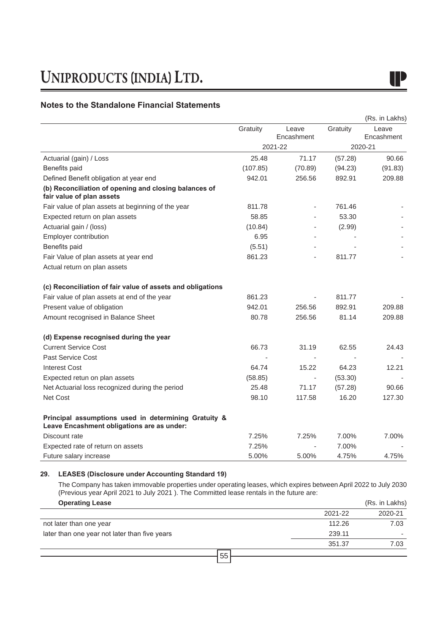### **Notes to the Standalone Financial Statements**

|                                                                                                    |          |            |          | (Rs. in Lakhs) |
|----------------------------------------------------------------------------------------------------|----------|------------|----------|----------------|
|                                                                                                    | Gratuity | Leave      | Gratuity | Leave          |
|                                                                                                    |          | Encashment |          | Encashment     |
|                                                                                                    |          | 2021-22    |          | 2020-21        |
| Actuarial (gain) / Loss                                                                            | 25.48    | 71.17      | (57.28)  | 90.66          |
| Benefits paid                                                                                      | (107.85) | (70.89)    | (94.23)  | (91.83)        |
| Defined Benefit obligation at year end                                                             | 942.01   | 256.56     | 892.91   | 209.88         |
| (b) Reconciliation of opening and closing balances of<br>fair value of plan assets                 |          |            |          |                |
| Fair value of plan assets at beginning of the year                                                 | 811.78   |            | 761.46   |                |
| Expected return on plan assets                                                                     | 58.85    |            | 53.30    |                |
| Actuarial gain / (loss)                                                                            | (10.84)  |            | (2.99)   |                |
| Employer contribution                                                                              | 6.95     |            |          |                |
| Benefits paid                                                                                      | (5.51)   |            |          |                |
| Fair Value of plan assets at year end                                                              | 861.23   |            | 811.77   |                |
| Actual return on plan assets                                                                       |          |            |          |                |
| (c) Reconciliation of fair value of assets and obligations                                         |          |            |          |                |
| Fair value of plan assets at end of the year                                                       | 861.23   |            | 811.77   |                |
| Present value of obligation                                                                        | 942.01   | 256.56     | 892.91   | 209.88         |
| Amount recognised in Balance Sheet                                                                 | 80.78    | 256.56     | 81.14    | 209.88         |
| (d) Expense recognised during the year                                                             |          |            |          |                |
| <b>Current Service Cost</b>                                                                        | 66.73    | 31.19      | 62.55    | 24.43          |
| Past Service Cost                                                                                  |          |            |          |                |
| <b>Interest Cost</b>                                                                               | 64.74    | 15.22      | 64.23    | 12.21          |
| Expected retun on plan assets                                                                      | (58.85)  |            | (53.30)  |                |
| Net Actuarial loss recognized during the period                                                    | 25.48    | 71.17      | (57.28)  | 90.66          |
| Net Cost                                                                                           | 98.10    | 117.58     | 16.20    | 127.30         |
| Principal assumptions used in determining Gratuity &<br>Leave Encashment obligations are as under: |          |            |          |                |
| Discount rate                                                                                      | 7.25%    | 7.25%      | 7.00%    | 7.00%          |
| Expected rate of return on assets                                                                  | 7.25%    |            | 7.00%    |                |
| Future salary increase                                                                             | 5.00%    | 5.00%      | 4.75%    | 4.75%          |

### **29. LEASES (Disclosure under Accounting Standard 19)**

The Company has taken immovable properties under operating leases, which expires between April 2022 to July 2030 (Previous year April 2021 to July 2021 ). The Committed lease rentals in the future are:

| <b>Operating Lease</b>                        |         | (Rs. in Lakhs) |
|-----------------------------------------------|---------|----------------|
|                                               | 2021-22 | 2020-21        |
| not later than one year                       | 112.26  | 7.03           |
| later than one year not later than five years | 239.11  |                |
|                                               | 351.37  | 7.03           |
| 55                                            |         |                |
|                                               |         |                |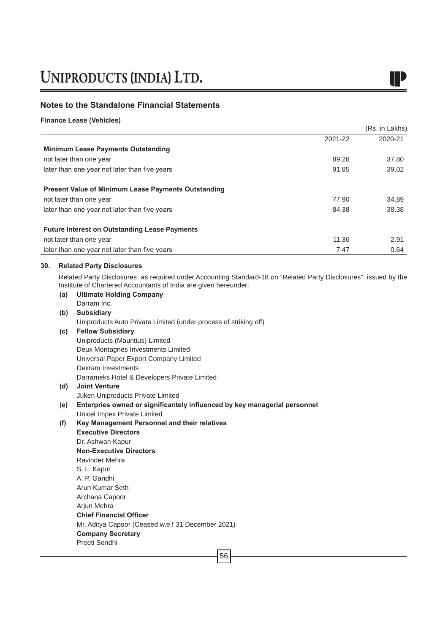

(Rs. in Lakhs)

### **Notes to the Standalone Financial Statements**

**Finance Lease (Vehicles)**

|     |                                                                                                                                                                                     | 2021-22 | 2020-21 |
|-----|-------------------------------------------------------------------------------------------------------------------------------------------------------------------------------------|---------|---------|
|     | <b>Minimum Lease Payments Outstanding</b>                                                                                                                                           |         |         |
|     | not later than one year                                                                                                                                                             | 89.26   | 37.80   |
|     | later than one year not later than five years                                                                                                                                       | 91.85   | 39.02   |
|     | <b>Present Value of Minimum Lease Payments Outstanding</b>                                                                                                                          |         |         |
|     | not later than one year                                                                                                                                                             | 77.90   | 34.89   |
|     | later than one year not later than five years                                                                                                                                       | 84.38   | 38.38   |
|     | <b>Future Interest on Outstanding Lease Payments</b>                                                                                                                                |         |         |
|     | not later than one year                                                                                                                                                             | 11.36   | 2.91    |
|     | later than one year not later than five years                                                                                                                                       | 7.47    | 0.64    |
| 30. | <b>Related Party Disclosures</b>                                                                                                                                                    |         |         |
|     | Related Party Disclosures as required under Accounting Standard-18 on "Related Party Disclosures" issued by the<br>Institute of Chartered Accountants of India are given hereunder: |         |         |
| (a) | <b>Ultimate Holding Company</b>                                                                                                                                                     |         |         |
|     | Darram Inc.                                                                                                                                                                         |         |         |
| (b) | <b>Subsidiary</b>                                                                                                                                                                   |         |         |
|     | Uniproducts Auto Private Limited (under process of striking off)                                                                                                                    |         |         |
| (c) | <b>Fellow Subsidiary</b>                                                                                                                                                            |         |         |
|     | Uniproducts (Mauritius) Limited                                                                                                                                                     |         |         |

Uniproducts (Mauritius) Limited Deux Montagnes Investments Limited Universal Paper Export Company Limited Dekram Investments Darrameks Hotel & Developers Private Limited

### **(d) Joint Venture**  Juken Uniproducts Private Limited

**(e) Enterpries owned or significantely influenced by key managerial personnel**

Unicel Impex Private Limited

- **(f) Key Management Personnel and their relatives Executive Directors** Dr. Ashwan Kapur **Non-Executive Directors** Ravinder Mehra
	- S. L. Kapur A. P. Gandhi Arun Kumar Seth Archana Capoor Arjun Mehra **Chief Financial Officer** Mr. Aditya Capoor (Ceased w.e.f 31 December 2021) **Company Secretary**

Preeti Sondhi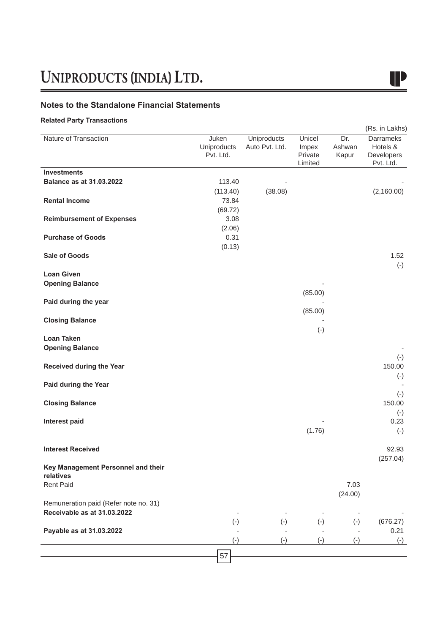### **Notes to the Standalone Financial Statements**

### **Related Party Transactions**

|                                       |                                   |                               |                                       |                        | (Rs. in Lakhs)                                          |
|---------------------------------------|-----------------------------------|-------------------------------|---------------------------------------|------------------------|---------------------------------------------------------|
| Nature of Transaction                 | Juken<br>Uniproducts<br>Pvt. Ltd. | Uniproducts<br>Auto Pvt. Ltd. | Unicel<br>Impex<br>Private<br>Limited | Dr.<br>Ashwan<br>Kapur | <b>Darrameks</b><br>Hotels &<br>Developers<br>Pvt. Ltd. |
| <b>Investments</b>                    |                                   |                               |                                       |                        |                                                         |
| <b>Balance as at 31.03.2022</b>       | 113.40                            |                               |                                       |                        |                                                         |
|                                       | (113.40)                          | (38.08)                       |                                       |                        | (2,160.00)                                              |
| <b>Rental Income</b>                  | 73.84                             |                               |                                       |                        |                                                         |
|                                       | (69.72)                           |                               |                                       |                        |                                                         |
| <b>Reimbursement of Expenses</b>      | 3.08                              |                               |                                       |                        |                                                         |
|                                       | (2.06)                            |                               |                                       |                        |                                                         |
| <b>Purchase of Goods</b>              | 0.31                              |                               |                                       |                        |                                                         |
| <b>Sale of Goods</b>                  | (0.13)                            |                               |                                       |                        | 1.52                                                    |
|                                       |                                   |                               |                                       |                        | $(-)$                                                   |
| <b>Loan Given</b>                     |                                   |                               |                                       |                        |                                                         |
| <b>Opening Balance</b>                |                                   |                               |                                       |                        |                                                         |
|                                       |                                   |                               | (85.00)                               |                        |                                                         |
| Paid during the year                  |                                   |                               |                                       |                        |                                                         |
|                                       |                                   |                               | (85.00)                               |                        |                                                         |
| <b>Closing Balance</b>                |                                   |                               |                                       |                        |                                                         |
|                                       |                                   |                               | $(-)$                                 |                        |                                                         |
| Loan Taken                            |                                   |                               |                                       |                        |                                                         |
| <b>Opening Balance</b>                |                                   |                               |                                       |                        |                                                         |
|                                       |                                   |                               |                                       |                        | $(-)$                                                   |
| Received during the Year              |                                   |                               |                                       |                        | 150.00                                                  |
|                                       |                                   |                               |                                       |                        | $(\textnormal{-})$                                      |
| Paid during the Year                  |                                   |                               |                                       |                        |                                                         |
|                                       |                                   |                               |                                       |                        | $(\text{-})$                                            |
| <b>Closing Balance</b>                |                                   |                               |                                       |                        | 150.00                                                  |
|                                       |                                   |                               |                                       |                        | $(\text{-})$                                            |
| <b>Interest paid</b>                  |                                   |                               |                                       |                        | 0.23                                                    |
|                                       |                                   |                               | (1.76)                                |                        | $(-)$                                                   |
| <b>Interest Received</b>              |                                   |                               |                                       |                        | 92.93                                                   |
|                                       |                                   |                               |                                       |                        | (257.04)                                                |
| Key Management Personnel and their    |                                   |                               |                                       |                        |                                                         |
| relatives                             |                                   |                               |                                       |                        |                                                         |
| <b>Rent Paid</b>                      |                                   |                               |                                       | 7.03                   |                                                         |
|                                       |                                   |                               |                                       | (24.00)                |                                                         |
| Remuneration paid (Refer note no. 31) |                                   |                               |                                       |                        |                                                         |
| Receivable as at 31.03.2022           |                                   |                               |                                       |                        |                                                         |
|                                       | $(-)$                             | $(-)$                         | $(-)$                                 | $(-)$                  | (676.27)                                                |
| Payable as at 31.03.2022              |                                   |                               |                                       |                        | 0.21                                                    |
|                                       | $(-)$                             | $(-)$                         | $(-)$                                 | $(-)$                  | $(-)$                                                   |
|                                       |                                   |                               |                                       |                        |                                                         |
|                                       | 57                                |                               |                                       |                        |                                                         |

# I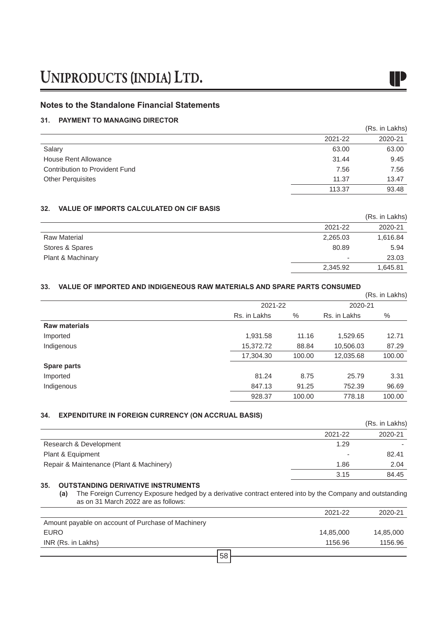### **Notes to the Standalone Financial Statements**

### **31. PAYMENT TO MANAGING DIRECTOR**

|                                |         | (Rs. in Lakhs) |
|--------------------------------|---------|----------------|
|                                | 2021-22 | 2020-21        |
| Salary                         | 63.00   | 63.00          |
| House Rent Allowance           | 31.44   | 9.45           |
| Contribution to Provident Fund | 7.56    | 7.56           |
| <b>Other Perquisites</b>       | 11.37   | 13.47          |
|                                | 113.37  | 93.48          |

### **32. VALUE OF IMPORTS CALCULATED ON CIF BASIS**

| ---                 |          | (Rs. in Lakhs) |
|---------------------|----------|----------------|
|                     | 2021-22  | 2020-21        |
| <b>Raw Material</b> | 2,265.03 | 1,616.84       |
| Stores & Spares     | 80.89    | 5.94           |
| Plant & Machinary   | -        | 23.03          |
|                     | 2,345.92 | 1,645.81       |

### **33. VALUE OF IMPORTED AND INDIGENEOUS RAW MATERIALS AND SPARE PARTS CONSUMED**

|                      |              |         |              | (Rs. in Lakhs) |
|----------------------|--------------|---------|--------------|----------------|
|                      |              | 2021-22 |              | 2020-21        |
|                      | Rs. in Lakhs | %       | Rs. in Lakhs | %              |
| <b>Raw materials</b> |              |         |              |                |
| Imported             | 1,931.58     | 11.16   | 1,529.65     | 12.71          |
| Indigenous           | 15,372.72    | 88.84   | 10,506.03    | 87.29          |
|                      | 17,304.30    | 100.00  | 12,035.68    | 100.00         |
| <b>Spare parts</b>   |              |         |              |                |
| Imported             | 81.24        | 8.75    | 25.79        | 3.31           |
| Indigenous           | 847.13       | 91.25   | 752.39       | 96.69          |
|                      | 928.37       | 100.00  | 778.18       | 100.00         |

### **34. EXPENDITURE IN FOREIGN CURRENCY (ON ACCRUAL BASIS)**

|                                          |         | (Rs. in Lakhs) |
|------------------------------------------|---------|----------------|
|                                          | 2021-22 | 2020-21        |
| Research & Development                   | 1.29    |                |
| Plant & Equipment                        | -       | 82.41          |
| Repair & Maintenance (Plant & Machinery) | 1.86    | 2.04           |
|                                          | 3.15    | 84.45          |

### **35. OUTSTANDING DERIVATIVE INSTRUMENTS**

**(a)** The Foreign Currency Exposure hedged by a derivative contract entered into by the Company and outstanding as on 31 March 2022 are as follows:

|                                                    | 2021-22   | 2020-21   |
|----------------------------------------------------|-----------|-----------|
| Amount payable on account of Purchase of Machinery |           |           |
| <b>EURO</b>                                        | 14,85,000 | 14,85,000 |
| INR (Rs. in Lakhs)                                 | 1156.96   | 1156.96   |
| 58                                                 |           |           |
|                                                    |           |           |

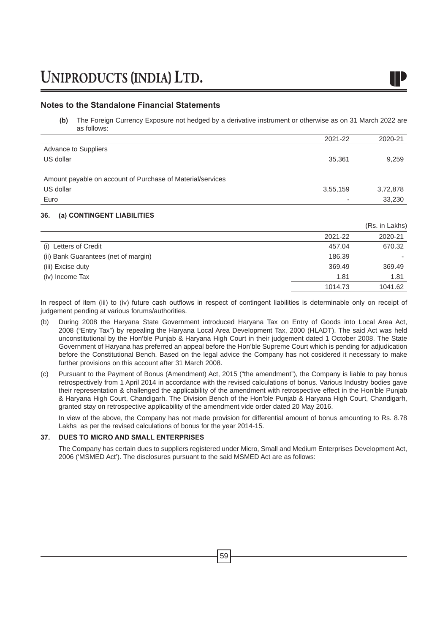**(b)** The Foreign Currency Exposure not hedged by a derivative instrument or otherwise as on 31 March 2022 are as follows:

|                                                            | 2021-22                  | 2020-21  |
|------------------------------------------------------------|--------------------------|----------|
| Advance to Suppliers                                       |                          |          |
| US dollar                                                  | 35,361                   | 9.259    |
|                                                            |                          |          |
| Amount payable on account of Purchase of Material/services |                          |          |
| US dollar                                                  | 3,55,159                 | 3,72,878 |
| Euro                                                       | $\overline{\phantom{a}}$ | 33,230   |

### **36. (a) CONTINGENT LIABILITIES**

|                                      |         | (Rs. in Lakhs) |
|--------------------------------------|---------|----------------|
|                                      | 2021-22 | 2020-21        |
| (i) Letters of Credit                | 457.04  | 670.32         |
| (ii) Bank Guarantees (net of margin) | 186.39  |                |
| (iii) Excise duty                    | 369.49  | 369.49         |
| (iv) Income Tax                      | 1.81    | 1.81           |
|                                      | 1014.73 | 1041.62        |

In respect of item (iii) to (iv) future cash outflows in respect of contingent liabilities is determinable only on receipt of judgement pending at various forums/authorities.

- (b) During 2008 the Haryana State Government introduced Haryana Tax on Entry of Goods into Local Area Act, 2008 ("Entry Tax") by repealing the Haryana Local Area Development Tax, 2000 (HLADT). The said Act was held unconstitutional by the Hon'ble Punjab & Haryana High Court in their judgement dated 1 October 2008. The State Government of Haryana has preferred an appeal before the Hon'ble Supreme Court which is pending for adjudication before the Constitutional Bench. Based on the legal advice the Company has not cosidered it necessary to make further provisions on this account after 31 March 2008.
- (c) Pursuant to the Payment of Bonus (Amendment) Act, 2015 ("the amendment"), the Company is liable to pay bonus retrospectively from 1 April 2014 in accordance with the revised calculations of bonus. Various Industry bodies gave their representation & challenged the applicability of the amendment with retrospective effect in the Hon'ble Punjab & Haryana High Court, Chandigarh. The Division Bench of the Hon'ble Punjab & Haryana High Court, Chandigarh, granted stay on retrospective applicability of the amendment vide order dated 20 May 2016.

In view of the above, the Company has not made provision for differential amount of bonus amounting to Rs. 8.78 Lakhs as per the revised calculations of bonus for the year 2014-15.

### **37. DUES TO MICRO AND SMALL ENTERPRISES**

The Company has certain dues to suppliers registered under Micro, Small and Medium Enterprises Development Act, 2006 ('MSMED Act'). The disclosures pursuant to the said MSMED Act are as follows: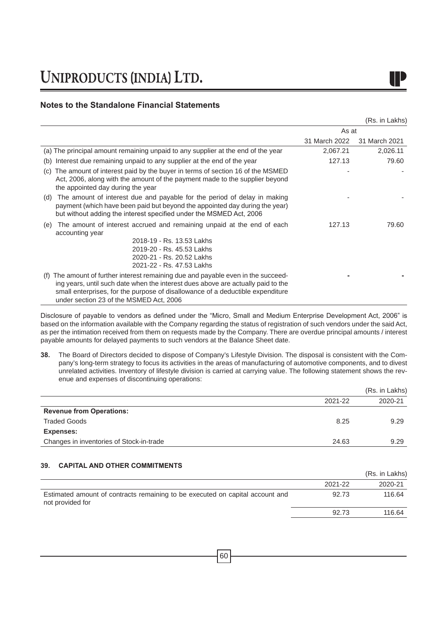### **Notes to the Standalone Financial Statements**

|  | (Rs. in Lakhs) |
|--|----------------|

|                                                                                                                                                                                                                                                                                                       | As at         |               |
|-------------------------------------------------------------------------------------------------------------------------------------------------------------------------------------------------------------------------------------------------------------------------------------------------------|---------------|---------------|
|                                                                                                                                                                                                                                                                                                       | 31 March 2022 | 31 March 2021 |
| (a) The principal amount remaining unpaid to any supplier at the end of the year                                                                                                                                                                                                                      | 2,067.21      | 2,026.11      |
| Interest due remaining unpaid to any supplier at the end of the year<br>(b)                                                                                                                                                                                                                           | 127.13        | 79.60         |
| The amount of interest paid by the buyer in terms of section 16 of the MSMED<br>(C)<br>Act, 2006, along with the amount of the payment made to the supplier beyond<br>the appointed day during the year                                                                                               |               |               |
| The amount of interest due and payable for the period of delay in making<br>(d)<br>payment (which have been paid but beyond the appointed day during the year)<br>but without adding the interest specified under the MSMED Act, 2006                                                                 |               |               |
| The amount of interest accrued and remaining unpaid at the end of each<br>(e)<br>accounting year                                                                                                                                                                                                      | 127.13        | 79.60         |
| 2018-19 - Rs. 13.53 Lakhs<br>2019-20 - Rs. 45.53 Lakhs<br>2020-21 - Rs. 20.52 Lakhs<br>2021-22 - Rs. 47.53 Lakhs                                                                                                                                                                                      |               |               |
| The amount of further interest remaining due and payable even in the succeed-<br>(f)<br>ing years, until such date when the interest dues above are actually paid to the<br>small enterprises, for the purpose of disallowance of a deductible expenditure<br>under section 23 of the MSMED Act, 2006 |               |               |

Disclosure of payable to vendors as defined under the "Micro, Small and Medium Enterprise Development Act, 2006" is based on the information available with the Company regarding the status of registration of such vendors under the said Act, as per the intimation received from them on requests made by the Company. There are overdue principal amounts / interest payable amounts for delayed payments to such vendors at the Balance Sheet date.

**38.** The Board of Directors decided to dispose of Company's Lifestyle Division. The disposal is consistent with the Company's long-term strategy to focus its activities in the areas of manufacturing of automotive components, and to divest unrelated activities. Inventory of lifestyle division is carried at carrying value. The following statement shows the revenue and expenses of discontinuing operations:

|                                          |         | (Rs. in Lakhs) |
|------------------------------------------|---------|----------------|
|                                          | 2021-22 | 2020-21        |
| <b>Revenue from Operations:</b>          |         |                |
| <b>Traded Goods</b>                      | 8.25    | 9.29           |
| Expenses:                                |         |                |
| Changes in inventories of Stock-in-trade | 24.63   | 9.29           |
|                                          |         |                |

### **39. CAPITAL AND OTHER COMMITMENTS**

|                                                                                                   |         | (Rs. in Lakhs) |
|---------------------------------------------------------------------------------------------------|---------|----------------|
|                                                                                                   | 2021-22 | 2020-21        |
| Estimated amount of contracts remaining to be executed on capital account and<br>not provided for | 92.73   | 116.64         |
|                                                                                                   | 92.73   | 116.64         |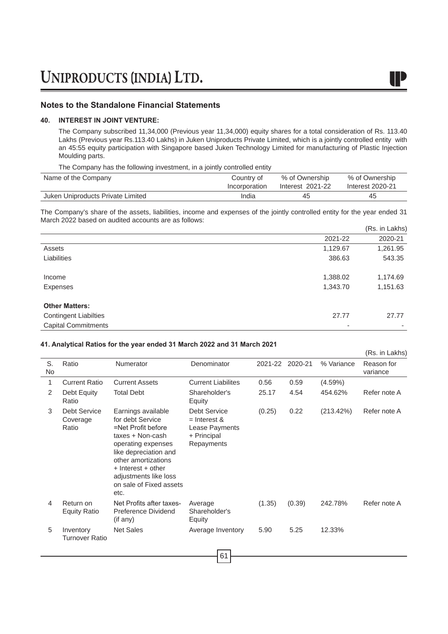### **40. INTEREST IN JOINT VENTURE:**

The Company subscribed 11,34,000 (Previous year 11,34,000) equity shares for a total consideration of Rs. 113.40 Lakhs (Previous year Rs.113.40 Lakhs) in Juken Uniproducts Private Limited, which is a jointly controlled entity with an 45:55 equity participation with Singapore based Juken Technology Limited for manufacturing of Plastic Injection Moulding parts.

The Company has the following investment, in a jointly controlled entity

| Name of the Company               | Country of    | % of Ownership   | % of Ownership   |
|-----------------------------------|---------------|------------------|------------------|
|                                   | Incorporation | Interest 2021-22 | Interest 2020-21 |
| Juken Uniproducts Private Limited | India         | 45               | 45               |

The Company's share of the assets, liabilities, income and expenses of the jointly controlled entity for the year ended 31 March 2022 based on audited accounts are as follows: (Rs. in Lakhs)

|                              |          | (RS. In Lakns) |
|------------------------------|----------|----------------|
|                              | 2021-22  | 2020-21        |
| Assets                       | 1,129.67 | 1,261.95       |
| Liabilities                  | 386.63   | 543.35         |
| Income                       | 1,388.02 | 1,174.69       |
| Expenses                     | 1,343.70 | 1,151.63       |
| <b>Other Matters:</b>        |          |                |
| <b>Contingent Liabilties</b> | 27.77    | 27.77          |
| <b>Capital Commitments</b>   | -        |                |

### **41. Analytical Ratios for the year ended 31 March 2022 and 31 March 2021**

|          |                                          |                                                                                                                                                                                                                                          |                                                                                      |         |         |            | (Rs. in Lakhs)         |
|----------|------------------------------------------|------------------------------------------------------------------------------------------------------------------------------------------------------------------------------------------------------------------------------------------|--------------------------------------------------------------------------------------|---------|---------|------------|------------------------|
| S.<br>No | Ratio                                    | Numerator                                                                                                                                                                                                                                | Denominator                                                                          | 2021-22 | 2020-21 | % Variance | Reason for<br>variance |
| 1        | <b>Current Ratio</b>                     | <b>Current Assets</b>                                                                                                                                                                                                                    | <b>Current Liabilites</b>                                                            | 0.56    | 0.59    | $(4.59\%)$ |                        |
| 2        | Debt Equity<br>Ratio                     | <b>Total Debt</b>                                                                                                                                                                                                                        | Shareholder's<br>Equity                                                              | 25.17   | 4.54    | 454.62%    | Refer note A           |
| 3        | <b>Debt Service</b><br>Coverage<br>Ratio | Earnings available<br>for debt Service<br>=Net Profit before<br>taxes + Non-cash<br>operating expenses<br>like depreciation and<br>other amortizations<br>+ Interest + other<br>adjustments like loss<br>on sale of Fixed assets<br>etc. | <b>Debt Service</b><br>$=$ Interest &<br>Lease Payments<br>+ Principal<br>Repayments | (0.25)  | 0.22    | (213.42%)  | Refer note A           |
| 4        | Return on<br><b>Equity Ratio</b>         | Net Profits after taxes-<br>Preference Dividend<br>$($ if any $)$                                                                                                                                                                        | Average<br>Shareholder's<br>Equity                                                   | (1.35)  | (0.39)  | 242.78%    | Refer note A           |
| 5        | Inventory<br><b>Turnover Ratio</b>       | <b>Net Sales</b>                                                                                                                                                                                                                         | Average Inventory                                                                    | 5.90    | 5.25    | 12.33%     |                        |
|          |                                          |                                                                                                                                                                                                                                          |                                                                                      |         |         |            |                        |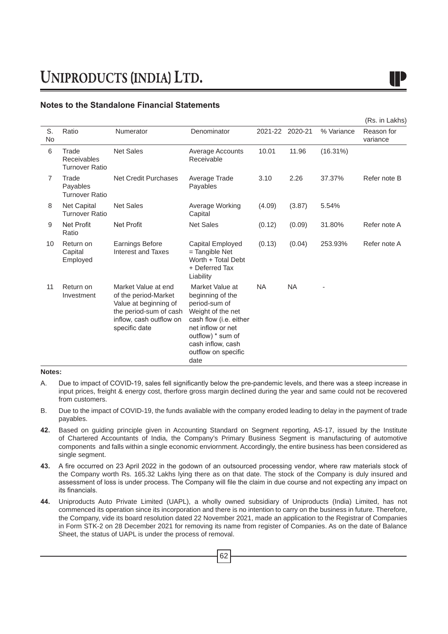|                 |                                               |                                                                                                                                            |                                                                                                                                                                                                   |           |           |             | (Rs. in Lakhs)         |
|-----------------|-----------------------------------------------|--------------------------------------------------------------------------------------------------------------------------------------------|---------------------------------------------------------------------------------------------------------------------------------------------------------------------------------------------------|-----------|-----------|-------------|------------------------|
| S.<br><b>No</b> | Ratio                                         | Numerator                                                                                                                                  | Denominator                                                                                                                                                                                       | 2021-22   | 2020-21   | % Variance  | Reason for<br>variance |
| 6               | Trade<br>Receivables<br><b>Turnover Ratio</b> | <b>Net Sales</b>                                                                                                                           | Average Accounts<br>Receivable                                                                                                                                                                    | 10.01     | 11.96     | $(16.31\%)$ |                        |
| 7               | Trade<br>Payables<br><b>Turnover Ratio</b>    | Net Credit Purchases                                                                                                                       | Average Trade<br>Payables                                                                                                                                                                         | 3.10      | 2.26      | 37.37%      | Refer note B           |
| 8               | Net Capital<br><b>Turnover Ratio</b>          | <b>Net Sales</b>                                                                                                                           | Average Working<br>Capital                                                                                                                                                                        | (4.09)    | (3.87)    | 5.54%       |                        |
| 9               | <b>Net Profit</b><br>Ratio                    | <b>Net Profit</b>                                                                                                                          | <b>Net Sales</b>                                                                                                                                                                                  | (0.12)    | (0.09)    | 31.80%      | Refer note A           |
| 10              | Return on<br>Capital<br>Employed              | Earnings Before<br><b>Interest and Taxes</b>                                                                                               | Capital Employed<br>= Tangible Net<br>Worth + Total Debt<br>+ Deferred Tax<br>Liability                                                                                                           | (0.13)    | (0.04)    | 253.93%     | Refer note A           |
| 11              | Return on<br>Investment                       | Market Value at end<br>of the period-Market<br>Value at beginning of<br>the period-sum of cash<br>inflow, cash outflow on<br>specific date | Market Value at<br>beginning of the<br>period-sum of<br>Weight of the net<br>cash flow (i.e. either<br>net inflow or net<br>outflow) * sum of<br>cash inflow, cash<br>outflow on specific<br>date | <b>NA</b> | <b>NA</b> |             |                        |

### **Notes:**

- A. Due to impact of COVID-19, sales fell significantly below the pre-pandemic levels, and there was a steep increase in input prices, freight & energy cost, therfore gross margin declined during the year and same could not be recovered from customers.
- B. Due to the impact of COVID-19, the funds avaliable with the company eroded leading to delay in the payment of trade payables.
- **42.** Based on guiding principle given in Accounting Standard on Segment reporting, AS-17, issued by the Institute of Chartered Accountants of India, the Company's Primary Business Segment is manufacturing of automotive components and falls within a single economic enviornment. Accordingly, the entire business has been considered as single segment.
- **43.** A fire occurred on 23 April 2022 in the godown of an outsourced processing vendor, where raw materials stock of the Company worth Rs. 165.32 Lakhs lying there as on that date. The stock of the Company is duly insured and assessment of loss is under process. The Company will file the claim in due course and not expecting any impact on its financials.
- **44.** Uniproducts Auto Private Limited (UAPL), a wholly owned subsidiary of Uniproducts (India) Limited, has not commenced its operation since its incorporation and there is no intention to carry on the business in future. Therefore, the Company, vide its board resolution dated 22 November 2021, made an application to the Registrar of Companies in Form STK-2 on 28 December 2021 for removing its name from register of Companies. As on the date of Balance Sheet, the status of UAPL is under the process of removal.

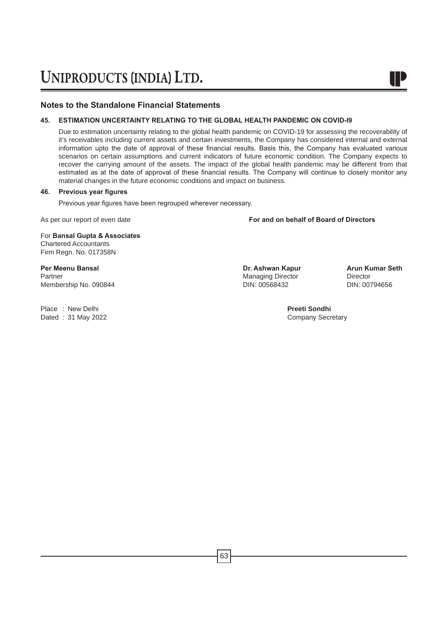### **45. ESTIMATION UNCERTAINTY RELATING TO THE GLOBAL HEALTH PANDEMIC ON COVID-I9**

Due to estimation uncertainty relating to the global health pandemic on COVID-19 for assessing the recoverability of it's receivables including current assets and certain investments, the Company has considered internal and external information upto the date of approval of these financial results. Basis this, the Company has evaluated various scenarios on certain assumptions and current indicators of future economic condition. The Company expects to recover the carrying amount of the assets. The impact of the global health pandemic may be different from that estimated as at the date of approval of these financial results. The Company will continue to closely monitor any material changes in the future economic conditions and impact on business.

### **46. Previous year figures**

Previous year figures have been regrouped wherever necessary. 

As per our report of even date **For and on behalf of Board of Directors**

For **Bansal Gupta & Associates** Chartered Accountants Firm Regn. No. 017358N

**Per Meenu Bansal Dr. Ashwan Kapur Arun Kumar Seth** Partner Managing Director Director Membership No. 090844

Place : New Delhi **Place : New Delhi Preeti Sondhi Preeti Sondhi Preeti Sondhi Preeti Sondhi Preeti Sondhi Preeti Sondhi Preeti Sondhi Preeti Sondhi Preeti Sondhi Preeti Sondhi Preeti Sondhi Preeti So** Dated :  $31$  May 2022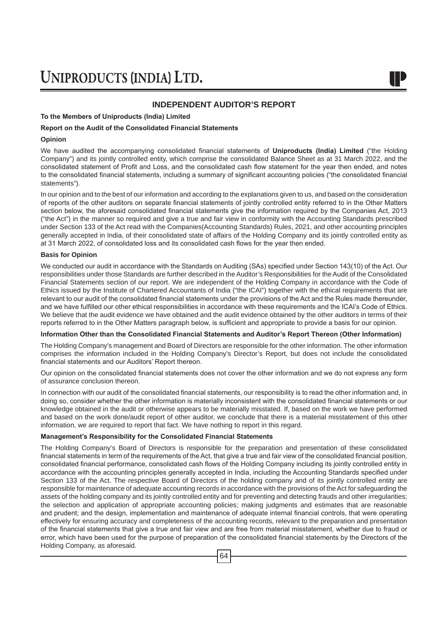### **INDEPENDENT AUDITOR'S REPORT**

### **To the Members of Uniproducts (India) Limited**

### **Report on the Audit of the Consolidated Financial Statements**

### **Opinion**

We have audited the accompanying consolidated financial statements of **Uniproducts (India) Limited** ("the Holding Company") and its jointly controlled entity, which comprise the consolidated Balance Sheet as at 31 March 2022, and the consolidated statement of Profit and Loss, and the consolidated cash flow statement for the year then ended, and notes to the consolidated financial statements, including a summary of significant accounting policies ("the consolidated financial statements").

In our opinion and to the best of our information and according to the explanations given to us, and based on the consideration of reports of the other auditors on separate financial statements of jointly controlled entity referred to in the Other Matters section below, the aforesaid consolidated financial statements give the information required by the Companies Act, 2013 ("the Act") in the manner so required and give a true and fair view in conformity with the Accounting Standards prescribed under Section 133 of the Act read with the Companies(Accounting Standards) Rules, 2021, and other accounting principles generally accepted in India, of their consolidated state of affairs of the Holding Company and its jointly controlled entity as at 31 March 2022, of consolidated loss and its consolidated cash flows for the year then ended.

### **Basis for Opinion**

We conducted our audit in accordance with the Standards on Auditing (SAs) specified under Section 143(10) of the Act. Our responsibilities under those Standards are further described in the Auditor's Responsibilities for the Audit of the Consolidated Financial Statements section of our report. We are independent of the Holding Company in accordance with the Code of Ethics issued by the Institute of Chartered Accountants of India ("the ICAI") together with the ethical requirements that are relevant to our audit of the consolidated financial statements under the provisions of the Act and the Rules made thereunder, and we have fulfilled our other ethical responsibilities in accordance with these requirements and the ICAI's Code of Ethics. We believe that the audit evidence we have obtained and the audit evidence obtained by the other auditors in terms of their reports referred to in the Other Matters paragraph below, is sufficient and appropriate to provide a basis for our opinion.

### **Information Other than the Consolidated Financial Statements and Auditor's Report Thereon (Other Information)**

The Holding Company's management and Board of Directors are responsible for the other information. The other information comprises the information included in the Holding Company's Director's Report, but does not include the consolidated financial statements and our Auditors' Report thereon.

Our opinion on the consolidated financial statements does not cover the other information and we do not express any form of assurance conclusion thereon.

In connection with our audit of the consolidated financial statements, our responsibility is to read the other information and, in doing so, consider whether the other information is materially inconsistent with the consolidated financial statements or our knowledge obtained in the audit or otherwise appears to be materially misstated. If, based on the work we have performed and based on the work done/audit report of other auditor, we conclude that there is a material misstatement of this other information, we are required to report that fact. We have nothing to report in this regard.

### **Management's Responsibility for the Consolidated Financial Statements**

The Holding Company's Board of Directors is responsible for the preparation and presentation of these consolidated financial statements in term of the requirements of the Act, that give a true and fair view of the consolidated financial position, consolidated financial performance, consolidated cash flows of the Holding Company including its jointly controlled entity in accordance with the accounting principles generally accepted in India, including the Accounting Standards specified under Section 133 of the Act. The respective Board of Directors of the holding company and of its jointly controlled entity are responsible for maintenance of adequate accounting records in accordance with the provisions of the Act for safeguarding the assets of the holding company and its jointly controlled entity and for preventing and detecting frauds and other irregularities; the selection and application of appropriate accounting policies; making judgments and estimates that are reasonable and prudent; and the design, implementation and maintenance of adequate internal financial controls, that were operating effectively for ensuring accuracy and completeness of the accounting records, relevant to the preparation and presentation of the financial statements that give a true and fair view and are free from material misstatement, whether due to fraud or error, which have been used for the purpose of preparation of the consolidated financial statements by the Directors of the Holding Company, as aforesaid.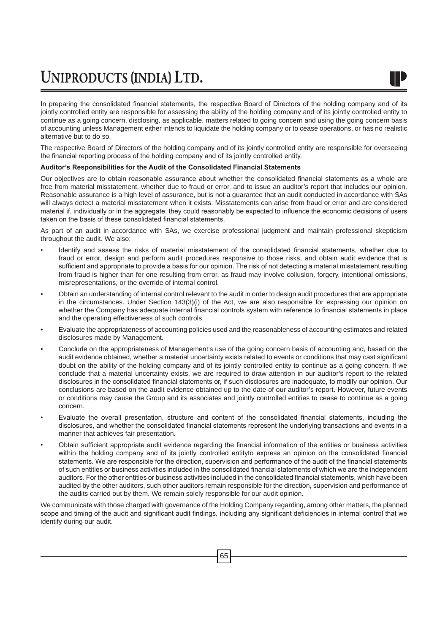In preparing the consolidated financial statements, the respective Board of Directors of the holding company and of its jointly controlled entity are responsible for assessing the ability of the holding company and of its jointly controlled entity to continue as a going concern, disclosing, as applicable, matters related to going concern and using the going concern basis of accounting unless Management either intends to liquidate the holding company or to cease operations, or has no realistic alternative but to do so.

The respective Board of Directors of the holding company and of its jointly controlled entity are responsible for overseeing the financial reporting process of the holding company and of its jointly controlled entity.

### **Auditor's Responsibilities for the Audit of the Consolidated Financial Statements**

Our objectives are to obtain reasonable assurance about whether the consolidated financial statements as a whole are free from material misstatement, whether due to fraud or error, and to issue an auditor's report that includes our opinion. Reasonable assurance is a high level of assurance, but is not a guarantee that an audit conducted in accordance with SAs will always detect a material misstatement when it exists. Misstatements can arise from fraud or error and are considered material if, individually or in the aggregate, they could reasonably be expected to influence the economic decisions of users taken on the basis of these consolidated financial statements.

As part of an audit in accordance with SAs, we exercise professional judgment and maintain professional skepticism throughout the audit. We also:

- Identify and assess the risks of material misstatement of the consolidated financial statements, whether due to fraud or error, design and perform audit procedures responsive to those risks, and obtain audit evidence that is sufficient and appropriate to provide a basis for our opinion. The risk of not detecting a material misstatement resulting from fraud is higher than for one resulting from error, as fraud may involve collusion, forgery, intentional omissions, misrepresentations, or the override of internal control.
- Obtain an understanding of internal control relevant to the audit in order to design audit procedures that are appropriate in the circumstances. Under Section 143(3)(i) of the Act, we are also responsible for expressing our opinion on whether the Company has adequate internal financial controls system with reference to financial statements in place and the operating effectiveness of such controls.
- Evaluate the appropriateness of accounting policies used and the reasonableness of accounting estimates and related disclosures made by Management.
- Conclude on the appropriateness of Management's use of the going concern basis of accounting and, based on the audit evidence obtained, whether a material uncertainty exists related to events or conditions that may cast significant doubt on the ability of the holding company and of its jointly controlled entity to continue as a going concern. If we conclude that a material uncertainty exists, we are required to draw attention in our auditor's report to the related disclosures in the consolidated financial statements or, if such disclosures are inadequate, to modify our opinion. Our conclusions are based on the audit evidence obtained up to the date of our auditor's report. However, future events or conditions may cause the Group and its associates and jointly controlled entities to cease to continue as a going concern.
- Evaluate the overall presentation, structure and content of the consolidated financial statements, including the disclosures, and whether the consolidated financial statements represent the underlying transactions and events in a manner that achieves fair presentation.
- Obtain sufficient appropriate audit evidence regarding the financial information of the entities or business activities within the holding company and of its jointly controlled entityto express an opinion on the consolidated financial statements. We are responsible for the direction, supervision and performance of the audit of the financial statements of such entities or business activities included in the consolidated financial statements of which we are the independent auditors. For the other entities or business activities included in the consolidated financial statements, which have been audited by the other auditors, such other auditors remain responsible for the direction, supervision and performance of the audits carried out by them. We remain solely responsible for our audit opinion.

We communicate with those charged with governance of the Holding Company regarding, among other matters, the planned scope and timing of the audit and significant audit findings, including any significant deficiencies in internal control that we identify during our audit.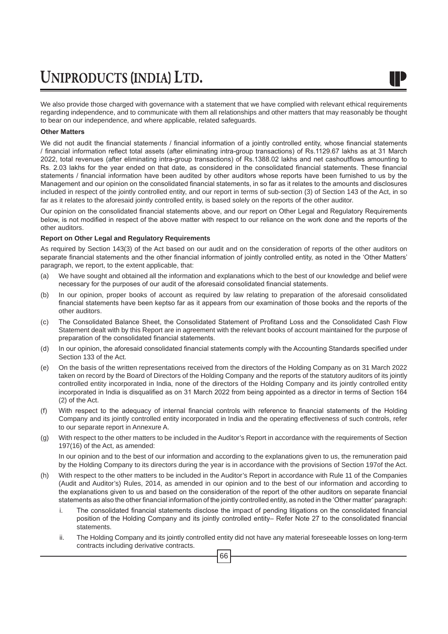

We also provide those charged with governance with a statement that we have complied with relevant ethical requirements regarding independence, and to communicate with them all relationships and other matters that may reasonably be thought to bear on our independence, and where applicable, related safeguards.

### **Other Matters**

We did not audit the financial statements / financial information of a jointly controlled entity, whose financial statements / financial information reflect total assets (after eliminating intra-group transactions) of Rs.1129.67 lakhs as at 31 March 2022, total revenues (after eliminating intra-group transactions) of Rs.1388.02 lakhs and net cashoutflows amounting to Rs. 2.03 lakhs for the year ended on that date, as considered in the consolidated financial statements. These financial statements / financial information have been audited by other auditors whose reports have been furnished to us by the Management and our opinion on the consolidated financial statements, in so far as it relates to the amounts and disclosures included in respect of the jointly controlled entity, and our report in terms of sub-section (3) of Section 143 of the Act, in so far as it relates to the aforesaid jointly controlled entity, is based solely on the reports of the other auditor.

Our opinion on the consolidated financial statements above, and our report on Other Legal and Regulatory Requirements below, is not modified in respect of the above matter with respect to our reliance on the work done and the reports of the other auditors.

### **Report on Other Legal and Regulatory Requirements**

As required by Section 143(3) of the Act based on our audit and on the consideration of reports of the other auditors on separate financial statements and the other financial information of jointly controlled entity, as noted in the 'Other Matters' paragraph, we report, to the extent applicable, that:

- (a) We have sought and obtained all the information and explanations which to the best of our knowledge and belief were necessary for the purposes of our audit of the aforesaid consolidated financial statements.
- (b) In our opinion, proper books of account as required by law relating to preparation of the aforesaid consolidated financial statements have been keptso far as it appears from our examination of those books and the reports of the other auditors.
- (c) The Consolidated Balance Sheet, the Consolidated Statement of Profitand Loss and the Consolidated Cash Flow Statement dealt with by this Report are in agreement with the relevant books of account maintained for the purpose of preparation of the consolidated financial statements.
- (d) In our opinion, the aforesaid consolidated financial statements comply with the Accounting Standards specified under Section 133 of the Act.
- (e) On the basis of the written representations received from the directors of the Holding Company as on 31 March 2022 taken on record by the Board of Directors of the Holding Company and the reports of the statutory auditors of its jointly controlled entity incorporated in India, none of the directors of the Holding Company and its jointly controlled entity incorporated in India is disqualified as on 31 March 2022 from being appointed as a director in terms of Section 164 (2) of the Act.
- (f) With respect to the adequacy of internal financial controls with reference to financial statements of the Holding Company and its jointly controlled entity incorporated in India and the operating effectiveness of such controls, refer to our separate report in Annexure A.
- (g) With respect to the other matters to be included in the Auditor's Report in accordance with the requirements of Section 197(16) of the Act, as amended:

In our opinion and to the best of our information and according to the explanations given to us, the remuneration paid by the Holding Company to its directors during the year is in accordance with the provisions of Section 197of the Act.

- (h) With respect to the other matters to be included in the Auditor's Report in accordance with Rule 11 of the Companies (Audit and Auditor's) Rules, 2014, as amended in our opinion and to the best of our information and according to the explanations given to us and based on the consideration of the report of the other auditors on separate financial statements as also the other financial information of the jointly controlled entity, as noted in the 'Other matter' paragraph:
	- i. The consolidated financial statements disclose the impact of pending litigations on the consolidated financial position of the Holding Company and its jointly controlled entity– Refer Note 27 to the consolidated financial statements.
	- ii. The Holding Company and its jointly controlled entity did not have any material foreseeable losses on long-term contracts including derivative contracts.

66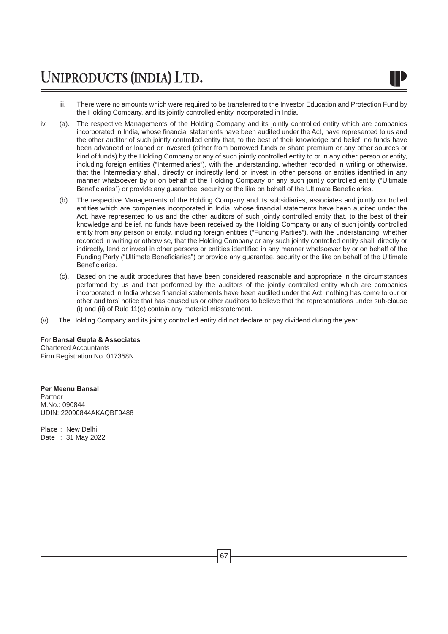

- iii. There were no amounts which were required to be transferred to the Investor Education and Protection Fund by the Holding Company, and its jointly controlled entity incorporated in India.
- iv. (a). The respective Managements of the Holding Company and its jointly controlled entity which are companies incorporated in India, whose financial statements have been audited under the Act, have represented to us and the other auditor of such jointly controlled entity that, to the best of their knowledge and belief, no funds have been advanced or loaned or invested (either from borrowed funds or share premium or any other sources or kind of funds) by the Holding Company or any of such jointly controlled entity to or in any other person or entity, including foreign entities ("Intermediaries"), with the understanding, whether recorded in writing or otherwise, that the Intermediary shall, directly or indirectly lend or invest in other persons or entities identified in any manner whatsoever by or on behalf of the Holding Company or any such jointly controlled entity ("Ultimate Beneficiaries") or provide any guarantee, security or the like on behalf of the Ultimate Beneficiaries.
	- (b). The respective Managements of the Holding Company and its subsidiaries, associates and jointly controlled entities which are companies incorporated in India, whose financial statements have been audited under the Act, have represented to us and the other auditors of such jointly controlled entity that, to the best of their knowledge and belief, no funds have been received by the Holding Company or any of such jointly controlled entity from any person or entity, including foreign entities ("Funding Parties"), with the understanding, whether recorded in writing or otherwise, that the Holding Company or any such jointly controlled entity shall, directly or indirectly, lend or invest in other persons or entities identified in any manner whatsoever by or on behalf of the Funding Party ("Ultimate Beneficiaries") or provide any guarantee, security or the like on behalf of the Ultimate Beneficiaries.
	- Based on the audit procedures that have been considered reasonable and appropriate in the circumstances performed by us and that performed by the auditors of the jointly controlled entity which are companies incorporated in India whose financial statements have been audited under the Act, nothing has come to our or other auditors' notice that has caused us or other auditors to believe that the representations under sub-clause (i) and (ii) of Rule 11(e) contain any material misstatement.
- (v) The Holding Company and its jointly controlled entity did not declare or pay dividend during the year.

For **Bansal Gupta & Associates**

Chartered Accountants Firm Registration No. 017358N

**Per Meenu Bansal** Partner M.No.: 090844 UDIN: 22090844AKAQBF9488

Place : New Delhi Date : 31 May 2022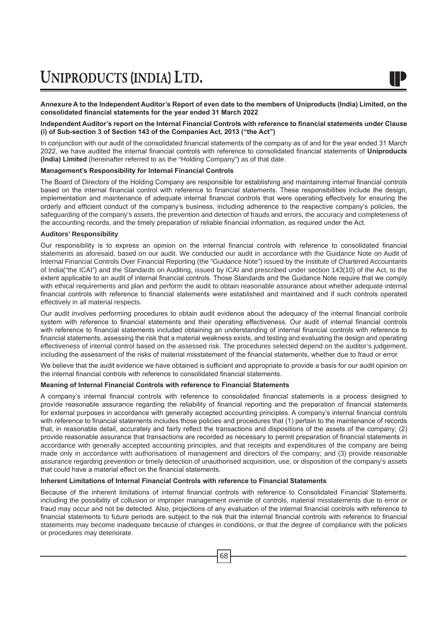**Annexure A to the Independent Auditor's Report of even date to the members of Uniproducts (India) Limited, on the consolidated financial statements for the year ended 31 March 2022**

### **Independent Auditor's report on the Internal Financial Controls with reference to financial statements under Clause (i) of Sub-section 3 of Section 143 of the Companies Act, 2013 ("the Act")**

In conjunction with our audit of the consolidated financial statements of the company as of and for the year ended 31 March 2022, we have audited the internal financial controls with reference to consolidated financial statements of **Uniproducts (India) Limited** (hereinafter referred to as the "Holding Company") as of that date.

### **Management's Responsibility for Internal Financial Controls**

The Board of Directors of the Holding Company are responsible for establishing and maintaining internal financial controls based on the internal financial control with reference to financial statements. These responsibilities include the design, implementation and maintenance of adequate internal financial controls that were operating effectively for ensuring the orderly and efficient conduct of the company's business, including adherence to the respective company's policies, the safeguarding of the company's assets, the prevention and detection of frauds and errors, the accuracy and completeness of the accounting records, and the timely preparation of reliable financial information, as required under the Act.

### **Auditors' Responsibility**

Our responsibility is to express an opinion on the internal financial controls with reference to consolidated financial statements as aforesaid, based on our audit. We conducted our audit in accordance with the Guidance Note on Audit of Internal Financial Controls Over Financial Reporting (the "Guidance Note") issued by the Institute of Chartered Accountants of India("the ICAI") and the Standards on Auditing, issued by ICAI and prescribed under section 143(10) of the Act, to the extent applicable to an audit of internal financial controls. Those Standards and the Guidance Note require that we comply with ethical requirements and plan and perform the audit to obtain reasonable assurance about whether adequate internal financial controls with reference to financial statements were established and maintained and if such controls operated effectively in all material respects.

Our audit involves performing procedures to obtain audit evidence about the adequacy of the internal financial controls system with reference to financial statements and their operating effectiveness. Our audit of internal financial controls with reference to financial statements included obtaining an understanding of internal financial controls with reference to financial statements, assessing the risk that a material weakness exists, and testing and evaluating the design and operating effectiveness of internal control based on the assessed risk. The procedures selected depend on the auditor's judgement, including the assessment of the risks of material misstatement of the financial statements, whether due to fraud or error.

We believe that the audit evidence we have obtained is sufficient and appropriate to provide a basis for our audit opinion on the internal financial controls with reference to consolidated financial statements.

### **Meaning of Internal Financial Controls with reference to Financial Statements**

A company's internal financial controls with reference to consolidated financial statements is a process designed to provide reasonable assurance regarding the reliability of financial reporting and the preparation of financial statements for external purposes in accordance with generally accepted accounting principles. A company's internal financial controls with reference to financial statements includes those policies and procedures that (1) pertain to the maintenance of records that, in reasonable detail, accurately and fairly reflect the transactions and dispositions of the assets of the company; (2) provide reasonable assurance that transactions are recorded as necessary to permit preparation of financial statements in accordance with generally accepted accounting principles, and that receipts and expenditures of the company are being made only in accordance with authorisations of management and directors of the company; and (3) provide reasonable assurance regarding prevention or timely detection of unauthorised acquisition, use, or disposition of the company's assets that could have a material effect on the financial statements.

### **Inherent Limitations of Internal Financial Controls with reference to Financial Statements**

Because of the inherent limitations of internal financial controls with reference to Consolidated Financial Statements, including the possibility of collusion or improper management override of controls, material misstatements due to error or fraud may occur and not be detected. Also, projections of any evaluation of the internal financial controls with reference to financial statements to future periods are subject to the risk that the internal financial controls with reference to financial statements may become inadequate because of changes in conditions, or that the degree of compliance with the policies or procedures may deteriorate.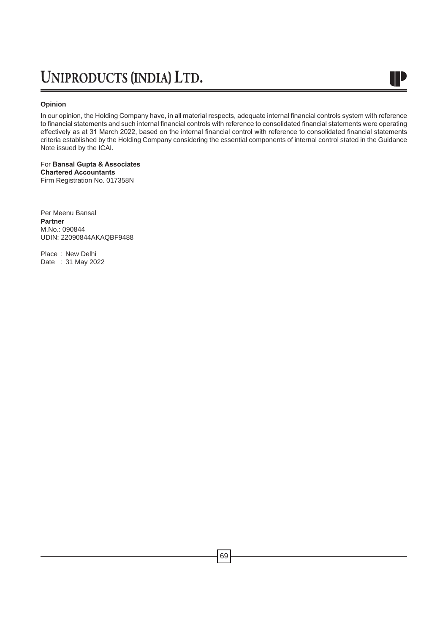### **Opinion**

In our opinion, the Holding Company have, in all material respects, adequate internal financial controls system with reference to financial statements and such internal financial controls with reference to consolidated financial statements were operating effectively as at 31 March 2022, based on the internal financial control with reference to consolidated financial statements criteria established by the Holding Company considering the essential components of internal control stated in the Guidance Note issued by the ICAI.

IP

### For **Bansal Gupta & Associates Chartered Accountants** Firm Registration No. 017358N

Per Meenu Bansal **Partner** M.No.: 090844 UDIN: 22090844AKAQBF9488

Place : New Delhi Date : 31 May 2022

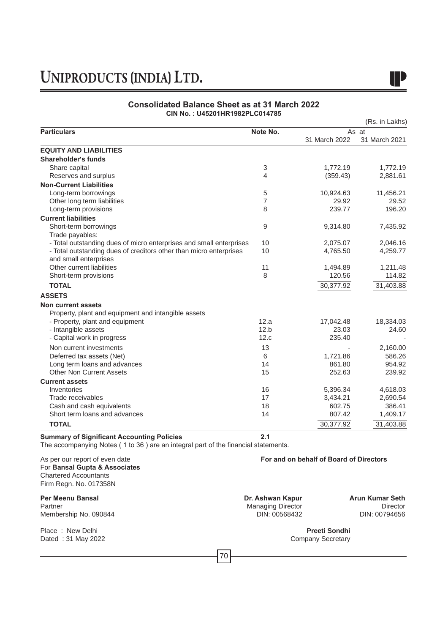

### **Consolidated Balance Sheet as at 31 March 2022 CIN No. : U45201HR1982PLC014785**

|                                                                     |                |               | (Rs. in Lakhs) |
|---------------------------------------------------------------------|----------------|---------------|----------------|
| <b>Particulars</b>                                                  | Note No.       |               | As at          |
|                                                                     |                | 31 March 2022 | 31 March 2021  |
| <b>EQUITY AND LIABILITIES</b>                                       |                |               |                |
| Shareholder's funds                                                 |                |               |                |
| Share capital                                                       | 3              | 1,772.19      | 1,772.19       |
| Reserves and surplus                                                | $\overline{4}$ | (359.43)      | 2,881.61       |
| <b>Non-Current Liabilities</b>                                      |                |               |                |
| Long-term borrowings                                                | 5              | 10,924.63     | 11,456.21      |
| Other long term liabilities                                         | $\overline{7}$ | 29.92         | 29.52          |
| Long-term provisions                                                | 8              | 239.77        | 196.20         |
| <b>Current liabilities</b>                                          |                |               |                |
| Short-term borrowings                                               | 9              | 9,314.80      | 7,435.92       |
| Trade payables:                                                     |                |               |                |
| - Total outstanding dues of micro enterprises and small enterprises | 10             | 2,075.07      | 2,046.16       |
| - Total outstanding dues of creditors other than micro enterprises  | 10             | 4,765.50      | 4,259.77       |
| and small enterprises                                               |                |               |                |
| Other current liabilities                                           | 11             | 1,494.89      | 1,211.48       |
| Short-term provisions                                               | 8              | 120.56        | 114.82         |
| <b>TOTAL</b>                                                        |                | 30,377.92     | 31,403.88      |
| <b>ASSETS</b>                                                       |                |               |                |
| <b>Non current assets</b>                                           |                |               |                |
| Property, plant and equipment and intangible assets                 |                |               |                |
| - Property, plant and equipment                                     | 12.a           | 17,042.48     | 18,334.03      |
| - Intangible assets                                                 | 12.b           | 23.03         | 24.60          |
| - Capital work in progress                                          | 12.c           | 235.40        |                |
| Non current investments                                             | 13             |               | 2,160.00       |
| Deferred tax assets (Net)                                           | 6              | 1,721.86      | 586.26         |
| Long term loans and advances                                        | 14             | 861.80        | 954.92         |
| <b>Other Non Current Assets</b>                                     | 15             | 252.63        | 239.92         |
| <b>Current assets</b>                                               |                |               |                |
| Inventories                                                         | 16             | 5,396.34      | 4,618.03       |
| Trade receivables                                                   | 17             | 3,434.21      | 2,690.54       |
| Cash and cash equivalents                                           | 18             | 602.75        | 386.41         |
| Short term loans and advances                                       | 14             | 807.42        | 1,409.17       |
| <b>TOTAL</b>                                                        |                | 30,377.92     | 31,403.88      |

### **Summary of Significant Accounting Policies 2.1**

The accompanying Notes ( 1 to 36 ) are an integral part of the financial statements. 

### As per our report of even date **For and on behalf of Board of Directors** For **Bansal Gupta & Associates** Chartered Accountants Firm Regn. No. 017358N

**Per Meenu Bansal Dr. Ashwan Kapur Arun Kumar Seth** Membership No. 090844

Place : New Delhi **Preeti Sondhi Preeti Sondhi Preeti Sondhi Preeti Sondhi Preeti Sondhi Preeti Sondhi Preeti Sondhi Preeti Sondhi Preeti Sondhi Preeti Sondhi Preeti Sondhi Preeti Sondhi Preeti Sond** Dated : 31 May 2022

Managing Director<br>DIN: 00568432 DIN: 00794656

70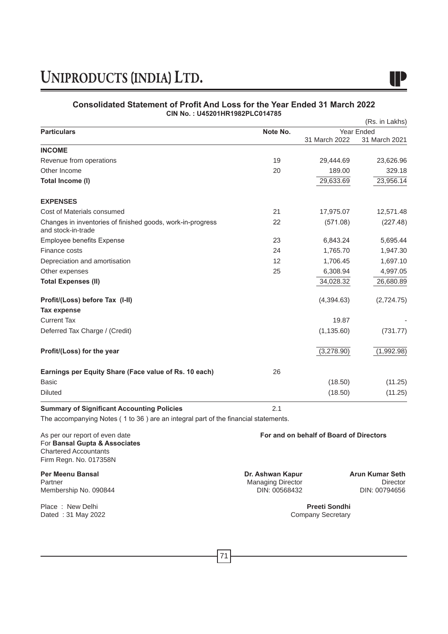

### **Consolidated Statement of Profit And Loss for the Year Ended 31 March 2022 CIN No. : U45201HR1982PLC014785**

|                                                                                    |          |                                         | (Rs. in Lakhs) |  |
|------------------------------------------------------------------------------------|----------|-----------------------------------------|----------------|--|
| <b>Particulars</b>                                                                 | Note No. | Year Ended                              |                |  |
|                                                                                    |          | 31 March 2022                           | 31 March 2021  |  |
| <b>INCOME</b>                                                                      |          |                                         |                |  |
| Revenue from operations                                                            | 19       | 29,444.69                               | 23,626.96      |  |
| Other Income                                                                       | 20       | 189.00                                  | 329.18         |  |
| Total Income (I)                                                                   |          | 29,633.69                               | 23,956.14      |  |
| <b>EXPENSES</b>                                                                    |          |                                         |                |  |
| Cost of Materials consumed                                                         | 21       | 17,975.07                               | 12,571.48      |  |
| Changes in inventories of finished goods, work-in-progress<br>and stock-in-trade   | 22       | (571.08)                                | (227.48)       |  |
| <b>Employee benefits Expense</b>                                                   | 23       | 6,843.24                                | 5,695.44       |  |
| Finance costs                                                                      | 24       | 1,765.70                                | 1,947.30       |  |
| Depreciation and amortisation                                                      | 12       | 1,706.45                                | 1,697.10       |  |
| Other expenses                                                                     | 25       | 6,308.94                                | 4,997.05       |  |
| <b>Total Expenses (II)</b>                                                         |          | 34,028.32                               | 26,680.89      |  |
| Profit/(Loss) before Tax (I-II)                                                    |          | (4,394.63)                              | (2,724.75)     |  |
| <b>Tax expense</b>                                                                 |          |                                         |                |  |
| <b>Current Tax</b>                                                                 |          | 19.87                                   |                |  |
| Deferred Tax Charge / (Credit)                                                     |          | (1, 135.60)                             | (731.77)       |  |
| Profit/(Loss) for the year                                                         |          | (3,278.90)                              | (1,992.98)     |  |
| Earnings per Equity Share (Face value of Rs. 10 each)                              | 26       |                                         |                |  |
| <b>Basic</b>                                                                       |          | (18.50)                                 | (11.25)        |  |
| <b>Diluted</b>                                                                     |          | (18.50)                                 | (11.25)        |  |
| <b>Summary of Significant Accounting Policies</b>                                  | 2.1      |                                         |                |  |
| The accompanying Notes (1 to 36) are an integral part of the financial statements. |          |                                         |                |  |
| As per our report of even date                                                     |          | For and on behalf of Board of Directors |                |  |

For **Bansal Gupta & Associates** Chartered Accountants Firm Regn. No. 017358N

**Per Meenu Bansal Dr. Ashwan Kapur Arun Kumar Seth**<br> **Partner Dr. Ashwan Kapur Arun Kumar Seth**<br>
Managing Director **Arun Contract Constant Constant Constant Constant Arun Constant Director** Membership No. 090844

Place : New Delhi **Preeti Sondhi Preeti Sondhi Preeti Sondhi Preeti Sondhi Preeti Sondhi Preeti Sondhi Preeti Sondhi Preeti Sondhi Preeti Sondhi Preeti Sondhi Preeti Sondhi Preeti Sondhi Preeti Sond** Dated : 31 May 2022

Managing Director<br>DIN: 00568432 DIN: 00794656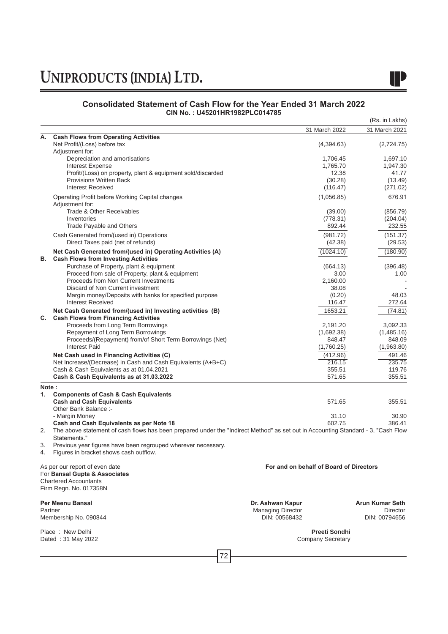

### **Consolidated Statement of Cash Flow for the Year Ended 31 March 2022 CIN No. : U45201HR1982PLC014785**

|       |                                                                                                                                   |                                         |                      | (Rs. in Lakhs)         |
|-------|-----------------------------------------------------------------------------------------------------------------------------------|-----------------------------------------|----------------------|------------------------|
|       |                                                                                                                                   | 31 March 2022                           |                      | 31 March 2021          |
| А.    | <b>Cash Flows from Operating Activities</b>                                                                                       |                                         |                      |                        |
|       | Net Profit/(Loss) before tax                                                                                                      |                                         | (4,394.63)           | (2,724.75)             |
|       | Adjustment for:                                                                                                                   |                                         |                      |                        |
|       | Depreciation and amortisations<br><b>Interest Expense</b>                                                                         |                                         | 1,706.45<br>1,765.70 | 1,697.10<br>1,947.30   |
|       | Profit/(Loss) on property, plant & equipment sold/discarded                                                                       |                                         | 12.38                | 41.77                  |
|       | <b>Provisions Written Back</b>                                                                                                    |                                         | (30.28)              | (13.49)                |
|       | <b>Interest Received</b>                                                                                                          |                                         | (116.47)             | (271.02)               |
|       | Operating Profit before Working Capital changes                                                                                   |                                         | (1,056.85)           | 676.91                 |
|       | Adjustment for:                                                                                                                   |                                         |                      |                        |
|       | Trade & Other Receivables                                                                                                         |                                         | (39.00)              | (856.79)               |
|       | Inventories                                                                                                                       |                                         | (778.31)             | (204.04)               |
|       | Trade Payable and Others                                                                                                          |                                         | 892.44               | 232.55                 |
|       | Cash Generated from/(used in) Operations                                                                                          |                                         | (981.72)             | (151.37)               |
|       | Direct Taxes paid (net of refunds)                                                                                                |                                         | (42.38)              | (29.53)                |
|       | Net Cash Generated from/(used in) Operating Activities (A)                                                                        |                                         | (1024.10)            | (180.90)               |
| В.    | <b>Cash Flows from Investing Activities</b>                                                                                       |                                         |                      |                        |
|       | Purchase of Property, plant & equipment                                                                                           |                                         | (664.13)             | (396.48)               |
|       | Proceed from sale of Property, plant & equipment                                                                                  |                                         | 3.00                 | 1.00                   |
|       | Proceeds from Non Current Investments                                                                                             |                                         | 2,160.00             |                        |
|       | Discard of Non Current investment                                                                                                 |                                         | 38.08                |                        |
|       | Margin money/Deposits with banks for specified purpose                                                                            |                                         | (0.20)               | 48.03                  |
|       | <b>Interest Received</b>                                                                                                          |                                         | 116.47               | 272.64                 |
|       | Net Cash Generated from/(used in) Investing activities (B)                                                                        |                                         | 1653.21              | (74.81)                |
| С.    | <b>Cash Flows from Financing Activities</b>                                                                                       |                                         |                      |                        |
|       | Proceeds from Long Term Borrowings                                                                                                |                                         | 2.191.20             | 3,092.33               |
|       | Repayment of Long Term Borrowings                                                                                                 |                                         | (1,692.38)           | (1,485.16)             |
|       | Proceeds/(Repayment) from/of Short Term Borrowings (Net)                                                                          |                                         | 848.47               | 848.09                 |
|       | <b>Interest Paid</b>                                                                                                              |                                         | (1,760.25)           | (1,963.80)             |
|       | Net Cash used in Financing Activities (C)                                                                                         |                                         | (412.96)             | 491.46                 |
|       | Net Increase/(Decrease) in Cash and Cash Equivalents (A+B+C)                                                                      |                                         | 216.15               | 235.75                 |
|       | Cash & Cash Equivalents as at 01.04.2021                                                                                          |                                         | 355.51               | 119.76                 |
|       | Cash & Cash Equivalents as at 31.03.2022                                                                                          |                                         | 571.65               | 355.51                 |
| Note: |                                                                                                                                   |                                         |                      |                        |
| 1.    | <b>Components of Cash &amp; Cash Equivalents</b>                                                                                  |                                         |                      |                        |
|       | <b>Cash and Cash Equivalents</b><br>Other Bank Balance :-                                                                         |                                         | 571.65               | 355.51                 |
|       | - Margin Money                                                                                                                    |                                         | 31.10                | 30.90                  |
|       | Cash and Cash Equivalents as per Note 18                                                                                          |                                         | 602.75               | 386.41                 |
| 2.    | The above statement of cash flows has been prepared under the "Indirect Method" as set out in Accounting Standard - 3, "Cash Flow |                                         |                      |                        |
|       | Statements."                                                                                                                      |                                         |                      |                        |
| 3.    | Previous year figures have been regrouped wherever necessary.                                                                     |                                         |                      |                        |
| 4.    | Figures in bracket shows cash outflow.                                                                                            |                                         |                      |                        |
|       |                                                                                                                                   |                                         |                      |                        |
|       | As per our report of even date                                                                                                    | For and on behalf of Board of Directors |                      |                        |
|       | For Bansal Gupta & Associates                                                                                                     |                                         |                      |                        |
|       | <b>Chartered Accountants</b><br>Firm Regn. No. 017358N                                                                            |                                         |                      |                        |
|       |                                                                                                                                   |                                         |                      |                        |
|       | Per Meenu Bansal                                                                                                                  | Dr. Ashwan Kapur                        |                      | <b>Arun Kumar Seth</b> |
|       | Partner                                                                                                                           | <b>Managing Director</b>                |                      | <b>Director</b>        |
|       | Membership No. 090844                                                                                                             | DIN: 00568432                           |                      | DIN: 00794656          |
|       | Place: New Delhi                                                                                                                  |                                         | Preeti Sondhi        |                        |
|       | Dated: 31 May 2022                                                                                                                | <b>Company Secretary</b>                |                      |                        |
|       |                                                                                                                                   |                                         |                      |                        |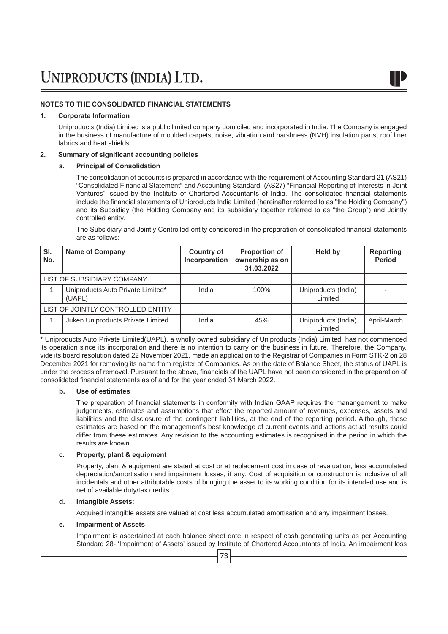### **NOTES TO THE CONSOLIDATED FINANCIAL STATEMENTS**

### **1. Corporate Information**

Uniproducts (India) Limited is a public limited company domiciled and incorporated in India. The Company is engaged in the business of manufacture of moulded carpets, noise, vibration and harshness (NVH) insulation parts, roof liner fabrics and heat shields.

### **2. Summary of significant accounting policies**

### **a. Principal of Consolidation**

 The consolidation of accounts is prepared in accordance with the requirement of Accounting Standard 21 (AS21) "Consolidated Financial Statement" and Accounting Standard (AS27) "Financial Reporting of Interests in Joint Ventures" issued by the Institute of Chartered Accountants of India. The consolidated financial statements include the financial statements of Uniproducts India Limited (hereinafter referred to as "the Holding Company") and its Subsidiay (the Holding Company and its subsidiary together referred to as "the Group") and Jointly controlled entity.

 The Subsidiary and Jointly Controlled entity considered in the preparation of consolidated financial statements are as follows:

| SI.<br>No. | <b>Name of Company</b>                      | <b>Country of</b><br>Incorporation | <b>Proportion of</b><br>ownership as on<br>31.03.2022 | Held by                        | <b>Reporting</b><br><b>Period</b> |
|------------|---------------------------------------------|------------------------------------|-------------------------------------------------------|--------------------------------|-----------------------------------|
|            | LIST OF SUBSIDIARY COMPANY                  |                                    |                                                       |                                |                                   |
|            | Uniproducts Auto Private Limited*<br>(UAPL) | India                              | 100%                                                  | Uniproducts (India)<br>Limited |                                   |
|            | LIST OF JOINTLY CONTROLLED ENTITY           |                                    |                                                       |                                |                                   |
|            | Juken Uniproducts Private Limited           | India                              | 45%                                                   | Uniproducts (India)<br>Limited | April-March                       |

\* Uniproducts Auto Private Limited(UAPL), a wholly owned subsidiary of Uniproducts (India) Limited, has not commenced its operation since its incorporation and there is no intention to carry on the business in future. Therefore, the Company, vide its board resolution dated 22 November 2021, made an application to the Registrar of Companies in Form STK-2 on 28 December 2021 for removing its name from register of Companies. As on the date of Balance Sheet, the status of UAPL is under the process of removal. Pursuant to the above, financials of the UAPL have not been considered in the preparation of consolidated financial statements as of and for the year ended 31 March 2022.

### **b. Use of estimates**

 The preparation of financial statements in conformity with Indian GAAP requires the manangement to make judgements, estimates and assumptions that effect the reported amount of revenues, expenses, assets and liabilities and the disclosure of the contingent liabilities, at the end of the reporting period. Although, these estimates are based on the management's best knowledge of current events and actions actual results could differ from these estimates. Any revision to the accounting estimates is recognised in the period in which the results are known.

### **c. Property, plant & equipment**

 Property, plant & equipment are stated at cost or at replacement cost in case of revaluation, less accumulated depreciation/amortisation and impairment losses, if any. Cost of acquisition or construction is inclusive of all incidentals and other attributable costs of bringing the asset to its working condition for its intended use and is net of available duty/tax credits.

### **d. Intangible Assets:**

Acquired intangible assets are valued at cost less accumulated amortisation and any impairment losses.

### **e. Impairment of Assets**

 Impairment is ascertained at each balance sheet date in respect of cash generating units as per Accounting Standard 28- 'Impairment of Assets' issued by Institute of Chartered Accountants of India. An impairment loss

73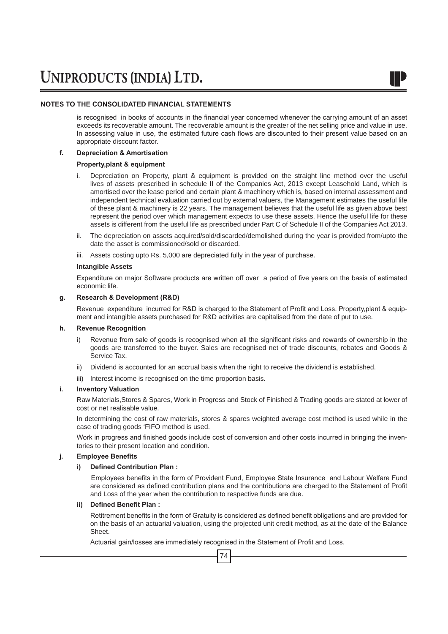### **NOTES TO THE CONSOLIDATED FINANCIAL STATEMENTS**

is recognised in books of accounts in the financial year concerned whenever the carrying amount of an asset exceeds its recoverable amount. The recoverable amount is the greater of the net selling price and value in use. In assessing value in use, the estimated future cash flows are discounted to their present value based on an appropriate discount factor.

### **f. Depreciation & Amortisation**

### **Property,plant & equipment**

- i. Depreciation on Property, plant & equipment is provided on the straight line method over the useful lives of assets prescribed in schedule II of the Companies Act, 2013 except Leasehold Land, which is amortised over the lease period and certain plant & machinery which is, based on internal assessment and independent technical evaluation carried out by external valuers, the Management estimates the useful life of these plant & machinery is 22 years. The management believes that the useful life as given above best represent the period over which management expects to use these assets. Hence the useful life for these assets is different from the useful life as prescribed under Part C of Schedule II of the Companies Act 2013.
- ii. The depreciation on assets acquired/sold/discarded/demolished during the year is provided from/upto the date the asset is commissioned/sold or discarded.
- iii. Assets costing upto Rs. 5,000 are depreciated fully in the year of purchase.

### **Intangible Assets**

 Expenditure on major Software products are written off over a period of five years on the basis of estimated economic life.

### **g. Research & Development (R&D)**

Revenue expenditure incurred for R&D is charged to the Statement of Profit and Loss. Property,plant & equipment and intangible assets purchased for R&D activities are capitalised from the date of put to use.

### **h. Revenue Recognition**

- i) Revenue from sale of goods is recognised when all the significant risks and rewards of ownership in the goods are transferred to the buyer. Sales are recognised net of trade discounts, rebates and Goods & Service Tax.
- ii) Dividend is accounted for an accrual basis when the right to receive the dividend is established.
- iii) Interest income is recognised on the time proportion basis.

### **i. Inventory Valuation**

 Raw Materials,Stores & Spares, Work in Progress and Stock of Finished & Trading goods are stated at lower of cost or net realisable value.

 In determining the cost of raw materials, stores & spares weighted average cost method is used while in the case of trading goods 'FIFO method is used.

 Work in progress and finished goods include cost of conversion and other costs incurred in bringing the inventories to their present location and condition.

### **j. Employee Benefits**

### **i) Defined Contribution Plan :**

 Employees benefits in the form of Provident Fund, Employee State Insurance and Labour Welfare Fund are considered as defined contribution plans and the contributions are charged to the Statement of Profit and Loss of the year when the contribution to respective funds are due.

### **ii) Defined Benefit Plan :**

 Retitrement benefits in the form of Gratuity is considered as defined benefit obligations and are provided for on the basis of an actuarial valuation, using the projected unit credit method, as at the date of the Balance Sheet.

 Actuarial gain/losses are immediately recognised in the Statement of Profit and Loss.

74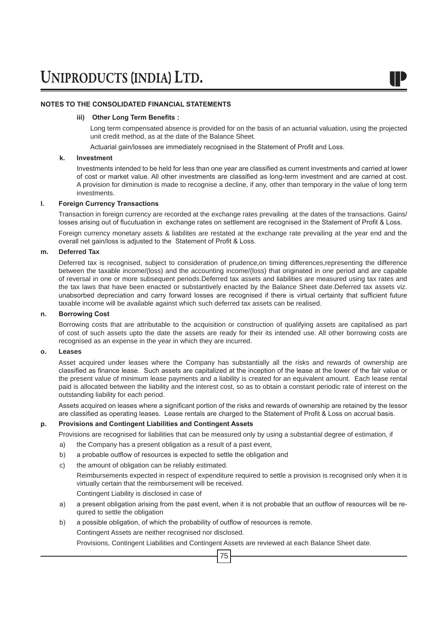### **NOTES TO THE CONSOLIDATED FINANCIAL STATEMENTS**

### **iii) Other Long Term Benefits :**

Long term compensated absence is provided for on the basis of an actuarial valuation, using the projected unit credit method, as at the date of the Balance Sheet.

 Actuarial gain/losses are immediately recognised in the Statement of Profit and Loss.

### **k. Investment**

 Investments intended to be held for less than one year are classified as current investments and carried at lower of cost or market value. All other investments are classified as long-term investment and are carried at cost. A provision for diminution is made to recognise a decline, if any, other than temporary in the value of long term investments.

### **l. Foreign Currency Transactions**

Transaction in foreign currency are recorded at the exchange rates prevailing at the dates of the transactions. Gains/ losses arising out of flucutuation in exchange rates on settlement are recognised in the Statement of Profit & Loss.

Foreign currency monetary assets & liabilites are restated at the exchange rate prevailing at the year end and the overall net gain/loss is adjusted to the Statement of Profit & Loss.

### **m. Deferred Tax**

Deferred tax is recognised, subject to consideration of prudence,on timing differences,representing the difference between the taxable income/(loss) and the accounting income/(loss) that originated in one period and are capable of reversal in one or more subsequent periods.Deferred tax assets and liabilities are measured using tax rates and the tax laws that have been enacted or substantively enacted by the Balance Sheet date.Deferred tax assets viz. unabsorbed depreciation and carry forward losses are recognised if there is virtual certainty that sufficient future taxable income will be available against which such deferred tax assets can be realised.

### **n. Borrowing Cost**

Borrowing costs that are attributable to the acquisition or construction of qualifying assets are capitalised as part of cost of such assets upto the date the assets are ready for their its intended use. All other borrowing costs are recognised as an expense in the year in which they are incurred.

### **o. Leases**

Asset acquired under leases where the Company has substantially all the risks and rewards of ownership are classified as finance lease. Such assets are capitalized at the inception of the lease at the lower of the fair value or the present value of minimum lease payments and a liability is created for an equivalent amount. Each lease rental paid is allocated between the liability and the interest cost, so as to obtain a constant periodic rate of interest on the outstanding liability for each period.

 Assets acquired on leases where a significant portion of the risks and rewards of ownership are retained by the lessor are classified as operating leases. Lease rentals are charged to the Statement of Profit & Loss on accrual basis.

### **p. Provisions and Contingent Liabilities and Contingent Assets**

Provisions are recognised for liabilities that can be measured only by using a substantial degree of estimation, if

- a) the Company has a present obligation as a result of a past event,
- b) a probable outflow of resources is expected to settle the obligation and
- c) the amount of obligation can be reliably estimated.

 Reimbursements expected in respect of expenditure required to settle a provision is recognised only when it is virtually certain that the reimbursement will be received.

Contingent Liability is disclosed in case of

- a) a present obligation arising from the past event, when it is not probable that an outflow of resources will be required to settle the obligation
- b) a possible obligation, of which the probability of outflow of resources is remote.

Contingent Assets are neither recognised nor disclosed.

75 Provisions, Contingent Liabilities and Contingent Assets are reviewed at each Balance Sheet date.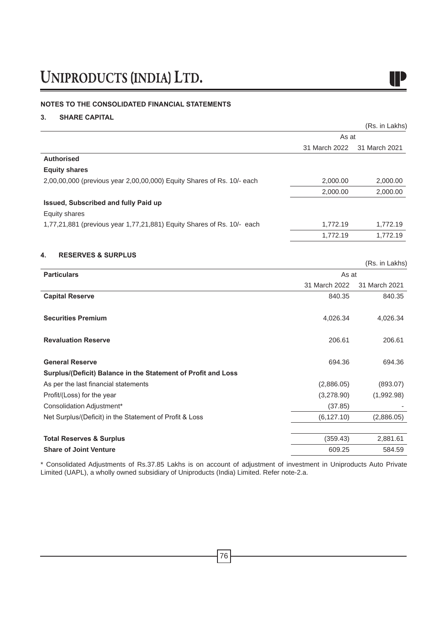### **NOTES TO THE CONSOLIDATED FINANCIAL STATEMENTS**

### **3. SHARE CAPITAL**

|                                                                        |               | (Rs. in Lakhs) |
|------------------------------------------------------------------------|---------------|----------------|
|                                                                        | As at         |                |
|                                                                        | 31 March 2022 | 31 March 2021  |
| <b>Authorised</b>                                                      |               |                |
| <b>Equity shares</b>                                                   |               |                |
| 2,00,00,000 (previous year 2,00,00,000) Equity Shares of Rs. 10/- each | 2,000.00      | 2,000.00       |
|                                                                        | 2,000.00      | 2,000.00       |
| Issued, Subscribed and fully Paid up                                   |               |                |
| Equity shares                                                          |               |                |
| 1,77,21,881 (previous year 1,77,21,881) Equity Shares of Rs. 10/- each | 1,772.19      | 1,772.19       |
|                                                                        | 1.772.19      | 1.772.19       |

### **4. RESERVES & SURPLUS**

|                                                               |               | (Rs. in Lakhs) |
|---------------------------------------------------------------|---------------|----------------|
| <b>Particulars</b>                                            | As at         |                |
|                                                               | 31 March 2022 | 31 March 2021  |
| <b>Capital Reserve</b>                                        | 840.35        | 840.35         |
|                                                               |               |                |
| <b>Securities Premium</b>                                     | 4,026.34      | 4,026.34       |
|                                                               |               |                |
| <b>Revaluation Reserve</b>                                    | 206.61        | 206.61         |
|                                                               |               |                |
| <b>General Reserve</b>                                        | 694.36        | 694.36         |
| Surplus/(Deficit) Balance in the Statement of Profit and Loss |               |                |
| As per the last financial statements                          | (2,886.05)    | (893.07)       |
| Profit/(Loss) for the year                                    | (3,278.90)    | (1,992.98)     |
| Consolidation Adjustment*                                     | (37.85)       |                |
| Net Surplus/(Deficit) in the Statement of Profit & Loss       | (6, 127.10)   | (2,886.05)     |
|                                                               |               |                |
| <b>Total Reserves &amp; Surplus</b>                           | (359.43)      | 2,881.61       |
| <b>Share of Joint Venture</b>                                 | 609.25        | 584.59         |

\* Consolidated Adjustments of Rs.37.85 Lakhs is on account of adjustment of investment in Uniproducts Auto Private Limited (UAPL), a wholly owned subsidiary of Uniproducts (India) Limited. Refer note-2.a.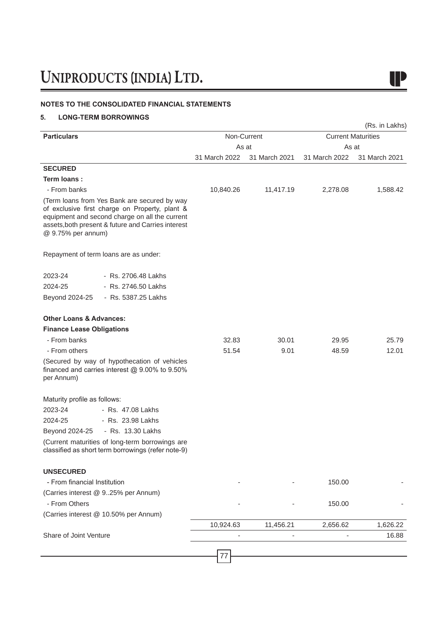### **NOTES TO THE CONSOLIDATED FINANCIAL STATEMENTS**

### **5. LONG-TERM BORROWINGS**

| <b>Particulars</b>                                                                                                                                                                                                           |                | Non-Current   |               | (Rs. in Lakhs)<br><b>Current Maturities</b> |
|------------------------------------------------------------------------------------------------------------------------------------------------------------------------------------------------------------------------------|----------------|---------------|---------------|---------------------------------------------|
|                                                                                                                                                                                                                              |                | As at         | As at         |                                             |
|                                                                                                                                                                                                                              | 31 March 2022  | 31 March 2021 | 31 March 2022 | 31 March 2021                               |
| <b>SECURED</b>                                                                                                                                                                                                               |                |               |               |                                             |
| Term loans:                                                                                                                                                                                                                  |                |               |               |                                             |
| - From banks                                                                                                                                                                                                                 | 10,840.26      | 11,417.19     | 2,278.08      | 1,588.42                                    |
| (Term loans from Yes Bank are secured by way<br>of exclusive first charge on Property, plant &<br>equipment and second charge on all the current<br>assets, both present & future and Carries interest<br>@ 9.75% per annum) |                |               |               |                                             |
| Repayment of term loans are as under:                                                                                                                                                                                        |                |               |               |                                             |
| - Rs. 2706.48 Lakhs<br>2023-24                                                                                                                                                                                               |                |               |               |                                             |
| 2024-25<br>- Rs. 2746.50 Lakhs                                                                                                                                                                                               |                |               |               |                                             |
| - Rs. 5387.25 Lakhs<br>Beyond 2024-25                                                                                                                                                                                        |                |               |               |                                             |
| <b>Other Loans &amp; Advances:</b>                                                                                                                                                                                           |                |               |               |                                             |
| <b>Finance Lease Obligations</b>                                                                                                                                                                                             |                |               |               |                                             |
| - From banks                                                                                                                                                                                                                 | 32.83          | 30.01         | 29.95         | 25.79                                       |
| - From others                                                                                                                                                                                                                | 51.54          | 9.01          | 48.59         | 12.01                                       |
| (Secured by way of hypothecation of vehicles<br>financed and carries interest @ 9.00% to 9.50%<br>per Annum)                                                                                                                 |                |               |               |                                             |
| Maturity profile as follows:                                                                                                                                                                                                 |                |               |               |                                             |
| 2023-24<br>- Rs. 47.08 Lakhs                                                                                                                                                                                                 |                |               |               |                                             |
| 2024-25<br>- Rs. 23.98 Lakhs                                                                                                                                                                                                 |                |               |               |                                             |
| - Rs. 13.30 Lakhs<br>Beyond 2024-25                                                                                                                                                                                          |                |               |               |                                             |
| (Current maturities of long-term borrowings are<br>classified as short term borrowings (refer note-9)                                                                                                                        |                |               |               |                                             |
| <b>UNSECURED</b>                                                                                                                                                                                                             |                |               |               |                                             |
| - From financial Institution                                                                                                                                                                                                 |                |               | 150.00        |                                             |
| (Carries interest @ 925% per Annum)                                                                                                                                                                                          |                |               |               |                                             |
| - From Others                                                                                                                                                                                                                |                |               | 150.00        |                                             |
| (Carries interest @ 10.50% per Annum)                                                                                                                                                                                        |                |               |               |                                             |
|                                                                                                                                                                                                                              | 10,924.63      | 11,456.21     | 2,656.62      | 1,626.22                                    |
| Share of Joint Venture                                                                                                                                                                                                       |                |               |               | 16.88                                       |
|                                                                                                                                                                                                                              |                |               |               |                                             |
|                                                                                                                                                                                                                              | $\prime\prime$ |               |               |                                             |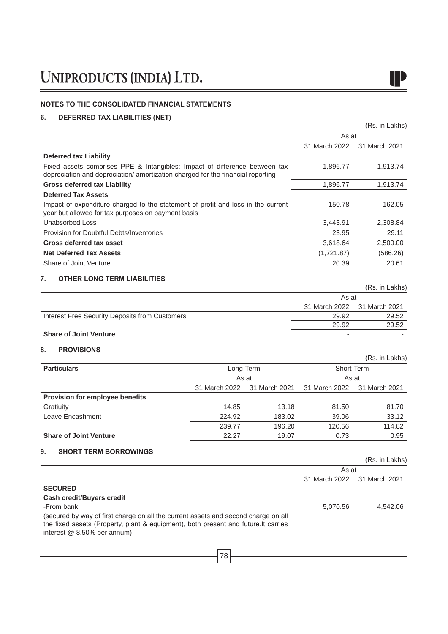### **NOTES TO THE CONSOLIDATED FINANCIAL STATEMENTS**

### **6. DEFERRED TAX LIABILITIES (NET)**

|                                                                                                                                                               |               |               |                | (Rs. in Lakhs) |
|---------------------------------------------------------------------------------------------------------------------------------------------------------------|---------------|---------------|----------------|----------------|
|                                                                                                                                                               |               |               | As at          |                |
|                                                                                                                                                               |               |               | 31 March 2022  | 31 March 2021  |
| <b>Deferred tax Liability</b>                                                                                                                                 |               |               |                |                |
| Fixed assets comprises PPE & Intangibles: Impact of difference between tax<br>depreciation and depreciation/ amortization charged for the financial reporting |               |               | 1,896.77       | 1,913.74       |
| <b>Gross deferred tax Liability</b>                                                                                                                           |               |               | 1,896.77       | 1,913.74       |
| <b>Deferred Tax Assets</b>                                                                                                                                    |               |               |                |                |
| Impact of expenditure charged to the statement of profit and loss in the current<br>year but allowed for tax purposes on payment basis                        |               |               | 150.78         | 162.05         |
| <b>Unabsorbed Loss</b>                                                                                                                                        |               |               | 3,443.91       | 2,308.84       |
| Provision for Doubtful Debts/Inventories                                                                                                                      |               |               | 23.95          | 29.11          |
| Gross deferred tax asset                                                                                                                                      |               |               | 3,618.64       | 2,500.00       |
| <b>Net Deferred Tax Assets</b>                                                                                                                                |               |               | (1,721.87)     | (586.26)       |
| Share of Joint Venture                                                                                                                                        |               |               | 20.39          | 20.61          |
| 7.<br><b>OTHER LONG TERM LIABILITIES</b>                                                                                                                      |               |               |                |                |
|                                                                                                                                                               |               |               |                | (Rs. in Lakhs) |
|                                                                                                                                                               |               |               | As at          |                |
|                                                                                                                                                               |               |               | 31 March 2022  | 31 March 2021  |
| Interest Free Security Deposits from Customers                                                                                                                |               |               | 29.92<br>29.92 | 29.52<br>29.52 |
| <b>Share of Joint Venture</b>                                                                                                                                 |               |               |                |                |
|                                                                                                                                                               |               |               |                |                |
| 8.<br><b>PROVISIONS</b>                                                                                                                                       |               |               |                | (Rs. in Lakhs) |
| <b>Particulars</b>                                                                                                                                            | Long-Term     |               | Short-Term     |                |
|                                                                                                                                                               |               | As at         | As at          |                |
|                                                                                                                                                               | 31 March 2022 | 31 March 2021 | 31 March 2022  | 31 March 2021  |
| Provision for employee benefits                                                                                                                               |               |               |                |                |
| Gratiuity                                                                                                                                                     | 14.85         | 13.18         | 81.50          | 81.70          |
| Leave Encashment                                                                                                                                              | 224.92        | 183.02        | 39.06          | 33.12          |
|                                                                                                                                                               | 239.77        | 196.20        | 120.56         | 114.82         |
| <b>Share of Joint Venture</b>                                                                                                                                 | 22.27         | 19.07         | 0.73           | 0.95           |
| 9.<br><b>SHORT TERM BORROWINGS</b>                                                                                                                            |               |               |                |                |
|                                                                                                                                                               |               |               |                | (Rs. in Lakhs) |
|                                                                                                                                                               |               |               | As at          |                |
|                                                                                                                                                               |               |               | 31 March 2022  | 31 March 2021  |
| <b>SECURED</b>                                                                                                                                                |               |               |                |                |
| Cash credit/Buyers credit<br>-From bank                                                                                                                       |               |               |                |                |
| (secured by way of first charge on all the current assets and second charge on all                                                                            |               |               | 5,070.56       | 4,542.06       |
| the fixed assets (Property, plant & equipment), both present and future. It carries<br>interest @ 8.50% per annum)                                            |               |               |                |                |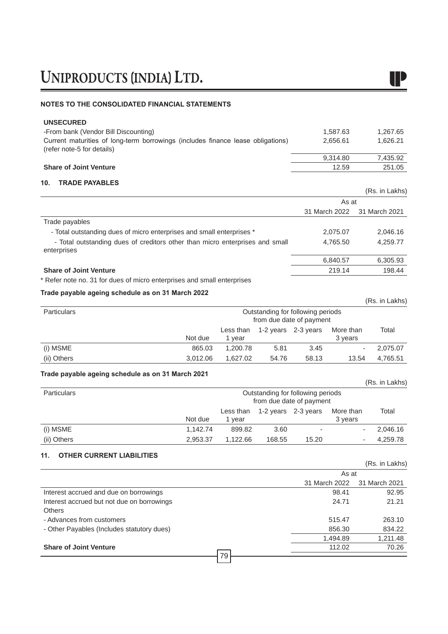### **NOTES TO THE CONSOLIDATED FINANCIAL STATEMENTS**

| <b>UNSECURED</b>                                                                                              |               |                |
|---------------------------------------------------------------------------------------------------------------|---------------|----------------|
| -From bank (Vendor Bill Discounting)                                                                          | 1,587.63      | 1,267.65       |
| Current maturities of long-term borrowings (includes finance lease obligations)<br>(refer note-5 for details) | 2,656.61      | 1,626.21       |
|                                                                                                               | 9,314.80      | 7,435.92       |
| <b>Share of Joint Venture</b>                                                                                 | 12.59         | 251.05         |
| 10.<br><b>TRADE PAYABLES</b>                                                                                  |               |                |
|                                                                                                               |               | (Rs. in Lakhs) |
|                                                                                                               | As at         |                |
|                                                                                                               | 31 March 2022 | 31 March 2021  |
| Trade payables                                                                                                |               |                |
| - Total outstanding dues of micro enterprises and small enterprises *                                         | 2,075.07      | 2,046.16       |
| - Total outstanding dues of creditors other than micro enterprises and small<br>enterprises                   | 4,765.50      | 4,259.77       |
|                                                                                                               | 6,840.57      | 6,305.93       |
| <b>Share of Joint Venture</b>                                                                                 | 219.14        | 198.44         |
| * Refer note no. 31 for dues of micro enterprises and small enterprises                                       |               |                |
| Trade payable ageing schedule as on 31 March 2022                                                             |               |                |
|                                                                                                               |               | (Rs. in Lakhs) |

| <b>Particulars</b> |          |                     |       | Outstanding for following periods<br>from due date of payment |                      |          |
|--------------------|----------|---------------------|-------|---------------------------------------------------------------|----------------------|----------|
|                    | Not due  | Less than<br>1 year |       | 1-2 years 2-3 years                                           | More than<br>3 years | Total    |
| (i) MSME           | 865.03   | 1,200.78            | 5.81  | 3.45                                                          |                      | 2,075.07 |
| (ii) Others        | 3,012.06 | 1,627.02            | 54.76 | 58.13                                                         | 13.54                | 4,765.51 |

### **Trade payable ageing schedule as on 31 March 2021**

| .                  |          |           |        |                                                               |           | (Rs. in Lakhs) |
|--------------------|----------|-----------|--------|---------------------------------------------------------------|-----------|----------------|
| <b>Particulars</b> |          |           |        | Outstanding for following periods<br>from due date of payment |           |                |
|                    |          | Less than |        | 1-2 years 2-3 years                                           | More than | Total          |
|                    | Not due  | 1 vear    |        |                                                               | 3 years   |                |
| (i) MSME           | 1,142.74 | 899.82    | 3.60   |                                                               |           | 2,046.16       |
| (ii) Others        | 2,953.37 | 1,122.66  | 168.55 | 15.20                                                         |           | 4,259.78       |

### **11. OTHER CURRENT LIABILITIES**

|                                            |               | (Rs. in Lakhs) |
|--------------------------------------------|---------------|----------------|
|                                            | As at         |                |
|                                            | 31 March 2022 | 31 March 2021  |
| Interest accrued and due on borrowings     | 98.41         | 92.95          |
| Interest accrued but not due on borrowings | 24.71         | 21.21          |
| <b>Others</b>                              |               |                |
| - Advances from customers                  | 515.47        | 263.10         |
| - Other Payables (Includes statutory dues) | 856.30        | 834.22         |
|                                            | 1,494.89      | 1,211.48       |
| <b>Share of Joint Venture</b>              | 112.02        | 70.26          |
| 79                                         |               |                |

IP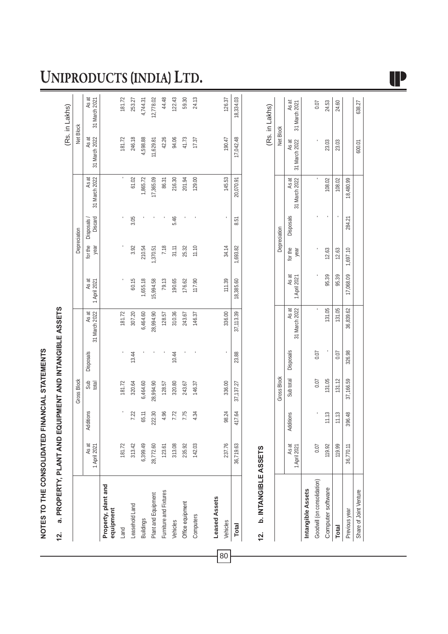# NOTES TO THE CONSOLIDATED FINANCIAL STATEMENTS **NOTES TO THE CONSOLIDATED FINANCIAL STATEMENTS**

# **a. PROPERTY, PLANT AND EQUIPMENT AND INTANGIBLE ASSETS 12. a. PROPERTY, PLANT AND EQUIPMENT AND INTANGIBLE ASSETS**  $12.$

|                                              |                       |           |                    |           |                        |                       |                 |                             |                        |                        | (Rs. in Lakhs)         |
|----------------------------------------------|-----------------------|-----------|--------------------|-----------|------------------------|-----------------------|-----------------|-----------------------------|------------------------|------------------------|------------------------|
|                                              |                       |           | <b>Gross Block</b> |           |                        |                       |                 | Depreciation                |                        | Net Block              |                        |
|                                              | As at<br>1 April 2021 | Additions | Sub<br>total       | Disposals | As at<br>31 March 2022 | As at<br>1 April 2021 | for the<br>year | Discard<br><b>Disposals</b> | As at<br>31 March 2022 | 31 March 2022<br>As at | As at<br>31 March 2021 |
| Property, plant and<br>equipment             |                       |           |                    |           |                        |                       |                 |                             |                        |                        |                        |
| Land                                         | 181.72                |           | 181.72             |           | 181.72                 |                       |                 |                             |                        | 181.72                 | 181.72                 |
| Leasehold Land                               | 313.42                | 7.22      | 320.64             | 13.44     | 307.20                 | 60.15                 | 3.92            | 3.05                        | 61.02                  | 246.18                 | 253.27                 |
| Buildings                                    | 6,399.49              | 65.11     | 6,464.60           |           | 6,464.60               | 1,655.18              | 210.54          |                             | 1,865.72               | 4,598.88               | 4,744.31               |
| Plant and Equipment                          | 28,772.60             | 222.30    | 28,994.90          |           | 28,994.90              | 15,994.58             | 1,370.51        |                             | 17,365.09              | 11,629.81              | 12,778.02              |
| Furniture and Fixtures                       | 123.61                | 4.96      | 128.57             |           | 128.57                 | 79.13                 | 7.18            |                             | 86.31                  | 42.26                  | 44.48                  |
| Vehicles                                     | 313.08                | 7.72      | 320.80             | 10.44     | 310.36                 | 190.65                | 31.11           | 5.46                        | 216.30                 | 94.06                  | 122.43                 |
| Office equipment                             | 235.92                | 7.75      | 243.67             |           | 243.67                 | 176.62                | 25.32           |                             | 201.94                 | 41.73                  | 59.30                  |
| Computers                                    | 142.03                | 4.34      | 146.37             |           | 146.37                 | 117.90                | 11.10           |                             | 129.00                 | 17.37                  | 24.13                  |
| Leased Assets                                |                       |           |                    |           |                        |                       |                 |                             |                        |                        |                        |
| Vehicles                                     | 237.76                | 98.24     | 336.00             |           | 336.00                 | 111.39                | 34.14           |                             | 145.53                 | 190.47                 | 126.37                 |
| <b>Total</b>                                 | 36,719.63             | 417.64    | 37,137.27          | 23.88     | 37, 113.39             | 18,385.60             | 1,693.82        | 8.51                        | 20,070.91              | 17,042.48              | 18,334.03              |
| <b>b. INTANGIBLE ASSETS</b><br>$\frac{2}{3}$ |                       |           |                    |           |                        |                       |                 |                             |                        |                        | (Rs. in Lakhs)         |
|                                              |                       |           | <b>Gross Block</b> |           |                        |                       |                 | Depreciation                |                        | Net Block              |                        |
|                                              | As at<br>1 April 2021 | Additions | Sub total          | Disposals | 31 March 2022<br>As at | As at<br>1 April 2021 | for the<br>year | <b>Disposals</b>            | 31 March 2022<br>As at | As at<br>31 March 2022 | As at<br>31 March 2021 |
|                                              |                       |           |                    |           |                        |                       |                 |                             |                        |                        |                        |

UNIPRODUCTS (INDIA) LTD.

|                             |                       |           |                    |                     |                                       |                    |       |                   |           |                                                    | (KS. In Lakns) |
|-----------------------------|-----------------------|-----------|--------------------|---------------------|---------------------------------------|--------------------|-------|-------------------|-----------|----------------------------------------------------|----------------|
|                             |                       |           | <b>Gross Block</b> |                     |                                       |                    |       | Depreciation      |           | Net Block                                          |                |
|                             | As at<br>  April 2021 | Additions |                    | Sub total Disposals | 31 March 2022   1 April 2021<br>As at | As at              | year  | for the Disposals | As at     | 31 March 2022 31 March 2022 31 March 2021<br>As at | As at          |
| ntangible Assets            |                       |           |                    |                     |                                       |                    |       |                   |           |                                                    |                |
| Goodwill (on consolidation) | 0.07                  |           | 0.07               | 0.07                |                                       |                    |       |                   |           |                                                    | 0.07           |
| Computer software           | 119.92                | 11.13     | 131.05             |                     | 131.05                                | 95.39              | 12.63 |                   | 108.02    | 23.03                                              | 24.53          |
| <b>Total</b>                | 119.99                | 11.13     | 131.12             | 0.07                | 131.05                                | 95.39              | 12.63 |                   | 108.02    | 23.03                                              | 24.60          |
| Previous year               | 36,770.11             |           | 396.48 37,166.59   | 326.98              | 36,839.62                             | 17,068.09 1,697.10 |       | 284.21            | 18,480.99 |                                                    |                |
| Share of Joint Venture      |                       |           |                    |                     |                                       |                    |       |                   |           | 600.01                                             | 638.27         |

UP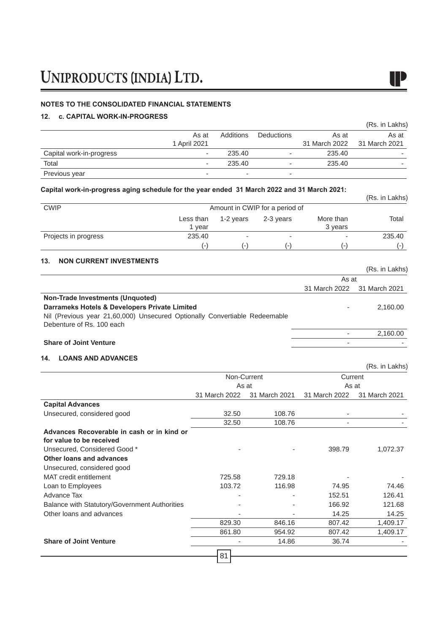### **NOTES TO THE CONSOLIDATED FINANCIAL STATEMENTS**

### **12. c. CAPITAL WORK-IN-PROGRESS**

| <u>IZ. U. UAFIIAL WUNN-IN-FINUUNLUU</u> |                          |           |                          |                        | (Rs. in Lakhs)           |
|-----------------------------------------|--------------------------|-----------|--------------------------|------------------------|--------------------------|
|                                         | As at<br>1 April 2021    | Additions | Deductions               | As at<br>31 March 2022 | As at<br>31 March 2021   |
| Capital work-in-progress                | $\overline{\phantom{a}}$ | 235.40    | $\overline{\phantom{a}}$ | 235.40                 | -                        |
| Total                                   | $\overline{\phantom{a}}$ | 235.40    | $\overline{\phantom{0}}$ | 235.40                 | $\overline{\phantom{a}}$ |
| Previous year                           | $\overline{\phantom{a}}$ |           | $\overline{\phantom{a}}$ |                        |                          |

### **Capital work-in-progress aging schedule for the year ended 31 March 2022 and 31 March 2021:**

| Capital work-in-progress aging schedule for the year ended 31 March 2022 and 31 March 2021. |                                |                |           |                          |                |
|---------------------------------------------------------------------------------------------|--------------------------------|----------------|-----------|--------------------------|----------------|
|                                                                                             |                                |                |           |                          | (Rs. in Lakhs) |
| <b>CWIP</b>                                                                                 | Amount in CWIP for a period of |                |           |                          |                |
|                                                                                             | Less than                      | 1-2 vears      | 2-3 vears | More than                | Total          |
|                                                                                             | vear                           |                |           | 3 years                  |                |
| Projects in progress                                                                        | 235.40                         |                | ۰         | $\overline{\phantom{a}}$ | 235.40         |
|                                                                                             | ( – )                          | $\overline{a}$ | $(-)$     | $(-)$                    | $(-1)$         |

### **13. NON CURRENT INVESTMENTS**

|                                                                            | As at                       |          |  |
|----------------------------------------------------------------------------|-----------------------------|----------|--|
|                                                                            | 31 March 2022 31 March 2021 |          |  |
| Non-Trade Investments (Unquoted)                                           |                             |          |  |
| Darrameks Hotels & Developers Private Limited                              | -                           | 2.160.00 |  |
| Nil (Previous year 21,60,000) Unsecured Optionally Convertiable Redeemable |                             |          |  |
| Debenture of Rs. 100 each                                                  |                             |          |  |
|                                                                            | -                           | 2.160.00 |  |
| <b>Share of Joint Venture</b>                                              |                             |          |  |

### **14. LOANS AND ADVANCES**

|                                                                        |               |               |               | (Rs. in Lakhs) |  |
|------------------------------------------------------------------------|---------------|---------------|---------------|----------------|--|
|                                                                        | Non-Current   |               | Current       |                |  |
|                                                                        | As at         |               | As at         |                |  |
|                                                                        | 31 March 2022 | 31 March 2021 | 31 March 2022 | 31 March 2021  |  |
| <b>Capital Advances</b>                                                |               |               |               |                |  |
| Unsecured, considered good                                             | 32.50         | 108.76        |               |                |  |
|                                                                        | 32.50         | 108.76        |               |                |  |
| Advances Recoverable in cash or in kind or<br>for value to be received |               |               |               |                |  |
| Unsecured, Considered Good *                                           |               |               | 398.79        | 1,072.37       |  |
| <b>Other loans and advances</b>                                        |               |               |               |                |  |
| Unsecured, considered good                                             |               |               |               |                |  |
| MAT credit entitlement                                                 | 725.58        | 729.18        |               |                |  |
| Loan to Employees                                                      | 103.72        | 116.98        | 74.95         | 74.46          |  |
| Advance Tax                                                            |               |               | 152.51        | 126.41         |  |
| Balance with Statutory/Government Authorities                          |               |               | 166.92        | 121.68         |  |
| Other loans and advances                                               |               |               | 14.25         | 14.25          |  |
|                                                                        | 829.30        | 846.16        | 807.42        | 1,409.17       |  |
|                                                                        | 861.80        | 954.92        | 807.42        | 1,409.17       |  |
| <b>Share of Joint Venture</b>                                          |               | 14.86         | 36.74         |                |  |
|                                                                        | 81            |               |               |                |  |

 $\blacksquare$ 

(Rs. in Lakhs)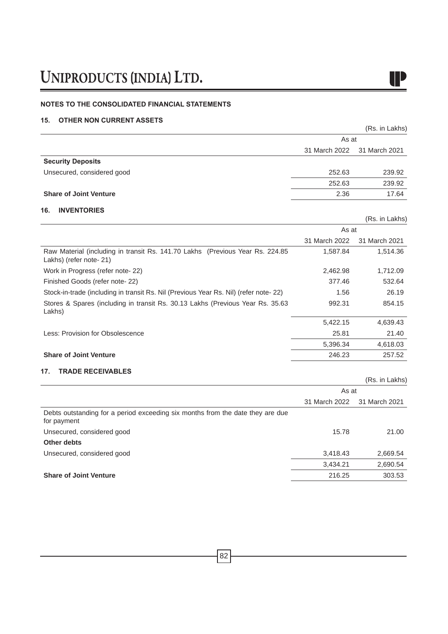### **NOTES TO THE CONSOLIDATED FINANCIAL STATEMENTS**

### **15. OTHER NON CURRENT ASSETS**

|                                                                                                           |               | (Rs. in Lakhs) |
|-----------------------------------------------------------------------------------------------------------|---------------|----------------|
|                                                                                                           | As at         |                |
|                                                                                                           | 31 March 2022 | 31 March 2021  |
| <b>Security Deposits</b>                                                                                  |               |                |
| Unsecured, considered good                                                                                | 252.63        | 239.92         |
|                                                                                                           | 252.63        | 239.92         |
| <b>Share of Joint Venture</b>                                                                             | 2.36          | 17.64          |
| <b>INVENTORIES</b><br>16.                                                                                 |               |                |
|                                                                                                           |               | (Rs. in Lakhs) |
|                                                                                                           | As at         |                |
|                                                                                                           | 31 March 2022 | 31 March 2021  |
| Raw Material (including in transit Rs. 141.70 Lakhs (Previous Year Rs. 224.85)<br>Lakhs) (refer note- 21) | 1,587.84      | 1,514.36       |
| Work in Progress (refer note- 22)                                                                         | 2,462.98      | 1,712.09       |
| Finished Goods (refer note-22)                                                                            | 377.46        | 532.64         |
| Stock-in-trade (including in transit Rs. Nil (Previous Year Rs. Nil) (refer note- 22)                     | 1.56          | 26.19          |
| Stores & Spares (including in transit Rs. 30.13 Lakhs (Previous Year Rs. 35.63)<br>Lakhs)                 | 992.31        | 854.15         |
|                                                                                                           | 5,422.15      | 4,639.43       |
| Less: Provision for Obsolescence                                                                          | 25.81         | 21.40          |

|                               | 5.396.34 | 4,618.03 |
|-------------------------------|----------|----------|
| <b>Share of Joint Venture</b> | 246.23   | 257.52   |
| 17. TRADE RECEIVABLES         |          |          |

|               | (Rs. in Lakhs) |  |
|---------------|----------------|--|
| As at         |                |  |
| 31 March 2022 | 31 March 2021  |  |
|               |                |  |
| 15.78         | 21.00          |  |
|               |                |  |
| 3,418.43      | 2,669.54       |  |
| 3,434.21      | 2,690.54       |  |
| 216.25        | 303.53         |  |
|               |                |  |



4,618.03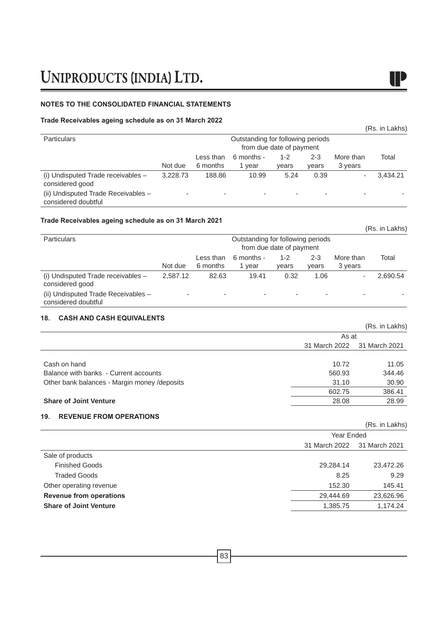### **NOTES TO THE CONSOLIDATED FINANCIAL STATEMENTS**

### **Trade Receivables ageing schedule as on 31 March 2022**

| <b>Particulars</b>                                         |          |                          | Outstanding for following periods | from due date of payment |                  |                      |          |
|------------------------------------------------------------|----------|--------------------------|-----------------------------------|--------------------------|------------------|----------------------|----------|
|                                                            | Not due  | Less than<br>6 months    | 6 months -<br>1 year              | 1-2<br>vears             | $2 - 3$<br>vears | More than<br>3 years | Total    |
| $(i)$ Undisputed Trade receivables $-$<br>considered good  | 3.228.73 | 188.86                   | 10.99                             | 5.24                     | 0.39             |                      | 3.434.21 |
| (ii) Undisputed Trade Receivables -<br>considered doubtful |          | $\overline{\phantom{a}}$ | $\overline{\phantom{a}}$          | $\overline{\phantom{a}}$ |                  |                      |          |

### **Trade Receivables ageing schedule as on 31 March 2021**

|                                                            |          |                       |                                   |                          |                  |                      | (Rs. in Lakhs) |
|------------------------------------------------------------|----------|-----------------------|-----------------------------------|--------------------------|------------------|----------------------|----------------|
| <b>Particulars</b>                                         |          |                       | Outstanding for following periods | from due date of payment |                  |                      |                |
|                                                            | Not due  | Less than<br>6 months | 6 months -<br>1 year              | $1 - 2$<br>years         | $2 - 3$<br>vears | More than<br>3 years | Total          |
| (i) Undisputed Trade receivables -<br>considered good      | 2.587.12 | 82.63                 | 19.41                             | 0.32                     | 1.06             |                      | 2,690.54       |
| (ii) Undisputed Trade Receivables -<br>considered doubtful |          | -                     |                                   | -                        | -                |                      |                |

### **18. CASH AND CASH EQUIVALENTS**

|                                               |               | (Rs. in Lakhs) |  |
|-----------------------------------------------|---------------|----------------|--|
|                                               | As at         |                |  |
|                                               | 31 March 2022 | 31 March 2021  |  |
|                                               |               |                |  |
| Cash on hand                                  | 10.72         | 11.05          |  |
| Balance with banks - Current accounts         | 560.93        | 344.46         |  |
| Other bank balances - Margin money / deposits | 31.10         | 30.90          |  |
|                                               | 602.75        | 386.41         |  |
| <b>Share of Joint Venture</b>                 | 28.08         | 28.99          |  |
|                                               |               |                |  |

### **19. REVENUE FROM OPERATIONS**

|                                |               | (Rs. in Lakhs) |  |  |
|--------------------------------|---------------|----------------|--|--|
|                                |               | Year Ended     |  |  |
|                                | 31 March 2022 | 31 March 2021  |  |  |
| Sale of products               |               |                |  |  |
| <b>Finished Goods</b>          | 29,284.14     | 23,472.26      |  |  |
| <b>Traded Goods</b>            | 8.25          | 9.29           |  |  |
| Other operating revenue        | 152.30        | 145.41         |  |  |
| <b>Revenue from operations</b> | 29,444.69     | 23,626.96      |  |  |
| <b>Share of Joint Venture</b>  | 1,385.75      | 1,174.24       |  |  |
|                                |               |                |  |  |

 $\blacksquare$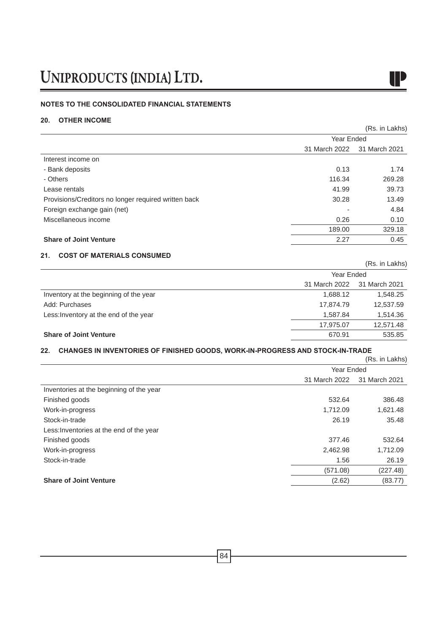### **NOTES TO THE CONSOLIDATED FINANCIAL STATEMENTS**

### **20. OTHER INCOME**

|                                                      |               | (Rs. in Lakhs) |  |
|------------------------------------------------------|---------------|----------------|--|
|                                                      | Year Ended    |                |  |
|                                                      | 31 March 2022 | 31 March 2021  |  |
| Interest income on                                   |               |                |  |
| - Bank deposits                                      | 0.13          | 1.74           |  |
| - Others                                             | 116.34        | 269.28         |  |
| Lease rentals                                        | 41.99         | 39.73          |  |
| Provisions/Creditors no longer required written back | 30.28         | 13.49          |  |
| Foreign exchange gain (net)                          |               | 4.84           |  |
| Miscellaneous income                                 | 0.26          | 0.10           |  |
|                                                      | 189.00        | 329.18         |  |
| <b>Share of Joint Venture</b>                        | 2.27          | 0.45           |  |

IP

### **21. COST OF MATERIALS CONSUMED**

|                                        |               | (Rs. in Lakhs) |
|----------------------------------------|---------------|----------------|
|                                        | Year Ended    |                |
|                                        | 31 March 2022 | 31 March 2021  |
| Inventory at the beginning of the year | 1,688.12      | 1,548.25       |
| Add: Purchases                         | 17,874.79     | 12,537.59      |
| Less: Inventory at the end of the year | 1,587.84      | 1,514.36       |
|                                        | 17,975.07     | 12,571.48      |
| <b>Share of Joint Venture</b>          | 670.91        | 535.85         |

### **22. CHANGES IN INVENTORIES OF FINISHED GOODS, WORK-IN-PROGRESS AND STOCK-IN-TRADE**

|                                          |               | (Rs. in Lakhs) |  |
|------------------------------------------|---------------|----------------|--|
|                                          | Year Ended    |                |  |
|                                          | 31 March 2022 | 31 March 2021  |  |
| Inventories at the beginning of the year |               |                |  |
| Finished goods                           | 532.64        | 386.48         |  |
| Work-in-progress                         | 1,712.09      | 1,621.48       |  |
| Stock-in-trade                           | 26.19         | 35.48          |  |
| Less: Inventories at the end of the year |               |                |  |
| Finished goods                           | 377.46        | 532.64         |  |
| Work-in-progress                         | 2,462.98      | 1,712.09       |  |
| Stock-in-trade                           | 1.56          | 26.19          |  |
|                                          | (571.08)      | (227.48)       |  |
| <b>Share of Joint Venture</b>            | (2.62)        | (83.77)        |  |
|                                          |               |                |  |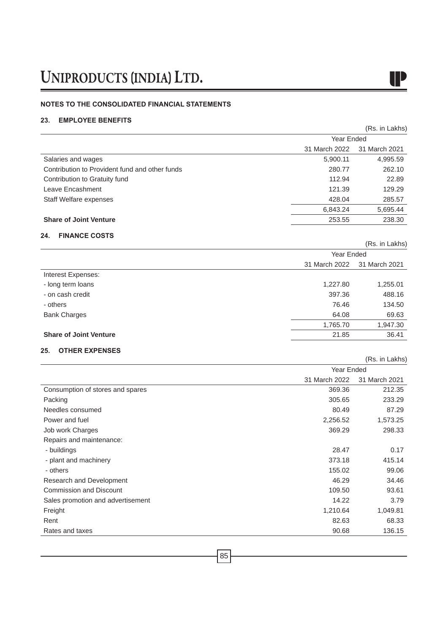### **NOTES TO THE CONSOLIDATED FINANCIAL STATEMENTS**

### **23. EMPLOYEE BENEFITS**

|                                                |                             | (Rs. in Lakhs) |
|------------------------------------------------|-----------------------------|----------------|
|                                                | Year Ended                  |                |
|                                                | 31 March 2022               | 31 March 2021  |
| Salaries and wages                             | 5,900.11                    | 4,995.59       |
| Contribution to Provident fund and other funds | 280.77                      | 262.10         |
| Contribution to Gratuity fund                  | 112.94                      | 22.89          |
| Leave Encashment                               | 121.39                      | 129.29         |
| Staff Welfare expenses                         | 428.04                      | 285.57         |
|                                                | 6,843.24                    | 5,695.44       |
| <b>Share of Joint Venture</b>                  | 253.55                      | 238.30         |
| <b>FINANCE COSTS</b><br>24.                    |                             |                |
|                                                |                             | (Rs. in Lakhs) |
|                                                | Year Ended<br>31 March 2022 | 31 March 2021  |
| Interest Expenses:                             |                             |                |
| - long term loans                              | 1,227.80                    | 1,255.01       |
| - on cash credit                               | 397.36                      | 488.16         |
| - others                                       | 76.46                       | 134.50         |
| <b>Bank Charges</b>                            | 64.08                       | 69.63          |
|                                                | 1,765.70                    | 1,947.30       |
| <b>Share of Joint Venture</b>                  | 21.85                       | 36.41          |
| <b>OTHER EXPENSES</b><br>25.                   |                             |                |
|                                                |                             | (Rs. in Lakhs) |
|                                                | Year Ended                  |                |
|                                                | 31 March 2022               | 31 March 2021  |
| Consumption of stores and spares               | 369.36                      | 212.35         |
| Packing                                        | 305.65                      | 233.29         |
| Needles consumed                               | 80.49                       | 87.29          |
| Power and fuel                                 | 2,256.52                    | 1,573.25       |
| Job work Charges                               | 369.29                      | 298.33         |
| Repairs and maintenance:                       |                             |                |
| - buildings                                    | 28.47                       | 0.17           |
| - plant and machinery                          | 373.18                      | 415.14         |
| - others                                       | 155.02                      | 99.06          |
| Research and Development                       | 46.29                       | 34.46          |
| <b>Commission and Discount</b>                 | 109.50                      | 93.61          |
| Sales promotion and advertisement              | 14.22                       | 3.79           |
| Freight                                        | 1,210.64                    | 1,049.81       |
| Rent                                           | 82.63                       | 68.33          |
| Rates and taxes                                | 90.68                       | 136.15         |

I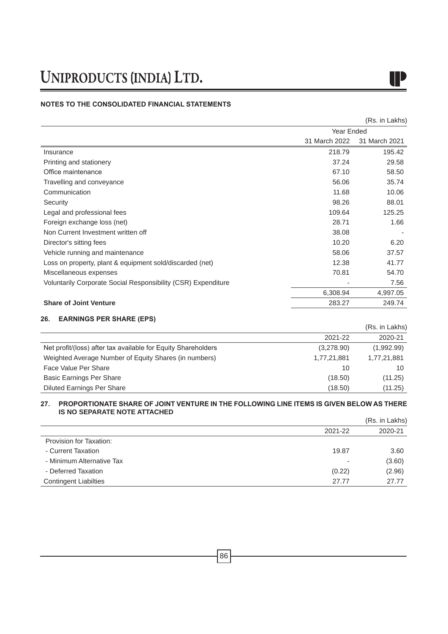# IP

### **NOTES TO THE CONSOLIDATED FINANCIAL STATEMENTS**

|                                                               |               | (Rs. in Lakhs) |
|---------------------------------------------------------------|---------------|----------------|
|                                                               | Year Ended    |                |
|                                                               | 31 March 2022 | 31 March 2021  |
| Insurance                                                     | 218.79        | 195.42         |
| Printing and stationery                                       | 37.24         | 29.58          |
| Office maintenance                                            | 67.10         | 58.50          |
| Travelling and conveyance                                     | 56.06         | 35.74          |
| Communication                                                 | 11.68         | 10.06          |
| Security                                                      | 98.26         | 88.01          |
| Legal and professional fees                                   | 109.64        | 125.25         |
| Foreign exchange loss (net)                                   | 28.71         | 1.66           |
| Non Current Investment written off                            | 38.08         |                |
| Director's sitting fees                                       | 10.20         | 6.20           |
| Vehicle running and maintenance                               | 58.06         | 37.57          |
| Loss on property, plant & equipment sold/discarded (net)      | 12.38         | 41.77          |
| Miscellaneous expenses                                        | 70.81         | 54.70          |
| Voluntarily Corporate Social Responsibility (CSR) Expenditure | ۰             | 7.56           |
|                                                               | 6,308.94      | 4,997.05       |
| <b>Share of Joint Venture</b>                                 | 283.27        | 249.74         |
|                                                               |               |                |

### **26. EARNINGS PER SHARE (EPS)**

|                                                               |             | (Rs. in Lakhs) |
|---------------------------------------------------------------|-------------|----------------|
|                                                               | 2021-22     | 2020-21        |
| Net profit/(loss) after tax available for Equity Shareholders | (3,278.90)  | (1,992.99)     |
| Weighted Average Number of Equity Shares (in numbers)         | 1,77,21,881 | 1,77,21,881    |
| Face Value Per Share                                          | 10          | 10             |
| Basic Earnings Per Share                                      | (18.50)     | (11.25)        |
| <b>Diluted Earnings Per Share</b>                             | (18.50)     | (11.25)        |

### **27. PROPORTIONATE SHARE OF JOINT VENTURE IN THE FOLLOWING LINE ITEMS IS GIVEN BELOW AS THERE IS NO SEPARATE NOTE ATTACHED**  (Rs. in Lakhs)

|                              |         | (Rs. in Lakhs) |
|------------------------------|---------|----------------|
|                              | 2021-22 | 2020-21        |
| Provision for Taxation:      |         |                |
| - Current Taxation           | 19.87   | 3.60           |
| - Minimum Alternative Tax    | ۰       | (3.60)         |
| - Deferred Taxation          | (0.22)  | (2.96)         |
| <b>Contingent Liabilties</b> | 27.77   | 27.77          |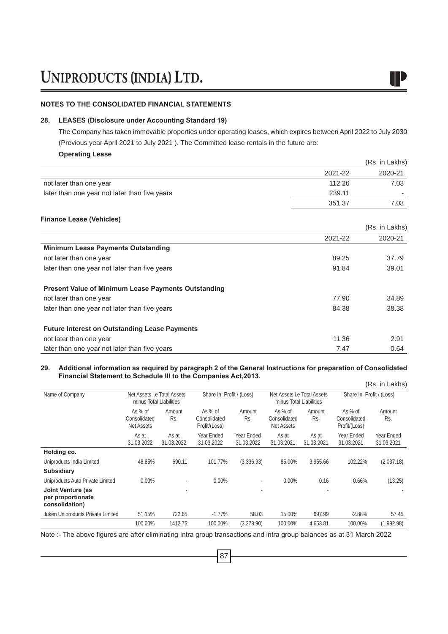### **NOTES TO THE CONSOLIDATED FINANCIAL STATEMENTS**

### **28. LEASES (Disclosure under Accounting Standard 19)**

The Company has taken immovable properties under operating leases, which expires between April 2022 to July 2030 (Previous year April 2021 to July 2021 ). The Committed lease rentals in the future are:

### **Operating Lease**

|                                               |         | (Rs. in Lakhs) |
|-----------------------------------------------|---------|----------------|
|                                               | 2021-22 | 2020-21        |
| not later than one year                       | 112.26  | 7.03           |
| later than one year not later than five years | 239.11  |                |
|                                               | 351.37  | 7.03           |
| <b>Finance Lease (Vehicles)</b>               |         |                |

|                                                            |         | (Rs. in Lakhs) |
|------------------------------------------------------------|---------|----------------|
|                                                            | 2021-22 | 2020-21        |
| <b>Minimum Lease Payments Outstanding</b>                  |         |                |
| not later than one year                                    | 89.25   | 37.79          |
| later than one year not later than five years              | 91.84   | 39.01          |
| <b>Present Value of Minimum Lease Payments Outstanding</b> |         |                |
| not later than one year                                    | 77.90   | 34.89          |
| later than one year not later than five years              | 84.38   | 38.38          |
| <b>Future Interest on Outstanding Lease Payments</b>       |         |                |
| not later than one year                                    | 11.36   | 2.91           |
| later than one year not later than five years              | 7.47    | 0.64           |

### **29. Additional information as required by paragraph 2 of the General Instructions for preparation of Consolidated Financial Statement to Schedule III to the Companies Act,2013.**

|                                                          |                                                        |                     |                                            |                          |                                                        |                     |                                          | (Rs. in Lakhs)           |
|----------------------------------------------------------|--------------------------------------------------------|---------------------|--------------------------------------------|--------------------------|--------------------------------------------------------|---------------------|------------------------------------------|--------------------------|
| Name of Company                                          | Net Assets i.e Total Assets<br>minus Total Liabilities |                     | Share In Profit / (Loss)                   |                          | Net Assets i.e Total Assets<br>minus Total Liabilities |                     | Share In Profit / (Loss)                 |                          |
|                                                          | As % of<br>Consolidated<br><b>Net Assets</b>           | Amount<br>Rs.       | As $%$ of<br>Consolidated<br>Profit/(Loss) | Amount<br>Rs.            | As % of<br>Consolidated<br><b>Net Assets</b>           | Amount<br>Rs.       | As % of<br>Consolidated<br>Profit/(Loss) | Amount<br>Rs.            |
|                                                          | As at<br>31.03.2022                                    | As at<br>31.03.2022 | Year Ended<br>31.03.2022                   | Year Ended<br>31.03.2022 | As at<br>31.03.2021                                    | As at<br>31.03.2021 | Year Ended<br>31.03.2021                 | Year Ended<br>31.03.2021 |
| Holding co.                                              |                                                        |                     |                                            |                          |                                                        |                     |                                          |                          |
| Uniproducts India Limited                                | 48.85%                                                 | 690.11              | 101.77%                                    | (3,336.93)               | 85.00%                                                 | 3.955.66            | 102.22%                                  | (2,037.18)               |
| <b>Subsidiary</b>                                        |                                                        |                     |                                            |                          |                                                        |                     |                                          |                          |
| Uniproducts Auto Private Limited                         | $0.00\%$                                               |                     | $0.00\%$                                   |                          | 0.00%                                                  | 0.16                | 0.66%                                    | (13.25)                  |
| Joint Venture (as<br>per proportionate<br>consolidation) |                                                        | ٠                   |                                            |                          |                                                        | ٠                   |                                          |                          |
| Juken Uniproducts Private Limited                        | 51.15%                                                 | 722.65              | $-1.77%$                                   | 58.03                    | 15.00%                                                 | 697.99              | $-2.88%$                                 | 57.45                    |
|                                                          | 100.00%                                                | 1412.76             | 100.00%                                    | (3,278.90)               | 100.00%                                                | 4,653.81            | 100.00%                                  | (1,992.98)               |

Note :- The above figures are after eliminating Intra group transactions and intra group balances as at 31 March 2022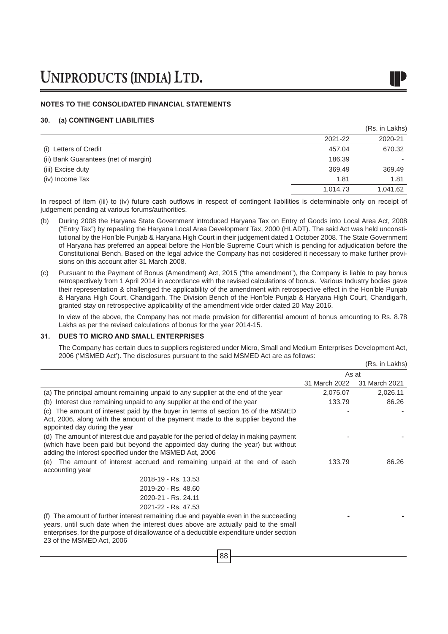### **NOTES TO THE CONSOLIDATED FINANCIAL STATEMENTS**

### **30. (a) CONTINGENT LIABILITIES**

|                                      |          | (Rs. in Lakhs) |
|--------------------------------------|----------|----------------|
|                                      | 2021-22  | 2020-21        |
| (i) Letters of Credit                | 457.04   | 670.32         |
| (ii) Bank Guarantees (net of margin) | 186.39   |                |
| (iii) Excise duty                    | 369.49   | 369.49         |
| (iv) Income Tax                      | 1.81     | 1.81           |
|                                      | 1,014.73 | 1,041.62       |

In respect of item (iii) to (iv) future cash outflows in respect of contingent liabilities is determinable only on receipt of judgement pending at various forums/authorities.

- (b) During 2008 the Haryana State Government introduced Haryana Tax on Entry of Goods into Local Area Act, 2008 ("Entry Tax") by repealing the Haryana Local Area Development Tax, 2000 (HLADT). The said Act was held unconstitutional by the Hon'ble Punjab & Haryana High Court in their judgement dated 1 October 2008. The State Government of Haryana has preferred an appeal before the Hon'ble Supreme Court which is pending for adjudication before the Constitutional Bench. Based on the legal advice the Company has not cosidered it necessary to make further provisions on this account after 31 March 2008.
- (c) Pursuant to the Payment of Bonus (Amendment) Act, 2015 ("the amendment"), the Company is liable to pay bonus retrospectively from 1 April 2014 in accordance with the revised calculations of bonus. Various Industry bodies gave their representation & challenged the applicability of the amendment with retrospective effect in the Hon'ble Punjab & Haryana High Court, Chandigarh. The Division Bench of the Hon'ble Punjab & Haryana High Court, Chandigarh, granted stay on retrospective applicability of the amendment vide order dated 20 May 2016.

In view of the above, the Company has not made provision for differential amount of bonus amounting to Rs. 8.78 Lakhs as per the revised calculations of bonus for the year 2014-15.

### **31. DUES TO MICRO AND SMALL ENTERPRISES**

The Company has certain dues to suppliers registered under Micro, Small and Medium Enterprises Development Act, 2006 ('MSMED Act'). The disclosures pursuant to the said MSMED Act are as follows:  $(D<sub>n</sub>$  in Lakhs)

|                                                                                                                                                                                                                                                                                                  |               | (RS. III LANIS) |
|--------------------------------------------------------------------------------------------------------------------------------------------------------------------------------------------------------------------------------------------------------------------------------------------------|---------------|-----------------|
|                                                                                                                                                                                                                                                                                                  | As at         |                 |
|                                                                                                                                                                                                                                                                                                  | 31 March 2022 | 31 March 2021   |
| (a) The principal amount remaining unpaid to any supplier at the end of the year                                                                                                                                                                                                                 | 2,075.07      | 2,026.11        |
| (b) Interest due remaining unpaid to any supplier at the end of the year                                                                                                                                                                                                                         | 133.79        | 86.26           |
| The amount of interest paid by the buyer in terms of section 16 of the MSMED<br>(C)<br>Act, 2006, along with the amount of the payment made to the supplier beyond the<br>appointed day during the year                                                                                          |               |                 |
| (d) The amount of interest due and payable for the period of delay in making payment<br>(which have been paid but beyond the appointed day during the year) but without<br>adding the interest specified under the MSMED Act, 2006                                                               |               |                 |
| The amount of interest accrued and remaining unpaid at the end of each<br>(e)                                                                                                                                                                                                                    | 133.79        | 86.26           |
| accounting year                                                                                                                                                                                                                                                                                  |               |                 |
| 2018-19 - Rs. 13.53                                                                                                                                                                                                                                                                              |               |                 |
| 2019-20 - Rs. 48.60                                                                                                                                                                                                                                                                              |               |                 |
| 2020-21 - Rs. 24.11                                                                                                                                                                                                                                                                              |               |                 |
| 2021-22 - Rs. 47.53                                                                                                                                                                                                                                                                              |               |                 |
| (f) The amount of further interest remaining due and payable even in the succeeding<br>years, until such date when the interest dues above are actually paid to the small<br>enterprises, for the purpose of disallowance of a deductible expenditure under section<br>23 of the MSMED Act, 2006 |               |                 |
|                                                                                                                                                                                                                                                                                                  |               |                 |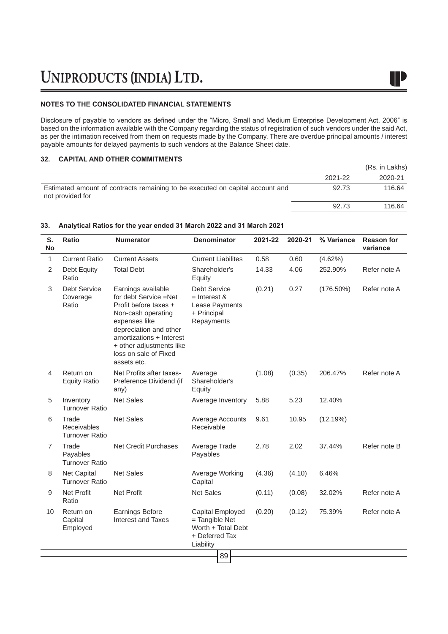### **NOTES TO THE CONSOLIDATED FINANCIAL STATEMENTS**

Disclosure of payable to vendors as defined under the "Micro, Small and Medium Enterprise Development Act, 2006" is based on the information available with the Company regarding the status of registration of such vendors under the said Act, as per the intimation received from them on requests made by the Company. There are overdue principal amounts / interest payable amounts for delayed payments to such vendors at the Balance Sheet date.

### **32. CAPITAL AND OTHER COMMITMENTS**

|                                                                                                   |         | (Rs. in Lakhs) |
|---------------------------------------------------------------------------------------------------|---------|----------------|
|                                                                                                   | 2021-22 | 2020-21        |
| Estimated amount of contracts remaining to be executed on capital account and<br>not provided for | 92.73   | 116.64         |
|                                                                                                   | 92.73   | 116.64         |

| S.<br><b>No</b> | Ratio                                         | <b>Numerator</b>                                                                                                                                                                                                                      | <b>Denominator</b>                                                                      | 2021-22 | 2020-21 | % Variance   | <b>Reason for</b><br>variance |
|-----------------|-----------------------------------------------|---------------------------------------------------------------------------------------------------------------------------------------------------------------------------------------------------------------------------------------|-----------------------------------------------------------------------------------------|---------|---------|--------------|-------------------------------|
| 1               | <b>Current Ratio</b>                          | <b>Current Assets</b>                                                                                                                                                                                                                 | <b>Current Liabilites</b>                                                               | 0.58    | 0.60    | (4.62%)      |                               |
| $\overline{2}$  | Debt Equity<br>Ratio                          | <b>Total Debt</b>                                                                                                                                                                                                                     | Shareholder's<br>Equity                                                                 | 14.33   | 4.06    | 252.90%      | Refer note A                  |
| 3               | <b>Debt Service</b><br>Coverage<br>Ratio      | Earnings available<br>for debt Service =Net<br>Profit before taxes +<br>Non-cash operating<br>expenses like<br>depreciation and other<br>amortizations + Interest<br>+ other adjustments like<br>loss on sale of Fixed<br>assets etc. | <b>Debt Service</b><br>$=$ Interest &<br>Lease Payments<br>+ Principal<br>Repayments    | (0.21)  | 0.27    | $(176.50\%)$ | Refer note A                  |
| 4               | Return on<br><b>Equity Ratio</b>              | Net Profits after taxes-<br>Preference Dividend (if<br>any)                                                                                                                                                                           | Average<br>Shareholder's<br>Equity                                                      | (1.08)  | (0.35)  | 206.47%      | Refer note A                  |
| 5               | Inventory<br><b>Turnover Ratio</b>            | <b>Net Sales</b>                                                                                                                                                                                                                      | Average Inventory                                                                       | 5.88    | 5.23    | 12.40%       |                               |
| 6               | Trade<br>Receivables<br><b>Turnover Ratio</b> | <b>Net Sales</b>                                                                                                                                                                                                                      | Average Accounts<br>Receivable                                                          | 9.61    | 10.95   | (12.19%)     |                               |
| $\overline{7}$  | Trade<br>Payables<br><b>Turnover Ratio</b>    | <b>Net Credit Purchases</b>                                                                                                                                                                                                           | Average Trade<br>Payables                                                               | 2.78    | 2.02    | 37.44%       | Refer note B                  |
| 8               | <b>Net Capital</b><br><b>Turnover Ratio</b>   | <b>Net Sales</b>                                                                                                                                                                                                                      | Average Working<br>Capital                                                              | (4.36)  | (4.10)  | 6.46%        |                               |
| 9               | <b>Net Profit</b><br>Ratio                    | <b>Net Profit</b>                                                                                                                                                                                                                     | <b>Net Sales</b>                                                                        | (0.11)  | (0.08)  | 32.02%       | Refer note A                  |
| 10              | Return on<br>Capital<br>Employed              | Earnings Before<br>Interest and Taxes                                                                                                                                                                                                 | Capital Employed<br>= Tangible Net<br>Worth + Total Debt<br>+ Deferred Tax<br>Liability | (0.20)  | (0.12)  | 75.39%       | Refer note A                  |
|                 |                                               |                                                                                                                                                                                                                                       | 89                                                                                      |         |         |              |                               |

### **33. Analytical Ratios for the year ended 31 March 2022 and 31 March 2021**

IP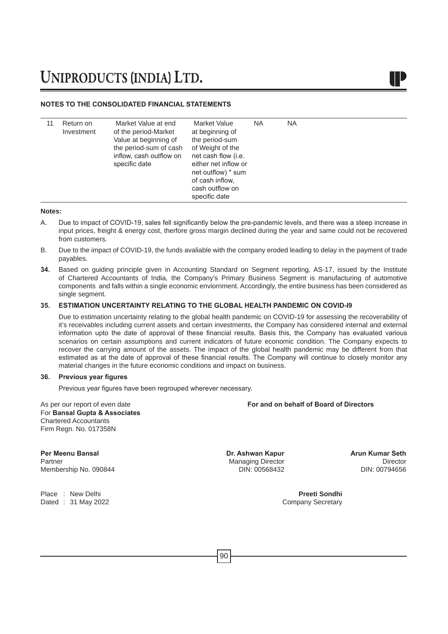### **NOTES TO THE CONSOLIDATED FINANCIAL STATEMENTS**

| Return on<br>Investment | Market Value at end<br>of the period-Market<br>Value at beginning of<br>the period-sum of cash<br>inflow, cash outflow on<br>specific date | Market Value<br>at beginning of<br>the period-sum<br>of Weight of the<br>net cash flow (i.e.<br>either net inflow or<br>net outflow) * sum<br>of cash inflow.<br>cash outflow on<br>specific date | ΝA | <b>NA</b> |
|-------------------------|--------------------------------------------------------------------------------------------------------------------------------------------|---------------------------------------------------------------------------------------------------------------------------------------------------------------------------------------------------|----|-----------|

### **Notes:**

- A. Due to impact of COVID-19, sales fell significantly below the pre-pandemic levels, and there was a steep increase in input prices, freight & energy cost, therfore gross margin declined during the year and same could not be recovered from customers.
- B. Due to the impact of COVID-19, the funds avaliable with the company eroded leading to delay in the payment of trade payables.
- **34.** Based on guiding principle given in Accounting Standard on Segment reporting, AS-17, issued by the Institute of Chartered Accountants of India, the Company's Primary Business Segment is manufacturing of automotive components and falls within a single economic enviornment. Accordingly, the entire business has been considered as single segment.

### **35. ESTIMATION UNCERTAINTY RELATING TO THE GLOBAL HEALTH PANDEMIC ON COVID-I9**

Due to estimation uncertainty relating to the global health pandemic on COVID-19 for assessing the recoverability of it's receivables including current assets and certain investments, the Company has considered internal and external information upto the date of approval of these financial results. Basis this, the Company has evaluated various scenarios on certain assumptions and current indicators of future economic condition. The Company expects to recover the carrying amount of the assets. The impact of the global health pandemic may be different from that estimated as at the date of approval of these financial results. The Company will continue to closely monitor any material changes in the future economic conditions and impact on business.

### **36. Previous year figures**

 Previous year figures have been regrouped wherever necessary. 

As per our report of even date **For and on behalf of Board of Directors** For **Bansal Gupta & Associates** Chartered Accountants Firm Regn. No. 017358N

**Per Meenu Bansal Dr. Ashwan Kapur Arun Kumar Seth** Membership No. 090844

Place : New Delhi **Preeti Sondhi** Dated : 31 May 2022 **Company Secretary** 

Managing Director<br>
DIN: 00568432 DIN: 00794656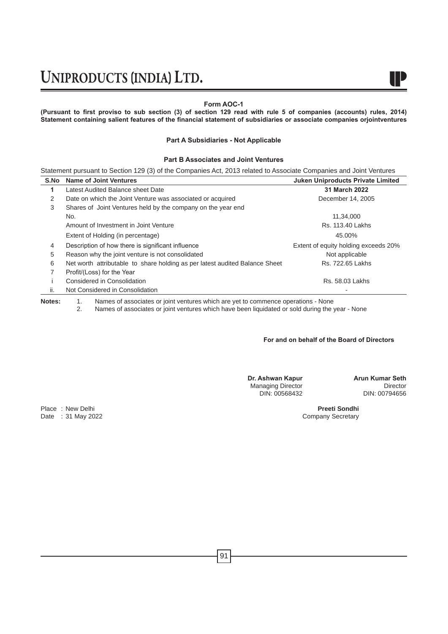### **Form AOC-1**

**(Pursuant to first proviso to sub section (3) of section 129 read with rule 5 of companies (accounts) rules, 2014) Statement containing salient features of the financial statement of subsidiaries or associate companies orjointventures**

### **Part A Subsidiaries - Not Applicable**

### **Part B Associates and Joint Ventures**

Statement pursuant to Section 129 (3) of the Companies Act, 2013 related to Associate Companies and Joint Ventures

| S.No | <b>Name of Joint Ventures</b>                                               | <b>Juken Uniproducts Private Limited</b> |
|------|-----------------------------------------------------------------------------|------------------------------------------|
| 1    | Latest Audited Balance sheet Date                                           | 31 March 2022                            |
| 2    | Date on which the Joint Venture was associated or acquired                  | December 14, 2005                        |
| 3    | Shares of Joint Ventures held by the company on the year end                |                                          |
|      | No.                                                                         | 11,34,000                                |
|      | Amount of Investment in Joint Venture                                       | Rs. 113.40 Lakhs                         |
|      | Extent of Holding (in percentage)                                           | 45.00%                                   |
| 4    | Description of how there is significant influence                           | Extent of equity holding exceeds 20%     |
| 5    | Reason why the joint venture is not consolidated                            | Not applicable                           |
| 6    | Net worth attributable to share holding as per latest audited Balance Sheet | Rs. 722.65 Lakhs                         |
| 7    | Profit/(Loss) for the Year                                                  |                                          |
|      | Considered in Consolidation                                                 | Rs. 58.03 Lakhs                          |
| ii.  | Not Considered in Consolidation                                             |                                          |

**Notes:** 1. Names of associates or joint ventures which are yet to commence operations - None<br>2. Names of associates or joint ventures which have been liquidated or sold during the

Names of associates or joint ventures which have been liquidated or sold during the year - None

### **For and on behalf of the Board of Directors**

**Dr. Ashwan Kapur Arun Kumar Seth** Managing Director<br>DIN: 00568432

DIN: 00794656

Place : New Delhi **Preeti Sondhi Preeti Sondhi Preeti Sondhi Preeti Sondhi Preeti Sondhi Preeti Sondhi Preeti Sondhi Preeti Sondhi Preeti Sondhi Preeti Sondhi Preeti Sondhi Preeti Sondhi Preeti Sondhi** Date : 31 May 2022